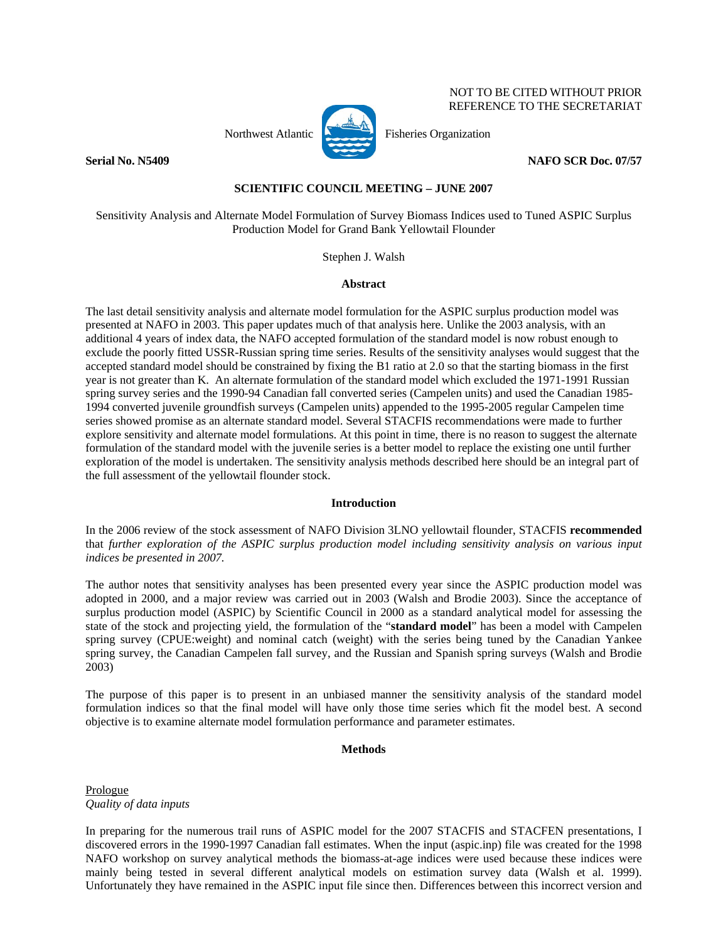

Northwest Atlantic **No. 1989** Fisheries Organization

**Serial No. N5409 NAFO SCR Doc. 07/57** 

 NOT TO BE CITED WITHOUT PRIOR REFERENCE TO THE SECRETARIAT

# **SCIENTIFIC COUNCIL MEETING – JUNE 2007**

Sensitivity Analysis and Alternate Model Formulation of Survey Biomass Indices used to Tuned ASPIC Surplus Production Model for Grand Bank Yellowtail Flounder

Stephen J. Walsh

### **Abstract**

The last detail sensitivity analysis and alternate model formulation for the ASPIC surplus production model was presented at NAFO in 2003. This paper updates much of that analysis here. Unlike the 2003 analysis, with an additional 4 years of index data, the NAFO accepted formulation of the standard model is now robust enough to exclude the poorly fitted USSR-Russian spring time series. Results of the sensitivity analyses would suggest that the accepted standard model should be constrained by fixing the B1 ratio at 2.0 so that the starting biomass in the first year is not greater than K. An alternate formulation of the standard model which excluded the 1971-1991 Russian spring survey series and the 1990-94 Canadian fall converted series (Campelen units) and used the Canadian 1985- 1994 converted juvenile groundfish surveys (Campelen units) appended to the 1995-2005 regular Campelen time series showed promise as an alternate standard model. Several STACFIS recommendations were made to further explore sensitivity and alternate model formulations. At this point in time, there is no reason to suggest the alternate formulation of the standard model with the juvenile series is a better model to replace the existing one until further exploration of the model is undertaken. The sensitivity analysis methods described here should be an integral part of the full assessment of the yellowtail flounder stock.

### **Introduction**

In the 2006 review of the stock assessment of NAFO Division 3LNO yellowtail flounder, STACFIS **recommended** that *further exploration of the ASPIC surplus production model including sensitivity analysis on various input indices be presented in 2007.* 

The author notes that sensitivity analyses has been presented every year since the ASPIC production model was adopted in 2000, and a major review was carried out in 2003 (Walsh and Brodie 2003). Since the acceptance of surplus production model (ASPIC) by Scientific Council in 2000 as a standard analytical model for assessing the state of the stock and projecting yield, the formulation of the "**standard model**" has been a model with Campelen spring survey (CPUE:weight) and nominal catch (weight) with the series being tuned by the Canadian Yankee spring survey, the Canadian Campelen fall survey, and the Russian and Spanish spring surveys (Walsh and Brodie 2003)

The purpose of this paper is to present in an unbiased manner the sensitivity analysis of the standard model formulation indices so that the final model will have only those time series which fit the model best. A second objective is to examine alternate model formulation performance and parameter estimates.

# **Methods**

Prologue *Quality of data inputs* 

In preparing for the numerous trail runs of ASPIC model for the 2007 STACFIS and STACFEN presentations, I discovered errors in the 1990-1997 Canadian fall estimates. When the input (aspic.inp) file was created for the 1998 NAFO workshop on survey analytical methods the biomass-at-age indices were used because these indices were mainly being tested in several different analytical models on estimation survey data (Walsh et al. 1999). Unfortunately they have remained in the ASPIC input file since then. Differences between this incorrect version and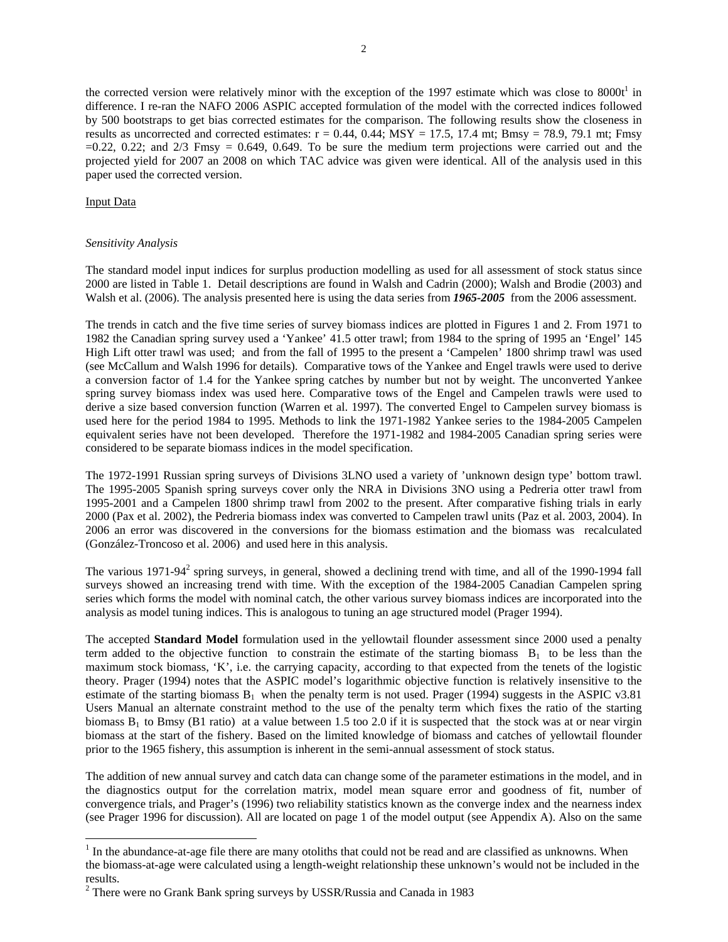the corrected version were relatively minor with the exception of the 1997 estimate which was close to  $8000t<sup>1</sup>$  in difference. I re-ran the NAFO 2006 ASPIC accepted formulation of the model with the corrected indices followed by 500 bootstraps to get bias corrected estimates for the comparison. The following results show the closeness in results as uncorrected and corrected estimates:  $r = 0.44$ ,  $0.44$ ;  $MSY = 17.5$ , 17.4 mt; Bmsy = 78.9, 79.1 mt; Fmsy  $=0.22$ , 0.22; and  $\frac{2}{3}$  Fmsy  $= 0.649$ , 0.649. To be sure the medium term projections were carried out and the projected yield for 2007 an 2008 on which TAC advice was given were identical. All of the analysis used in this paper used the corrected version.

### Input Data

 $\overline{\phantom{a}}$ 

### *Sensitivity Analysis*

The standard model input indices for surplus production modelling as used for all assessment of stock status since 2000 are listed in Table 1. Detail descriptions are found in Walsh and Cadrin (2000); Walsh and Brodie (2003) and Walsh et al. (2006). The analysis presented here is using the data series from **1965-2005** from the 2006 assessment.

The trends in catch and the five time series of survey biomass indices are plotted in Figures 1 and 2. From 1971 to 1982 the Canadian spring survey used a 'Yankee' 41.5 otter trawl; from 1984 to the spring of 1995 an 'Engel' 145 High Lift otter trawl was used; and from the fall of 1995 to the present a 'Campelen' 1800 shrimp trawl was used (see McCallum and Walsh 1996 for details). Comparative tows of the Yankee and Engel trawls were used to derive a conversion factor of 1.4 for the Yankee spring catches by number but not by weight. The unconverted Yankee spring survey biomass index was used here. Comparative tows of the Engel and Campelen trawls were used to derive a size based conversion function (Warren et al. 1997). The converted Engel to Campelen survey biomass is used here for the period 1984 to 1995. Methods to link the 1971-1982 Yankee series to the 1984-2005 Campelen equivalent series have not been developed. Therefore the 1971-1982 and 1984-2005 Canadian spring series were considered to be separate biomass indices in the model specification.

The 1972-1991 Russian spring surveys of Divisions 3LNO used a variety of 'unknown design type' bottom trawl. The 1995-2005 Spanish spring surveys cover only the NRA in Divisions 3NO using a Pedreria otter trawl from 1995-2001 and a Campelen 1800 shrimp trawl from 2002 to the present. After comparative fishing trials in early 2000 (Pax et al. 2002), the Pedreria biomass index was converted to Campelen trawl units (Paz et al. 2003, 2004). In 2006 an error was discovered in the conversions for the biomass estimation and the biomass was recalculated (González-Troncoso et al. 2006) and used here in this analysis.

The various 1971-94 $2$  spring surveys, in general, showed a declining trend with time, and all of the 1990-1994 fall surveys showed an increasing trend with time. With the exception of the 1984-2005 Canadian Campelen spring series which forms the model with nominal catch, the other various survey biomass indices are incorporated into the analysis as model tuning indices. This is analogous to tuning an age structured model (Prager 1994).

The accepted **Standard Model** formulation used in the yellowtail flounder assessment since 2000 used a penalty term added to the objective function to constrain the estimate of the starting biomass  $B_1$  to be less than the maximum stock biomass, 'K', i.e. the carrying capacity, according to that expected from the tenets of the logistic theory. Prager (1994) notes that the ASPIC model's logarithmic objective function is relatively insensitive to the estimate of the starting biomass  $B_1$  when the penalty term is not used. Prager (1994) suggests in the ASPIC v3.81 Users Manual an alternate constraint method to the use of the penalty term which fixes the ratio of the starting biomass  $B_1$  to Bmsy (B1 ratio) at a value between 1.5 too 2.0 if it is suspected that the stock was at or near virgin biomass at the start of the fishery. Based on the limited knowledge of biomass and catches of yellowtail flounder prior to the 1965 fishery, this assumption is inherent in the semi-annual assessment of stock status.

The addition of new annual survey and catch data can change some of the parameter estimations in the model, and in the diagnostics output for the correlation matrix, model mean square error and goodness of fit, number of convergence trials, and Prager's (1996) two reliability statistics known as the converge index and the nearness index (see Prager 1996 for discussion). All are located on page 1 of the model output (see Appendix A). Also on the same

 $1$  In the abundance-at-age file there are many otoliths that could not be read and are classified as unknowns. When the biomass-at-age were calculated using a length-weight relationship these unknown's would not be included in the results.

 $2$  There were no Grank Bank spring surveys by USSR/Russia and Canada in 1983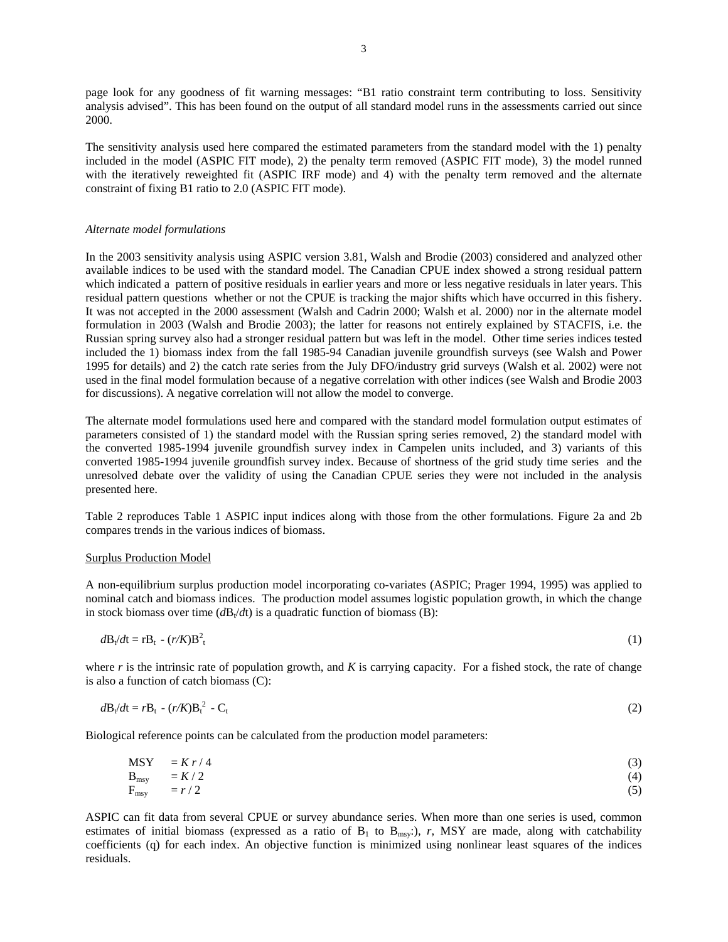page look for any goodness of fit warning messages: "B1 ratio constraint term contributing to loss. Sensitivity analysis advised". This has been found on the output of all standard model runs in the assessments carried out since 2000.

The sensitivity analysis used here compared the estimated parameters from the standard model with the 1) penalty included in the model (ASPIC FIT mode), 2) the penalty term removed (ASPIC FIT mode), 3) the model runned with the iteratively reweighted fit (ASPIC IRF mode) and 4) with the penalty term removed and the alternate constraint of fixing B1 ratio to 2.0 (ASPIC FIT mode).

### *Alternate model formulations*

In the 2003 sensitivity analysis using ASPIC version 3.81, Walsh and Brodie (2003) considered and analyzed other available indices to be used with the standard model. The Canadian CPUE index showed a strong residual pattern which indicated a pattern of positive residuals in earlier years and more or less negative residuals in later years. This residual pattern questions whether or not the CPUE is tracking the major shifts which have occurred in this fishery. It was not accepted in the 2000 assessment (Walsh and Cadrin 2000; Walsh et al. 2000) nor in the alternate model formulation in 2003 (Walsh and Brodie 2003); the latter for reasons not entirely explained by STACFIS, i.e. the Russian spring survey also had a stronger residual pattern but was left in the model. Other time series indices tested included the 1) biomass index from the fall 1985-94 Canadian juvenile groundfish surveys (see Walsh and Power 1995 for details) and 2) the catch rate series from the July DFO/industry grid surveys (Walsh et al. 2002) were not used in the final model formulation because of a negative correlation with other indices (see Walsh and Brodie 2003 for discussions). A negative correlation will not allow the model to converge.

The alternate model formulations used here and compared with the standard model formulation output estimates of parameters consisted of 1) the standard model with the Russian spring series removed, 2) the standard model with the converted 1985-1994 juvenile groundfish survey index in Campelen units included, and 3) variants of this converted 1985-1994 juvenile groundfish survey index. Because of shortness of the grid study time series and the unresolved debate over the validity of using the Canadian CPUE series they were not included in the analysis presented here.

Table 2 reproduces Table 1 ASPIC input indices along with those from the other formulations. Figure 2a and 2b compares trends in the various indices of biomass.

#### Surplus Production Model

A non-equilibrium surplus production model incorporating co-variates (ASPIC; Prager 1994, 1995) was applied to nominal catch and biomass indices. The production model assumes logistic population growth, in which the change in stock biomass over time  $(dB_t/dt)$  is a quadratic function of biomass (B):

$$
d\mathbf{B}_t/dt = r\mathbf{B}_t - (r/K)\mathbf{B}_t^2 \tag{1}
$$

where *r* is the intrinsic rate of population growth, and *K* is carrying capacity. For a fished stock, the rate of change is also a function of catch biomass (C):

$$
d\mathbf{B}_t/dt = r\mathbf{B}_t - (r/K)\mathbf{B}_t^2 - \mathbf{C}_t \tag{2}
$$

Biological reference points can be calculated from the production model parameters:

$$
\text{MSY} = \frac{K r}{4} \tag{3}
$$

$$
B_{\text{msg}} = K/2
$$
  
\n
$$
F_{\text{msg}} = r/2
$$
\n(4)

ASPIC can fit data from several CPUE or survey abundance series. When more than one series is used, common estimates of initial biomass (expressed as a ratio of  $B_1$  to  $B_{\text{msy}}$ ;), *r*, MSY are made, along with catchability coefficients (q) for each index. An objective function is minimized using nonlinear least squares of the indices residuals.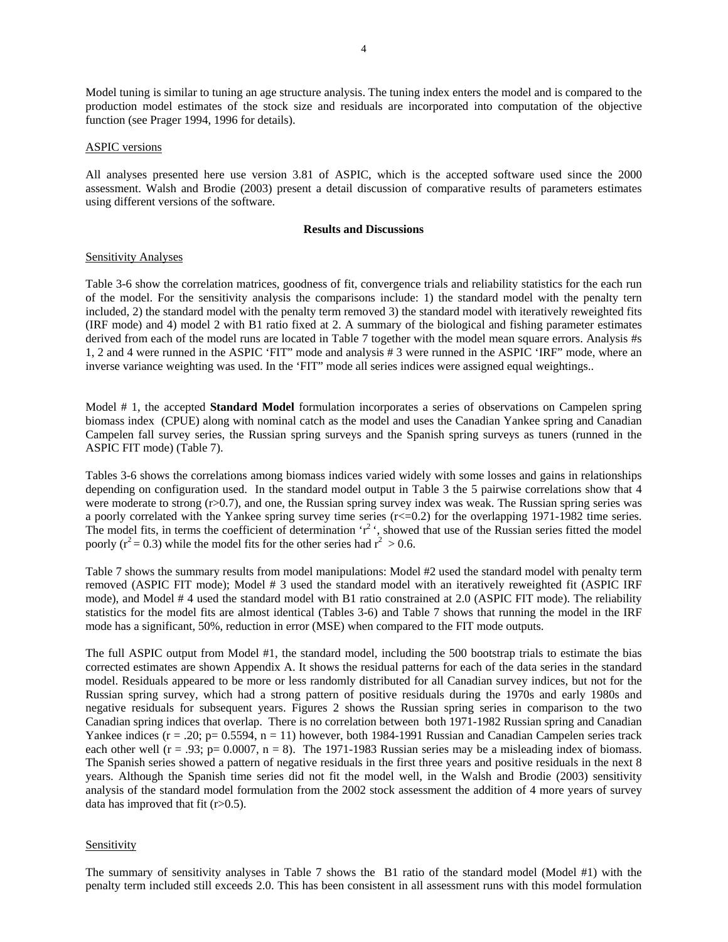Model tuning is similar to tuning an age structure analysis. The tuning index enters the model and is compared to the production model estimates of the stock size and residuals are incorporated into computation of the objective function (see Prager 1994, 1996 for details).

#### ASPIC versions

All analyses presented here use version 3.81 of ASPIC, which is the accepted software used since the 2000 assessment. Walsh and Brodie (2003) present a detail discussion of comparative results of parameters estimates using different versions of the software.

### **Results and Discussions**

#### Sensitivity Analyses

Table 3-6 show the correlation matrices, goodness of fit, convergence trials and reliability statistics for the each run of the model. For the sensitivity analysis the comparisons include: 1) the standard model with the penalty tern included, 2) the standard model with the penalty term removed 3) the standard model with iteratively reweighted fits (IRF mode) and 4) model 2 with B1 ratio fixed at 2. A summary of the biological and fishing parameter estimates derived from each of the model runs are located in Table 7 together with the model mean square errors. Analysis #s 1, 2 and 4 were runned in the ASPIC 'FIT" mode and analysis # 3 were runned in the ASPIC 'IRF" mode, where an inverse variance weighting was used. In the 'FIT" mode all series indices were assigned equal weightings..

Model # 1, the accepted **Standard Model** formulation incorporates a series of observations on Campelen spring biomass index (CPUE) along with nominal catch as the model and uses the Canadian Yankee spring and Canadian Campelen fall survey series, the Russian spring surveys and the Spanish spring surveys as tuners (runned in the ASPIC FIT mode) (Table 7).

Tables 3-6 shows the correlations among biomass indices varied widely with some losses and gains in relationships depending on configuration used. In the standard model output in Table 3 the 5 pairwise correlations show that 4 were moderate to strong (r>0.7), and one, the Russian spring survey index was weak. The Russian spring series was a poorly correlated with the Yankee spring survey time series (r<=0.2) for the overlapping 1971-1982 time series. The model fits, in terms the coefficient of determination ' $r^2$ ', showed that use of the Russian series fitted the model poorly ( $r^2$  = 0.3) while the model fits for the other series had  $r^2 > 0.6$ .

Table 7 shows the summary results from model manipulations: Model #2 used the standard model with penalty term removed (ASPIC FIT mode); Model # 3 used the standard model with an iteratively reweighted fit (ASPIC IRF mode), and Model # 4 used the standard model with B1 ratio constrained at 2.0 (ASPIC FIT mode). The reliability statistics for the model fits are almost identical (Tables 3-6) and Table 7 shows that running the model in the IRF mode has a significant, 50%, reduction in error (MSE) when compared to the FIT mode outputs.

The full ASPIC output from Model #1, the standard model, including the 500 bootstrap trials to estimate the bias corrected estimates are shown Appendix A. It shows the residual patterns for each of the data series in the standard model. Residuals appeared to be more or less randomly distributed for all Canadian survey indices, but not for the Russian spring survey, which had a strong pattern of positive residuals during the 1970s and early 1980s and negative residuals for subsequent years. Figures 2 shows the Russian spring series in comparison to the two Canadian spring indices that overlap. There is no correlation between both 1971-1982 Russian spring and Canadian Yankee indices ( $r = .20$ ;  $p = 0.5594$ ,  $n = 11$ ) however, both 1984-1991 Russian and Canadian Campelen series track each other well ( $r = .93$ ;  $p = 0.0007$ ,  $n = 8$ ). The 1971-1983 Russian series may be a misleading index of biomass. The Spanish series showed a pattern of negative residuals in the first three years and positive residuals in the next 8 years. Although the Spanish time series did not fit the model well, in the Walsh and Brodie (2003) sensitivity analysis of the standard model formulation from the 2002 stock assessment the addition of 4 more years of survey data has improved that fit  $(r>0.5)$ .

# Sensitivity

The summary of sensitivity analyses in Table 7 shows the B1 ratio of the standard model (Model #1) with the penalty term included still exceeds 2.0. This has been consistent in all assessment runs with this model formulation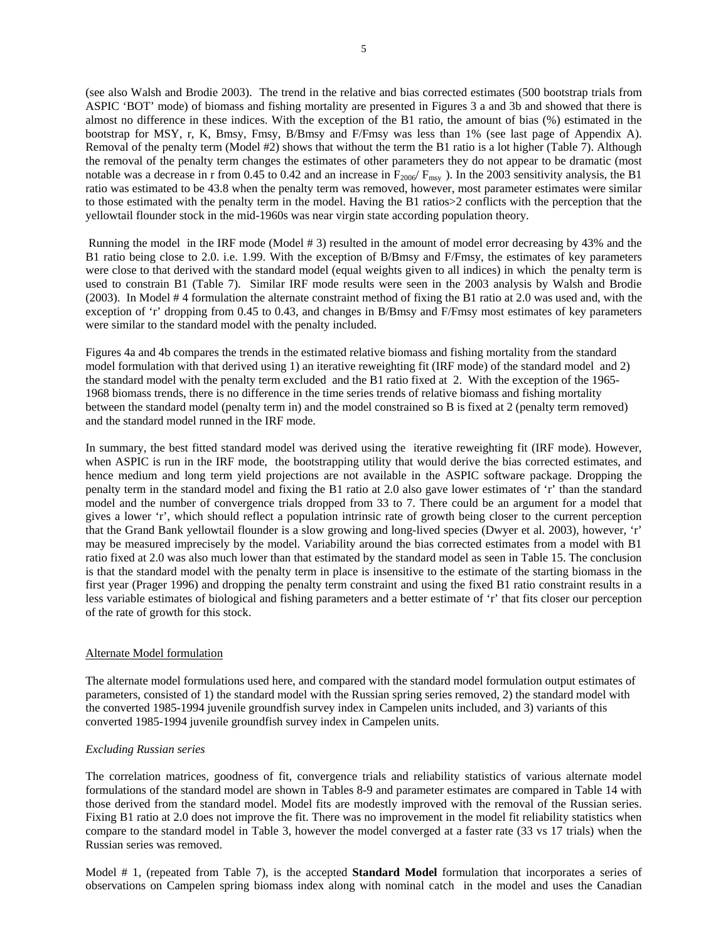(see also Walsh and Brodie 2003). The trend in the relative and bias corrected estimates (500 bootstrap trials from ASPIC 'BOT' mode) of biomass and fishing mortality are presented in Figures 3 a and 3b and showed that there is almost no difference in these indices. With the exception of the B1 ratio, the amount of bias (%) estimated in the bootstrap for MSY, r, K, Bmsy, Fmsy, B/Bmsy and F/Fmsy was less than 1% (see last page of Appendix A). Removal of the penalty term (Model #2) shows that without the term the B1 ratio is a lot higher (Table 7). Although the removal of the penalty term changes the estimates of other parameters they do not appear to be dramatic (most notable was a decrease in r from 0.45 to 0.42 and an increase in  $F_{2000}/F_{\text{msy}}$ ). In the 2003 sensitivity analysis, the B1 ratio was estimated to be 43.8 when the penalty term was removed, however, most parameter estimates were similar to those estimated with the penalty term in the model. Having the B1 ratios>2 conflicts with the perception that the yellowtail flounder stock in the mid-1960s was near virgin state according population theory.

 Running the model in the IRF mode (Model # 3) resulted in the amount of model error decreasing by 43% and the B1 ratio being close to 2.0. i.e. 1.99. With the exception of B/Bmsy and F/Fmsy, the estimates of key parameters were close to that derived with the standard model (equal weights given to all indices) in which the penalty term is used to constrain B1 (Table 7). Similar IRF mode results were seen in the 2003 analysis by Walsh and Brodie (2003). In Model # 4 formulation the alternate constraint method of fixing the B1 ratio at 2.0 was used and, with the exception of 'r' dropping from 0.45 to 0.43, and changes in B/Bmsy and F/Fmsy most estimates of key parameters were similar to the standard model with the penalty included.

Figures 4a and 4b compares the trends in the estimated relative biomass and fishing mortality from the standard model formulation with that derived using 1) an iterative reweighting fit (IRF mode) of the standard model and 2) the standard model with the penalty term excluded and the B1 ratio fixed at 2. With the exception of the 1965- 1968 biomass trends, there is no difference in the time series trends of relative biomass and fishing mortality between the standard model (penalty term in) and the model constrained so B is fixed at 2 (penalty term removed) and the standard model runned in the IRF mode.

In summary, the best fitted standard model was derived using the iterative reweighting fit (IRF mode). However, when ASPIC is run in the IRF mode, the bootstrapping utility that would derive the bias corrected estimates, and hence medium and long term yield projections are not available in the ASPIC software package. Dropping the penalty term in the standard model and fixing the B1 ratio at 2.0 also gave lower estimates of 'r' than the standard model and the number of convergence trials dropped from 33 to 7. There could be an argument for a model that gives a lower 'r', which should reflect a population intrinsic rate of growth being closer to the current perception that the Grand Bank yellowtail flounder is a slow growing and long-lived species (Dwyer et al. 2003)*,* however, 'r' may be measured imprecisely by the model. Variability around the bias corrected estimates from a model with B1 ratio fixed at 2.0 was also much lower than that estimated by the standard model as seen in Table 15. The conclusion is that the standard model with the penalty term in place is insensitive to the estimate of the starting biomass in the first year (Prager 1996) and dropping the penalty term constraint and using the fixed B1 ratio constraint results in a less variable estimates of biological and fishing parameters and a better estimate of 'r' that fits closer our perception of the rate of growth for this stock.

# Alternate Model formulation

The alternate model formulations used here, and compared with the standard model formulation output estimates of parameters, consisted of 1) the standard model with the Russian spring series removed, 2) the standard model with the converted 1985-1994 juvenile groundfish survey index in Campelen units included, and 3) variants of this converted 1985-1994 juvenile groundfish survey index in Campelen units.

# *Excluding Russian series*

The correlation matrices, goodness of fit, convergence trials and reliability statistics of various alternate model formulations of the standard model are shown in Tables 8-9 and parameter estimates are compared in Table 14 with those derived from the standard model. Model fits are modestly improved with the removal of the Russian series. Fixing B1 ratio at 2.0 does not improve the fit. There was no improvement in the model fit reliability statistics when compare to the standard model in Table 3, however the model converged at a faster rate (33 vs 17 trials) when the Russian series was removed.

Model # 1, (repeated from Table 7), is the accepted **Standard Model** formulation that incorporates a series of observations on Campelen spring biomass index along with nominal catch in the model and uses the Canadian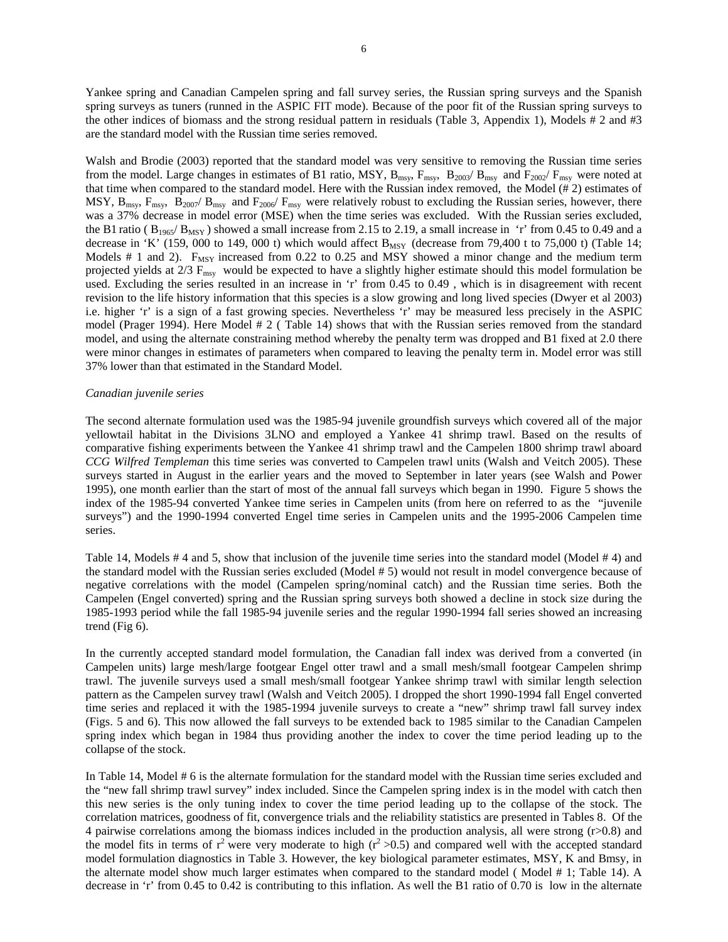Yankee spring and Canadian Campelen spring and fall survey series, the Russian spring surveys and the Spanish spring surveys as tuners (runned in the ASPIC FIT mode). Because of the poor fit of the Russian spring surveys to the other indices of biomass and the strong residual pattern in residuals (Table 3, Appendix 1), Models # 2 and #3 are the standard model with the Russian time series removed.

Walsh and Brodie (2003) reported that the standard model was very sensitive to removing the Russian time series from the model. Large changes in estimates of B1 ratio, MSY,  $B_{\text{msy}}$ ,  $F_{\text{msy}}$ ,  $B_{2003}/B_{\text{msy}}$  and  $F_{2002}/F_{\text{msy}}$  were noted at that time when compared to the standard model. Here with the Russian index removed, the Model (# 2) estimates of MSY,  $B_{\text{msy}}$ ,  $F_{\text{msy}}$ ,  $B_{2007}/B_{\text{msy}}$  and  $F_{2006}/F_{\text{msy}}$  were relatively robust to excluding the Russian series, however, there was a 37% decrease in model error (MSE) when the time series was excluded. With the Russian series excluded, the B1 ratio ( $B_{1965}/B_{MSY}$ ) showed a small increase from 2.15 to 2.19, a small increase in 'r' from 0.45 to 0.49 and a decrease in 'K' (159, 000 to 149, 000 t) which would affect  $B_{MSY}$  (decrease from 79,400 t to 75,000 t) (Table 14; Models # 1 and 2).  $F_{MSY}$  increased from 0.22 to 0.25 and MSY showed a minor change and the medium term projected yields at  $2/3$   $F_{\text{msy}}$  would be expected to have a slightly higher estimate should this model formulation be used. Excluding the series resulted in an increase in 'r' from 0.45 to 0.49 , which is in disagreement with recent revision to the life history information that this species is a slow growing and long lived species (Dwyer et al 2003) i.e. higher 'r' is a sign of a fast growing species. Nevertheless 'r' may be measured less precisely in the ASPIC model (Prager 1994). Here Model # 2 ( Table 14) shows that with the Russian series removed from the standard model, and using the alternate constraining method whereby the penalty term was dropped and B1 fixed at 2.0 there were minor changes in estimates of parameters when compared to leaving the penalty term in. Model error was still 37% lower than that estimated in the Standard Model.

#### *Canadian juvenile series*

The second alternate formulation used was the 1985-94 juvenile groundfish surveys which covered all of the major yellowtail habitat in the Divisions 3LNO and employed a Yankee 41 shrimp trawl. Based on the results of comparative fishing experiments between the Yankee 41 shrimp trawl and the Campelen 1800 shrimp trawl aboard *CCG Wilfred Templeman* this time series was converted to Campelen trawl units (Walsh and Veitch 2005). These surveys started in August in the earlier years and the moved to September in later years (see Walsh and Power 1995), one month earlier than the start of most of the annual fall surveys which began in 1990. Figure 5 shows the index of the 1985-94 converted Yankee time series in Campelen units (from here on referred to as the "juvenile surveys") and the 1990-1994 converted Engel time series in Campelen units and the 1995-2006 Campelen time series.

Table 14, Models # 4 and 5, show that inclusion of the juvenile time series into the standard model (Model # 4) and the standard model with the Russian series excluded (Model # 5) would not result in model convergence because of negative correlations with the model (Campelen spring/nominal catch) and the Russian time series. Both the Campelen (Engel converted) spring and the Russian spring surveys both showed a decline in stock size during the 1985-1993 period while the fall 1985-94 juvenile series and the regular 1990-1994 fall series showed an increasing trend (Fig 6).

In the currently accepted standard model formulation, the Canadian fall index was derived from a converted (in Campelen units) large mesh/large footgear Engel otter trawl and a small mesh/small footgear Campelen shrimp trawl. The juvenile surveys used a small mesh/small footgear Yankee shrimp trawl with similar length selection pattern as the Campelen survey trawl (Walsh and Veitch 2005). I dropped the short 1990-1994 fall Engel converted time series and replaced it with the 1985-1994 juvenile surveys to create a "new" shrimp trawl fall survey index (Figs. 5 and 6). This now allowed the fall surveys to be extended back to 1985 similar to the Canadian Campelen spring index which began in 1984 thus providing another the index to cover the time period leading up to the collapse of the stock.

In Table 14, Model # 6 is the alternate formulation for the standard model with the Russian time series excluded and the "new fall shrimp trawl survey" index included. Since the Campelen spring index is in the model with catch then this new series is the only tuning index to cover the time period leading up to the collapse of the stock. The correlation matrices, goodness of fit, convergence trials and the reliability statistics are presented in Tables 8. Of the 4 pairwise correlations among the biomass indices included in the production analysis, all were strong (r>0.8) and the model fits in terms of  $r^2$  were very moderate to high  $(r^2 > 0.5)$  and compared well with the accepted standard model formulation diagnostics in Table 3. However, the key biological parameter estimates, MSY, K and Bmsy, in the alternate model show much larger estimates when compared to the standard model ( Model # 1; Table 14). A decrease in 'r' from 0.45 to 0.42 is contributing to this inflation. As well the B1 ratio of 0.70 is low in the alternate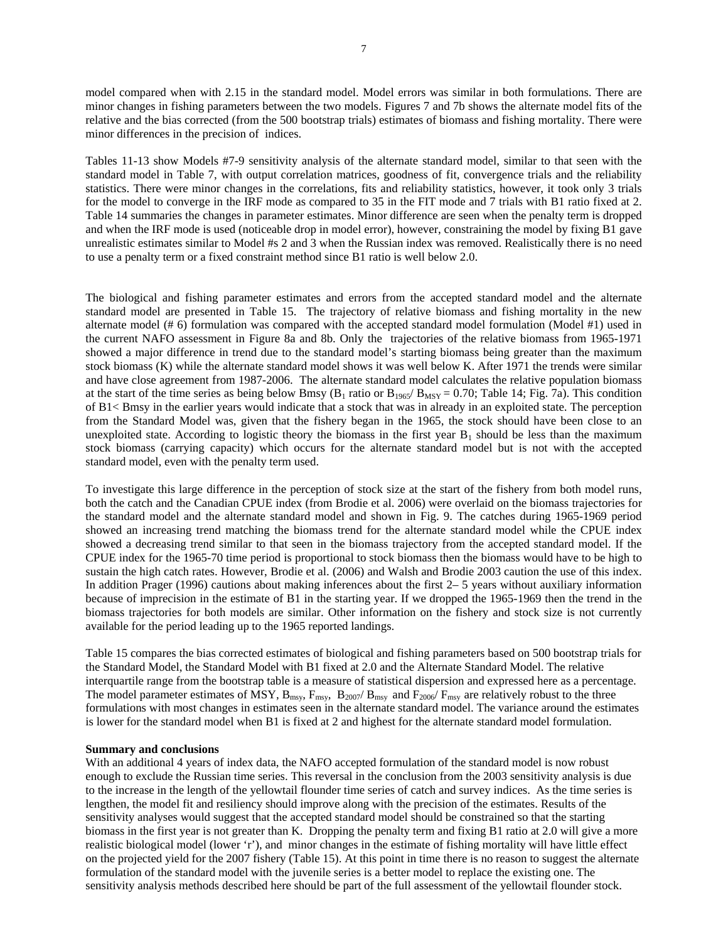model compared when with 2.15 in the standard model. Model errors was similar in both formulations. There are minor changes in fishing parameters between the two models. Figures 7 and 7b shows the alternate model fits of the relative and the bias corrected (from the 500 bootstrap trials) estimates of biomass and fishing mortality. There were minor differences in the precision of indices.

Tables 11-13 show Models #7-9 sensitivity analysis of the alternate standard model, similar to that seen with the standard model in Table 7, with output correlation matrices, goodness of fit, convergence trials and the reliability statistics. There were minor changes in the correlations, fits and reliability statistics, however, it took only 3 trials for the model to converge in the IRF mode as compared to 35 in the FIT mode and 7 trials with B1 ratio fixed at 2. Table 14 summaries the changes in parameter estimates. Minor difference are seen when the penalty term is dropped and when the IRF mode is used (noticeable drop in model error), however, constraining the model by fixing B1 gave unrealistic estimates similar to Model #s 2 and 3 when the Russian index was removed. Realistically there is no need to use a penalty term or a fixed constraint method since B1 ratio is well below 2.0.

The biological and fishing parameter estimates and errors from the accepted standard model and the alternate standard model are presented in Table 15. The trajectory of relative biomass and fishing mortality in the new alternate model (# 6) formulation was compared with the accepted standard model formulation (Model #1) used in the current NAFO assessment in Figure 8a and 8b. Only the trajectories of the relative biomass from 1965-1971 showed a major difference in trend due to the standard model's starting biomass being greater than the maximum stock biomass (K) while the alternate standard model shows it was well below K. After 1971 the trends were similar and have close agreement from 1987-2006. The alternate standard model calculates the relative population biomass at the start of the time series as being below Bmsy ( $B_1$  ratio or  $B_{1965}/ B_{MSY} = 0.70$ ; Table 14; Fig. 7a). This condition of B1< Bmsy in the earlier years would indicate that a stock that was in already in an exploited state. The perception from the Standard Model was, given that the fishery began in the 1965, the stock should have been close to an unexploited state. According to logistic theory the biomass in the first year  $B_1$  should be less than the maximum stock biomass (carrying capacity) which occurs for the alternate standard model but is not with the accepted standard model, even with the penalty term used.

To investigate this large difference in the perception of stock size at the start of the fishery from both model runs, both the catch and the Canadian CPUE index (from Brodie et al. 2006) were overlaid on the biomass trajectories for the standard model and the alternate standard model and shown in Fig. 9. The catches during 1965-1969 period showed an increasing trend matching the biomass trend for the alternate standard model while the CPUE index showed a decreasing trend similar to that seen in the biomass trajectory from the accepted standard model. If the CPUE index for the 1965-70 time period is proportional to stock biomass then the biomass would have to be high to sustain the high catch rates. However, Brodie et al. (2006) and Walsh and Brodie 2003 caution the use of this index. In addition Prager (1996) cautions about making inferences about the first 2– 5 years without auxiliary information because of imprecision in the estimate of B1 in the starting year. If we dropped the 1965-1969 then the trend in the biomass trajectories for both models are similar. Other information on the fishery and stock size is not currently available for the period leading up to the 1965 reported landings.

Table 15 compares the bias corrected estimates of biological and fishing parameters based on 500 bootstrap trials for the Standard Model, the Standard Model with B1 fixed at 2.0 and the Alternate Standard Model. The relative interquartile range from the bootstrap table is a measure of statistical dispersion and expressed here as a percentage. The model parameter estimates of MSY,  $B_{msy}$ ,  $F_{msy}$ ,  $B_{2007}/B_{msy}$  and  $F_{2006}/F_{msy}$  are relatively robust to the three formulations with most changes in estimates seen in the alternate standard model. The variance around the estimates is lower for the standard model when B1 is fixed at 2 and highest for the alternate standard model formulation.

#### **Summary and conclusions**

With an additional 4 years of index data, the NAFO accepted formulation of the standard model is now robust enough to exclude the Russian time series. This reversal in the conclusion from the 2003 sensitivity analysis is due to the increase in the length of the yellowtail flounder time series of catch and survey indices. As the time series is lengthen, the model fit and resiliency should improve along with the precision of the estimates. Results of the sensitivity analyses would suggest that the accepted standard model should be constrained so that the starting biomass in the first year is not greater than K. Dropping the penalty term and fixing B1 ratio at 2.0 will give a more realistic biological model (lower 'r'), and minor changes in the estimate of fishing mortality will have little effect on the projected yield for the 2007 fishery (Table 15). At this point in time there is no reason to suggest the alternate formulation of the standard model with the juvenile series is a better model to replace the existing one. The sensitivity analysis methods described here should be part of the full assessment of the yellowtail flounder stock.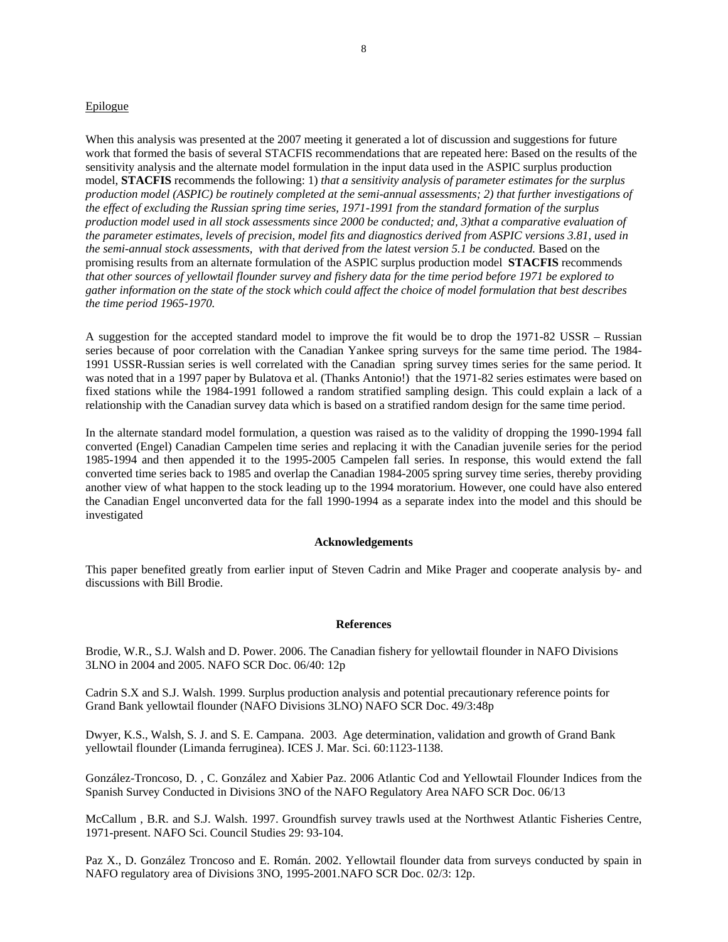### Epilogue

When this analysis was presented at the 2007 meeting it generated a lot of discussion and suggestions for future work that formed the basis of several STACFIS recommendations that are repeated here: Based on the results of the sensitivity analysis and the alternate model formulation in the input data used in the ASPIC surplus production model, **STACFIS** recommends the following: 1) *that a sensitivity analysis of parameter estimates for the surplus production model (ASPIC) be routinely completed at the semi-annual assessments; 2) that further investigations of the effect of excluding the Russian spring time series, 1971-1991 from the standard formation of the surplus production model used in all stock assessments since 2000 be conducted; and, 3)that a comparative evaluation of the parameter estimates, levels of precision, model fits and diagnostics derived from ASPIC versions 3.81, used in*  the semi-annual stock assessments, with that derived from the latest version 5.1 be conducted. Based on the promising results from an alternate formulation of the ASPIC surplus production model **STACFIS** recommends *that other sources of yellowtail flounder survey and fishery data for the time period before 1971 be explored to gather information on the state of the stock which could affect the choice of model formulation that best describes the time period 1965-1970.* 

A suggestion for the accepted standard model to improve the fit would be to drop the 1971-82 USSR – Russian series because of poor correlation with the Canadian Yankee spring surveys for the same time period. The 1984- 1991 USSR-Russian series is well correlated with the Canadian spring survey times series for the same period. It was noted that in a 1997 paper by Bulatova et al. (Thanks Antonio!) that the 1971-82 series estimates were based on fixed stations while the 1984-1991 followed a random stratified sampling design. This could explain a lack of a relationship with the Canadian survey data which is based on a stratified random design for the same time period.

In the alternate standard model formulation, a question was raised as to the validity of dropping the 1990-1994 fall converted (Engel) Canadian Campelen time series and replacing it with the Canadian juvenile series for the period 1985-1994 and then appended it to the 1995-2005 Campelen fall series. In response, this would extend the fall converted time series back to 1985 and overlap the Canadian 1984-2005 spring survey time series, thereby providing another view of what happen to the stock leading up to the 1994 moratorium. However, one could have also entered the Canadian Engel unconverted data for the fall 1990-1994 as a separate index into the model and this should be investigated

#### **Acknowledgements**

This paper benefited greatly from earlier input of Steven Cadrin and Mike Prager and cooperate analysis by- and discussions with Bill Brodie.

#### **References**

Brodie, W.R., S.J. Walsh and D. Power. 2006. The Canadian fishery for yellowtail flounder in NAFO Divisions 3LNO in 2004 and 2005. NAFO SCR Doc. 06/40: 12p

Cadrin S.X and S.J. Walsh. 1999. Surplus production analysis and potential precautionary reference points for Grand Bank yellowtail flounder (NAFO Divisions 3LNO) NAFO SCR Doc. 49/3:48p

Dwyer, K.S., Walsh, S. J. and S. E. Campana. 2003. Age determination, validation and growth of Grand Bank yellowtail flounder (Limanda ferruginea). ICES J. Mar. Sci. 60:1123-1138.

González-Troncoso, D. , C. González and Xabier Paz. 2006 Atlantic Cod and Yellowtail Flounder Indices from the Spanish Survey Conducted in Divisions 3NO of the NAFO Regulatory Area NAFO SCR Doc. 06/13

McCallum , B.R. and S.J. Walsh. 1997. Groundfish survey trawls used at the Northwest Atlantic Fisheries Centre, 1971-present. NAFO Sci. Council Studies 29: 93-104.

Paz X., D. González Troncoso and E. Román. 2002. Yellowtail flounder data from surveys conducted by spain in NAFO regulatory area of Divisions 3NO, 1995-2001.NAFO SCR Doc. 02/3: 12p.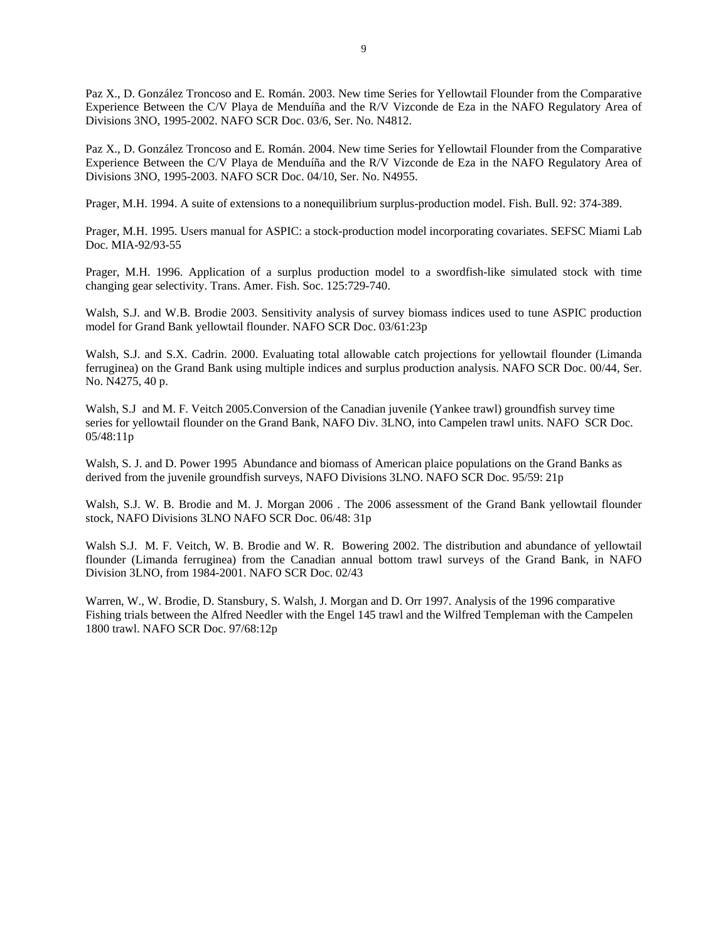Paz X., D. González Troncoso and E. Román. 2003. New time Series for Yellowtail Flounder from the Comparative Experience Between the C/V Playa de Menduíña and the R/V Vizconde de Eza in the NAFO Regulatory Area of Divisions 3NO, 1995-2002. NAFO SCR Doc. 03/6, Ser. No. N4812.

Paz X., D. González Troncoso and E. Román. 2004. New time Series for Yellowtail Flounder from the Comparative Experience Between the C/V Playa de Menduíña and the R/V Vizconde de Eza in the NAFO Regulatory Area of Divisions 3NO, 1995-2003. NAFO SCR Doc. 04/10, Ser. No. N4955.

Prager, M.H. 1994. A suite of extensions to a nonequilibrium surplus-production model. Fish. Bull. 92: 374-389.

Prager, M.H. 1995. Users manual for ASPIC: a stock-production model incorporating covariates. SEFSC Miami Lab Doc. MIA-92/93-55

Prager, M.H. 1996. Application of a surplus production model to a swordfish-like simulated stock with time changing gear selectivity. Trans. Amer. Fish. Soc. 125:729-740.

Walsh, S.J. and W.B. Brodie 2003. Sensitivity analysis of survey biomass indices used to tune ASPIC production model for Grand Bank yellowtail flounder. NAFO SCR Doc. 03/61:23p

Walsh, S.J. and S.X. Cadrin. 2000. Evaluating total allowable catch projections for yellowtail flounder (Limanda ferruginea) on the Grand Bank using multiple indices and surplus production analysis. NAFO SCR Doc. 00/44, Ser. No. N4275, 40 p.

Walsh, S.J and M. F. Veitch 2005.Conversion of the Canadian juvenile (Yankee trawl) groundfish survey time series for yellowtail flounder on the Grand Bank, NAFO Div. 3LNO, into Campelen trawl units. NAFO SCR Doc. 05/48:11p

Walsh, S. J. and D. Power 1995 Abundance and biomass of American plaice populations on the Grand Banks as derived from the juvenile groundfish surveys, NAFO Divisions 3LNO. NAFO SCR Doc. 95/59: 21p

Walsh, S.J. W. B. Brodie and M. J. Morgan 2006 . The 2006 assessment of the Grand Bank yellowtail flounder stock, NAFO Divisions 3LNO NAFO SCR Doc. 06/48: 31p

Walsh S.J. M. F. Veitch, W. B. Brodie and W. R. Bowering 2002. The distribution and abundance of yellowtail flounder (Limanda ferruginea) from the Canadian annual bottom trawl surveys of the Grand Bank, in NAFO Division 3LNO, from 1984-2001. NAFO SCR Doc. 02/43

Warren, W., W. Brodie, D. Stansbury, S. Walsh, J. Morgan and D. Orr 1997. Analysis of the 1996 comparative Fishing trials between the Alfred Needler with the Engel 145 trawl and the Wilfred Templeman with the Campelen 1800 trawl. NAFO SCR Doc. 97/68:12p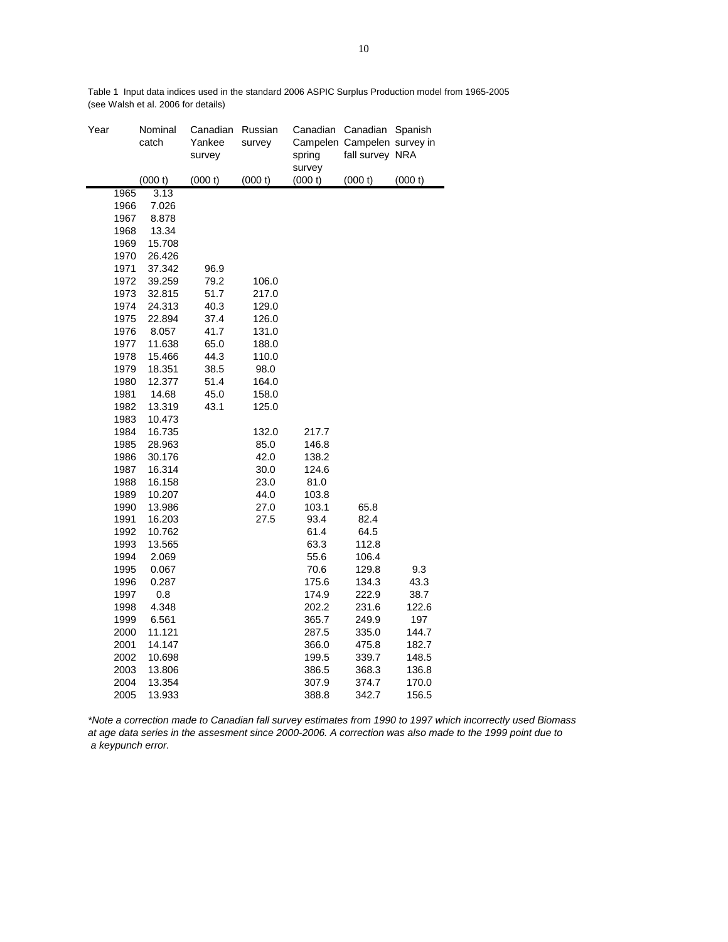| Year |      | Nominal<br>catch | Canadian<br>Yankee<br>survey | Russian<br>survey | Canadian<br>spring<br>survey | Canadian<br>Campelen Campelen survey in<br>fall survey NRA | Spanish |
|------|------|------------------|------------------------------|-------------------|------------------------------|------------------------------------------------------------|---------|
|      |      | (000 t)          | (000 t)                      | (000 t)           | (000 t)                      | (000 t)                                                    | (000 t) |
|      | 1965 | 3.13             |                              |                   |                              |                                                            |         |
|      | 1966 | 7.026            |                              |                   |                              |                                                            |         |
|      | 1967 | 8.878            |                              |                   |                              |                                                            |         |
|      | 1968 | 13.34            |                              |                   |                              |                                                            |         |
|      | 1969 | 15.708           |                              |                   |                              |                                                            |         |
|      | 1970 | 26.426           |                              |                   |                              |                                                            |         |
|      | 1971 | 37.342           | 96.9                         |                   |                              |                                                            |         |
|      | 1972 | 39.259           | 79.2                         | 106.0             |                              |                                                            |         |
|      | 1973 | 32.815           | 51.7                         | 217.0             |                              |                                                            |         |
|      | 1974 | 24.313           | 40.3                         | 129.0             |                              |                                                            |         |
|      | 1975 | 22.894           | 37.4                         | 126.0             |                              |                                                            |         |
|      | 1976 | 8.057            | 41.7                         | 131.0             |                              |                                                            |         |
|      | 1977 | 11.638           | 65.0                         | 188.0             |                              |                                                            |         |
|      | 1978 | 15.466           | 44.3                         | 110.0             |                              |                                                            |         |
|      | 1979 | 18.351           | 38.5                         | 98.0              |                              |                                                            |         |
|      | 1980 | 12.377           | 51.4                         | 164.0             |                              |                                                            |         |
|      | 1981 | 14.68            | 45.0                         | 158.0             |                              |                                                            |         |
|      | 1982 | 13.319           | 43.1                         | 125.0             |                              |                                                            |         |
|      | 1983 | 10.473           |                              |                   |                              |                                                            |         |
|      | 1984 | 16.735           |                              | 132.0             | 217.7                        |                                                            |         |
|      | 1985 | 28.963           |                              | 85.0              | 146.8                        |                                                            |         |
|      | 1986 | 30.176           |                              | 42.0              | 138.2                        |                                                            |         |
|      | 1987 | 16.314           |                              | 30.0              | 124.6                        |                                                            |         |
|      | 1988 | 16.158           |                              | 23.0              | 81.0                         |                                                            |         |
|      | 1989 | 10.207           |                              | 44.0              | 103.8                        |                                                            |         |
|      | 1990 | 13.986           |                              | 27.0              | 103.1                        | 65.8                                                       |         |
|      | 1991 | 16.203           |                              | 27.5              | 93.4                         | 82.4                                                       |         |
|      | 1992 | 10.762           |                              |                   | 61.4                         | 64.5                                                       |         |
|      | 1993 | 13.565           |                              |                   | 63.3                         | 112.8                                                      |         |
|      | 1994 | 2.069            |                              |                   | 55.6                         | 106.4                                                      |         |
|      | 1995 | 0.067            |                              |                   | 70.6                         | 129.8                                                      | 9.3     |
|      | 1996 | 0.287            |                              |                   | 175.6                        | 134.3                                                      | 43.3    |
|      | 1997 | 0.8              |                              |                   | 174.9                        | 222.9                                                      | 38.7    |
|      | 1998 | 4.348            |                              |                   | 202.2                        | 231.6                                                      | 122.6   |
|      | 1999 | 6.561            |                              |                   | 365.7                        | 249.9                                                      | 197     |
|      | 2000 | 11.121           |                              |                   | 287.5                        | 335.0                                                      | 144.7   |
|      | 2001 | 14.147           |                              |                   | 366.0                        | 475.8                                                      | 182.7   |
|      | 2002 | 10.698           |                              |                   | 199.5                        | 339.7                                                      | 148.5   |
|      | 2003 | 13.806           |                              |                   | 386.5                        | 368.3                                                      | 136.8   |
|      | 2004 | 13.354           |                              |                   | 307.9                        | 374.7                                                      | 170.0   |
|      | 2005 | 13.933           |                              |                   | 388.8                        | 342.7                                                      | 156.5   |

Table 1 Input data indices used in the standard 2006 ASPIC Surplus Production model from 1965-2005 (see Walsh et al. 2006 for details)

*\*Note a correction made to Canadian fall survey estimates from 1990 to 1997 which incorrectly used Biomass at age data series in the assesment since 2000-2006. A correction was also made to the 1999 point due to a keypunch error.*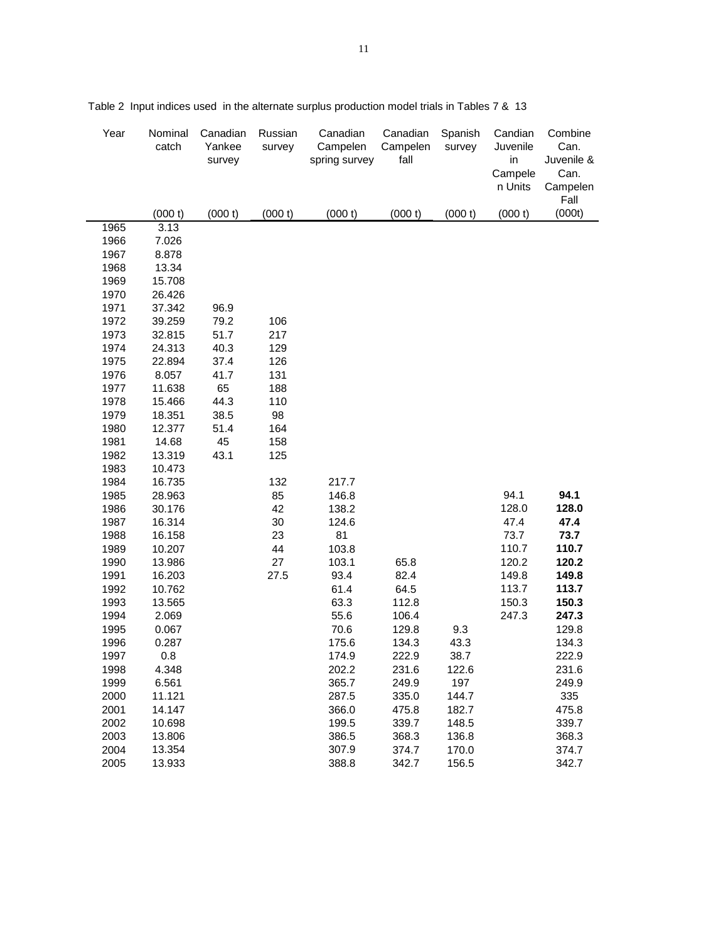| Year         | Nominal<br>catch | Canadian<br>Yankee<br>survey | Russian<br>survey | Canadian<br>Campelen<br>spring survey | Canadian<br>Campelen<br>fall | Spanish<br>survey | Candian<br>Juvenile<br>in<br>Campele<br>n Units | Combine<br>Can.<br>Juvenile &<br>Can.<br>Campelen<br>Fall |
|--------------|------------------|------------------------------|-------------------|---------------------------------------|------------------------------|-------------------|-------------------------------------------------|-----------------------------------------------------------|
|              | (000 t)          | (000 t)                      | (000 t)           | (000 t)                               | (000 t)                      | (000 t)           | (000 t)                                         | (000t)                                                    |
| 1965         | 3.13             |                              |                   |                                       |                              |                   |                                                 |                                                           |
| 1966         | 7.026            |                              |                   |                                       |                              |                   |                                                 |                                                           |
| 1967         | 8.878            |                              |                   |                                       |                              |                   |                                                 |                                                           |
| 1968         | 13.34            |                              |                   |                                       |                              |                   |                                                 |                                                           |
| 1969         | 15.708           |                              |                   |                                       |                              |                   |                                                 |                                                           |
| 1970         | 26.426           |                              |                   |                                       |                              |                   |                                                 |                                                           |
| 1971         | 37.342           | 96.9                         |                   |                                       |                              |                   |                                                 |                                                           |
| 1972         | 39.259           | 79.2                         | 106               |                                       |                              |                   |                                                 |                                                           |
| 1973         | 32.815           | 51.7                         | 217               |                                       |                              |                   |                                                 |                                                           |
| 1974         | 24.313           | 40.3                         | 129               |                                       |                              |                   |                                                 |                                                           |
| 1975         | 22.894           | 37.4                         | 126               |                                       |                              |                   |                                                 |                                                           |
| 1976         | 8.057            | 41.7                         | 131               |                                       |                              |                   |                                                 |                                                           |
| 1977         | 11.638           | 65                           | 188               |                                       |                              |                   |                                                 |                                                           |
| 1978         | 15.466           | 44.3                         | 110               |                                       |                              |                   |                                                 |                                                           |
| 1979         | 18.351           | 38.5                         | 98                |                                       |                              |                   |                                                 |                                                           |
| 1980         | 12.377           | 51.4                         | 164               |                                       |                              |                   |                                                 |                                                           |
| 1981         | 14.68            | 45                           | 158               |                                       |                              |                   |                                                 |                                                           |
| 1982         | 13.319           | 43.1                         | 125               |                                       |                              |                   |                                                 |                                                           |
| 1983         | 10.473           |                              |                   |                                       |                              |                   |                                                 |                                                           |
| 1984         | 16.735           |                              | 132               | 217.7                                 |                              |                   |                                                 |                                                           |
| 1985         | 28.963           |                              | 85                | 146.8                                 |                              |                   | 94.1                                            | 94.1                                                      |
| 1986         | 30.176           |                              | 42                | 138.2                                 |                              |                   | 128.0                                           | 128.0                                                     |
| 1987<br>1988 | 16.314           |                              | 30<br>23          | 124.6<br>81                           |                              |                   | 47.4<br>73.7                                    | 47.4<br>73.7                                              |
|              | 16.158           |                              |                   |                                       |                              |                   | 110.7                                           | 110.7                                                     |
| 1989<br>1990 | 10.207<br>13.986 |                              | 44<br>27          | 103.8<br>103.1                        | 65.8                         |                   | 120.2                                           | 120.2                                                     |
| 1991         | 16.203           |                              | 27.5              | 93.4                                  | 82.4                         |                   | 149.8                                           | 149.8                                                     |
| 1992         | 10.762           |                              |                   | 61.4                                  | 64.5                         |                   | 113.7                                           | 113.7                                                     |
| 1993         | 13.565           |                              |                   | 63.3                                  | 112.8                        |                   | 150.3                                           | 150.3                                                     |
| 1994         | 2.069            |                              |                   | 55.6                                  | 106.4                        |                   | 247.3                                           | 247.3                                                     |
| 1995         | 0.067            |                              |                   | 70.6                                  | 129.8                        | 9.3               |                                                 | 129.8                                                     |
| 1996         | 0.287            |                              |                   | 175.6                                 | 134.3                        | 43.3              |                                                 | 134.3                                                     |
| 1997         | $0.8\,$          |                              |                   | 174.9                                 | 222.9                        | 38.7              |                                                 | 222.9                                                     |
| 1998         | 4.348            |                              |                   | 202.2                                 | 231.6                        | 122.6             |                                                 | 231.6                                                     |
| 1999         | 6.561            |                              |                   | 365.7                                 | 249.9                        | 197               |                                                 | 249.9                                                     |
| 2000         | 11.121           |                              |                   | 287.5                                 | 335.0                        | 144.7             |                                                 | 335                                                       |
| 2001         | 14.147           |                              |                   | 366.0                                 | 475.8                        | 182.7             |                                                 | 475.8                                                     |
| 2002         | 10.698           |                              |                   | 199.5                                 | 339.7                        | 148.5             |                                                 | 339.7                                                     |
| 2003         | 13.806           |                              |                   | 386.5                                 | 368.3                        | 136.8             |                                                 | 368.3                                                     |
| 2004         | 13.354           |                              |                   | 307.9                                 | 374.7                        | 170.0             |                                                 | 374.7                                                     |
| 2005         | 13.933           |                              |                   | 388.8                                 | 342.7                        | 156.5             |                                                 | 342.7                                                     |

Table 2 Input indices used in the alternate surplus production model trials in Tables 7 & 13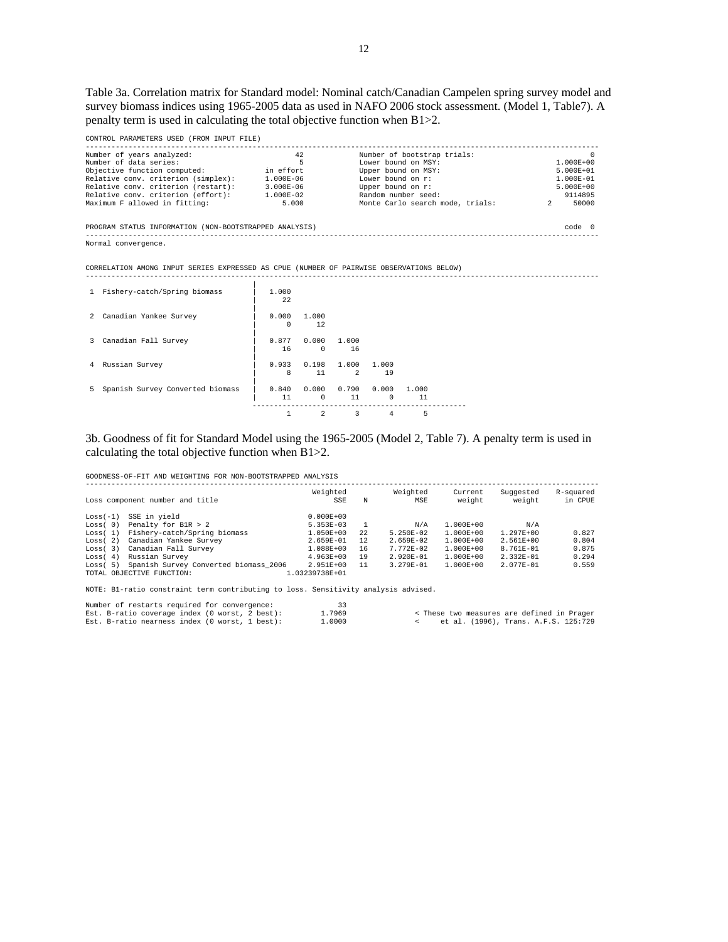Table 3a. Correlation matrix for Standard model: Nominal catch/Canadian Campelen spring survey model and survey biomass indices using 1965-2005 data as used in NAFO 2006 stock assessment. (Model 1, Table7). A penalty term is used in calculating the total objective function when B1>2.

| CONTROL PARAMETERS USED (FROM INPUT FILE)                                                |               |          |                     |                   |                                  |  |               |  |  |  |
|------------------------------------------------------------------------------------------|---------------|----------|---------------------|-------------------|----------------------------------|--|---------------|--|--|--|
| Number of years analyzed:                                                                | 42            |          |                     |                   | Number of bootstrap trials:      |  | $\cap$        |  |  |  |
| Number of data series:                                                                   | $\sim$ 5      |          |                     |                   | Lower bound on MSY:              |  | $1.000E + 00$ |  |  |  |
| Objective function computed: in effort                                                   |               |          |                     |                   | Upper bound on MSY:              |  | $5.000E + 01$ |  |  |  |
| Relative conv. criterion (simplex): 1.000E-06                                            |               |          |                     | Lower bound on r: |                                  |  | 1.000E-01     |  |  |  |
| Relative conv. criterion (restart): 3.000E-06                                            |               |          |                     | Upper bound on r: |                                  |  | $5.000E + 00$ |  |  |  |
| Relative conv. criterion (effort): 1.000E-02                                             |               |          |                     |                   | Random number seed:              |  | 9114895       |  |  |  |
| Maximum F allowed in fitting:                                                            | 5.000         |          |                     |                   | Monte Carlo search mode, trials: |  | 2 50000       |  |  |  |
| PROGRAM STATUS INFORMATION (NON-BOOTSTRAPPED ANALYSIS)<br>code 0                         |               |          |                     |                   |                                  |  |               |  |  |  |
| Normal convergence.                                                                      |               |          |                     |                   |                                  |  |               |  |  |  |
|                                                                                          |               |          |                     |                   |                                  |  |               |  |  |  |
| CORRELATION AMONG INPUT SERIES EXPRESSED AS CPUE (NUMBER OF PAIRWISE OBSERVATIONS BELOW) |               |          |                     |                   |                                  |  |               |  |  |  |
|                                                                                          |               |          |                     |                   |                                  |  |               |  |  |  |
| 1 Fishery-catch/Spring biomass                                                           | 1.000         |          |                     |                   |                                  |  |               |  |  |  |
|                                                                                          | 2.2           |          |                     |                   |                                  |  |               |  |  |  |
|                                                                                          |               |          |                     |                   |                                  |  |               |  |  |  |
| 2 Canadian Yankee Survey                                                                 | $0.000$ 1.000 |          |                     |                   |                                  |  |               |  |  |  |
|                                                                                          | $\Omega$      | 12       |                     |                   |                                  |  |               |  |  |  |
|                                                                                          |               |          |                     |                   |                                  |  |               |  |  |  |
| 3 Canadian Fall Survey                                                                   | 0.877         |          | $0.000 \quad 1.000$ |                   |                                  |  |               |  |  |  |
|                                                                                          | 16            | $\Omega$ | 16                  |                   |                                  |  |               |  |  |  |
|                                                                                          | 0.933         |          | $0.198$ 1.000 1.000 |                   |                                  |  |               |  |  |  |
| 4 Russian Survey                                                                         | 8             | 11       | $\overline{2}$      | 19                |                                  |  |               |  |  |  |
|                                                                                          |               |          |                     |                   |                                  |  |               |  |  |  |

| 5 Spanish Survey Converted biomass | 11 0 11 | $0.840$ $0.000$ $0.790$ $0.000$ $1.000$ |          |    |  |
|------------------------------------|---------|-----------------------------------------|----------|----|--|
|                                    |         | $1 \qquad 2 \qquad 3$                   | $\sim$ 4 | Б. |  |

# 3b. Goodness of fit for Standard Model using the 1965-2005 (Model 2, Table 7). A penalty term is used in calculating the total objective function when B1>2.

GOODNESS-OF-FIT AND WEIGHTING FOR NON-BOOTSTRAPPED ANALYSIS

|            | Loss component number and title       | Weighted<br>SSE   | N    | Weighted<br>MSE | Current<br>weight | Suggested<br>weight | R-squared<br>in CPUE |  |  |  |  |  |
|------------|---------------------------------------|-------------------|------|-----------------|-------------------|---------------------|----------------------|--|--|--|--|--|
| $Loss(-1)$ | SSE in vield                          | $0.000E + 00$     |      |                 |                   |                     |                      |  |  |  |  |  |
| Loss(0)    | Penalty for B1R > 2                   | 5.353E-03         |      | N/A             | $1.000E + 00$     | N/A                 |                      |  |  |  |  |  |
| Loss(1)    | Fishery-catch/Spring biomass          | $1.050E + 00$     | 2.2. | $5.250E - 02$   | $1.000E + 00$     | $1.297E + 00$       | 0.827                |  |  |  |  |  |
| Loss(2)    | Canadian Yankee Survey                | 2.659E-01         | 12   | $2.659E - 02$   | $1.000E + 00$     | $2.561E + 00$       | 0.804                |  |  |  |  |  |
| Loss(3)    | Canadian Fall Survey                  | 1.088E+00         | 16   | $7.772E - 02$   | $1.000E + 00$     | 8.761E-01           | 0.875                |  |  |  |  |  |
| Loss(4)    | Russian Survey                        | $4.963E+00$       | 19   | $2.920E - 01$   | $1.000E + 00$     | $2.332E - 01$       | 0.294                |  |  |  |  |  |
| Loss(5)    | Spanish Survey Converted biomass 2006 | 2.951E+00         | 11   | $3.279E - 01$   | $1.000E + 00$     | 2.077E-01           | 0.559                |  |  |  |  |  |
|            | TOTAL OBJECTIVE FUNCTION:             | $.03239738E + 01$ |      |                 |                   |                     |                      |  |  |  |  |  |

NOTE: B1-ratio constraint term contributing to loss. Sensitivity analysis advised.

| Number of restarts required for convergence:   | -33    |
|------------------------------------------------|--------|
| Est. B-ratio coverage index (0 worst, 2 best): | 1.7969 |
| Est. B-ratio nearness index (0 worst, 1 best): | 1.0000 |

k These two measures are defined in Prager<br>katal. (1996), Trans. A.F.S. 125:729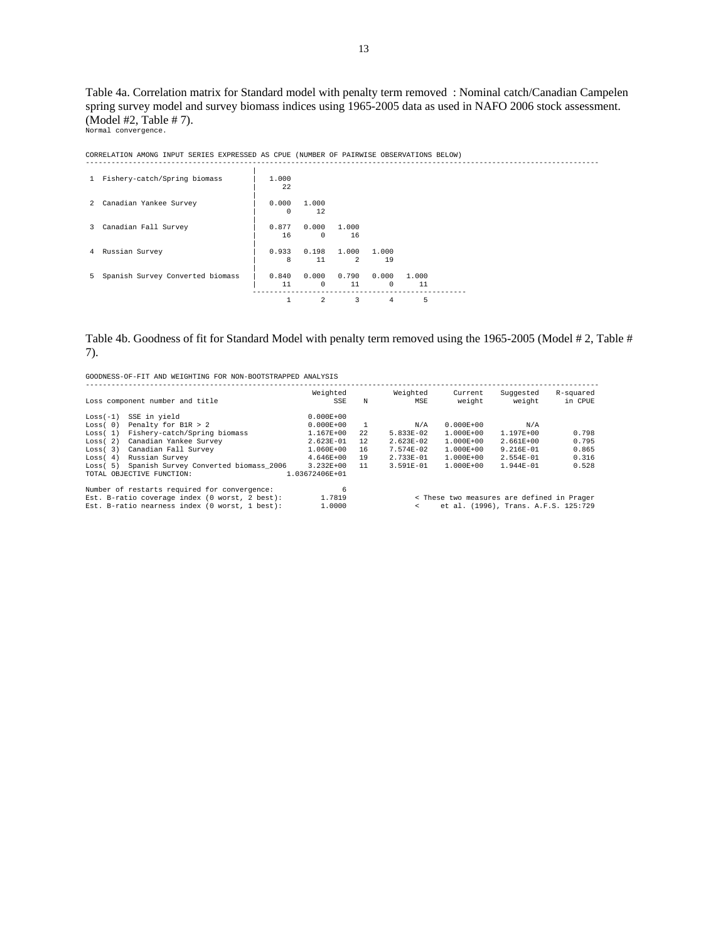Table 4a. Correlation matrix for Standard model with penalty term removed : Nominal catch/Canadian Campelen spring survey model and survey biomass indices using 1965-2005 data as used in NAFO 2006 stock assessment. (Model #2, Table # 7).

Normal convergence.

CORRELATION AMONG INPUT SERIES EXPRESSED AS CPUE (NUMBER OF PAIRWISE OBSERVATIONS BELOW)

| 1 Fishery-catch/Spring biomass     | 1,000<br>22         |                     |                         |                       |             |  |
|------------------------------------|---------------------|---------------------|-------------------------|-----------------------|-------------|--|
| 2 Canadian Yankee Survey           | 0.000<br>$^{\circ}$ | 1,000<br>12         |                         |                       |             |  |
| 3 Canadian Fall Survey             | 0.877<br>16         | 0.000<br>$^{\circ}$ | 1.000<br>16             |                       |             |  |
| 4 Russian Survey                   | 0.933<br>8          | 0.198<br>11         | 1.000<br>$\overline{2}$ | 1.000<br>19           |             |  |
| 5 Spanish Survey Converted biomass | 0.840<br>11         | 0.000<br>$^{\circ}$ | 0.790<br>11             | 0.000<br>$\mathbf{0}$ | 1,000<br>11 |  |
|                                    |                     | 2                   | 3                       | 4                     | 5           |  |

# Table 4b. Goodness of fit for Standard Model with penalty term removed using the 1965-2005 (Model # 2, Table # 7).

|            | Loss component number and title                | Weighted<br>SSE | N                                                  | Weighted<br>MSE                            | Current<br>weight | Suggested<br>weight | R-squared<br>in CPUE |  |  |  |  |
|------------|------------------------------------------------|-----------------|----------------------------------------------------|--------------------------------------------|-------------------|---------------------|----------------------|--|--|--|--|
| $Loss(-1)$ | SSE in yield                                   | $0.000E + 00$   |                                                    |                                            |                   |                     |                      |  |  |  |  |
| Loss(0)    | Penalty for B1R > 2                            | $0.000E + 00$   | $\overline{1}$                                     | N/A                                        | $0.000E + 00$     | N/A                 |                      |  |  |  |  |
| Loss(1)    | Fishery-catch/Spring biomass                   | $1.167E + 00$   | 2.2.                                               | $5.833E - 02$                              | $1.000E + 00$     | $1.197E + 00$       | 0.798                |  |  |  |  |
| Loss(2)    | Canadian Yankee Survey                         | $2.623E - 01$   | 12                                                 | $2.623E - 02$                              | $1.000E + 00$     | $2.661E + 00$       | 0.795                |  |  |  |  |
| Loss(3)    | Canadian Fall Survey                           | $1.060E + 00$   | 16                                                 | $7.574E - 02$                              | $1.000E + 00$     | $9.216E - 01$       | 0.865                |  |  |  |  |
| Loss(4)    | Russian Survey                                 | $4.646E+00$     | 19                                                 | $2.733E - 01$                              | $1.000E + 00$     | $2.554E - 01$       | 0.316                |  |  |  |  |
| Loss(5)    | Spanish Survey Converted biomass 2006          | $3.232E + 00$   | 11                                                 | $3.591E - 01$                              | $1.000E + 00$     | $1.944E - 01$       | 0.528                |  |  |  |  |
|            | TOTAL OBJECTIVE FUNCTION:                      | 1.03672406E+01  |                                                    |                                            |                   |                     |                      |  |  |  |  |
|            | Number of restarts required for convergence:   | 6               |                                                    |                                            |                   |                     |                      |  |  |  |  |
|            | Est. B-ratio coverage index (0 worst, 2 best): | 1.7819          |                                                    | < These two measures are defined in Prager |                   |                     |                      |  |  |  |  |
|            | Est. B-ratio nearness index (0 worst, 1 best): | 1,0000          | et al. (1996), Trans. A.F.S. 125:729<br>$\epsilon$ |                                            |                   |                     |                      |  |  |  |  |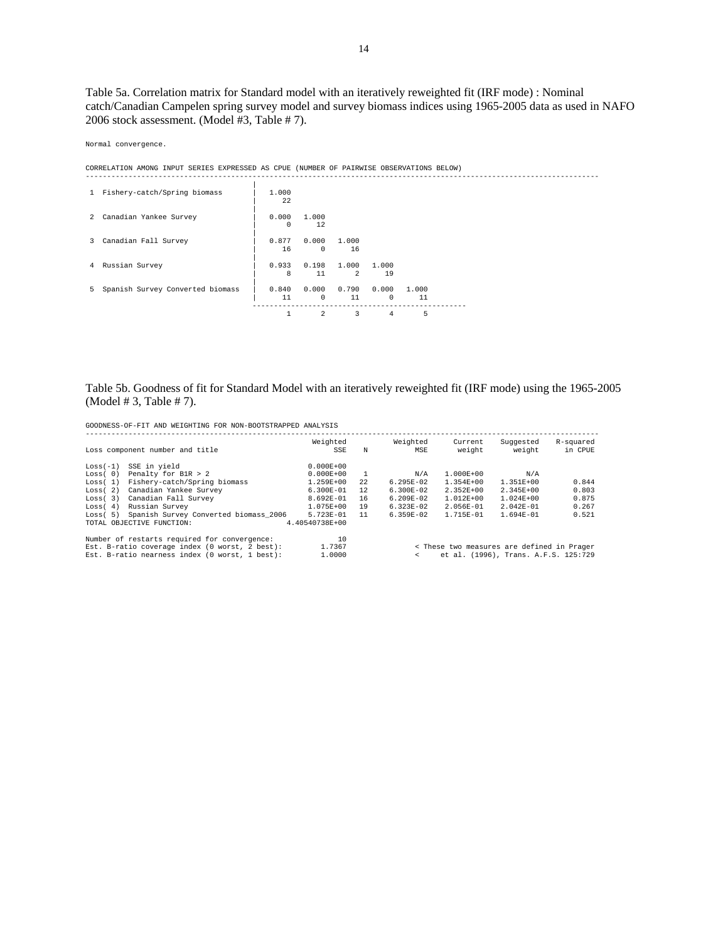Table 5a. Correlation matrix for Standard model with an iteratively reweighted fit (IRF mode) : Nominal catch/Canadian Campelen spring survey model and survey biomass indices using 1965-2005 data as used in NAFO 2006 stock assessment. (Model #3, Table # 7).

Normal convergence.

CORRELATION AMONG INPUT SERIES EXPRESSED AS CPUE (NUMBER OF PAIRWISE OBSERVATIONS BELOW)

| 1 Fishery-catch/Spring biomass     | 1,000<br>22       |                     |                         |                       |             |  |
|------------------------------------|-------------------|---------------------|-------------------------|-----------------------|-------------|--|
| 2 Canadian Yankee Survey           | 0.000<br>$\Omega$ | 1,000<br>12         |                         |                       |             |  |
| 3 Canadian Fall Survey             | 0.877<br>16       | 0.000<br>$^{\circ}$ | 1,000<br>16             |                       |             |  |
| 4 Russian Survey                   | 0.933<br>8        | 0.198<br>11         | 1.000<br>$\overline{2}$ | 1.000<br>19           |             |  |
| 5 Spanish Survey Converted biomass | 0.840<br>11       | 0.000<br>0          | 0.790<br>11             | 0.000<br>$\mathbf{0}$ | 1,000<br>11 |  |
|                                    |                   | 2                   | 3                       | 4                     | 5           |  |

# Table 5b. Goodness of fit for Standard Model with an iteratively reweighted fit (IRF mode) using the 1965-2005 (Model # 3, Table # 7).

|            | Loss component number and title                | Weighted<br>SSE | N              | Weighted<br>MSE                                    | Current<br>weight | Suqqested<br>weight                        | R-squared<br>in CPUE |  |  |  |  |
|------------|------------------------------------------------|-----------------|----------------|----------------------------------------------------|-------------------|--------------------------------------------|----------------------|--|--|--|--|
| $Loss(-1)$ | SSE in yield                                   | $0.000E + 00$   |                |                                                    |                   |                                            |                      |  |  |  |  |
| Loss(0)    | Penalty for B1R > 2                            | $0.000E + 00$   | $\overline{1}$ | N/A                                                | $1.000E + 00$     | N/A                                        |                      |  |  |  |  |
| Loss(1)    | Fishery-catch/Spring biomass                   | 1.259E+00       | 22             | $6.295E-02$                                        | $1.354E + 00$     | 1.351E+00                                  | 0.844                |  |  |  |  |
| Loss(2)    | Canadian Yankee Survey                         | $6.300E - 01$   | 12             | $6.300E - 02$                                      | $2.352E + 00$     | $2.345E + 00$                              | 0.803                |  |  |  |  |
| Loss(3)    | Canadian Fall Survey                           | $8.692E - 01$   | 16             | $6.209E - 02$                                      | $1.012E + 00$     | $1.024E + 00$                              | 0.875                |  |  |  |  |
| Loss(4)    | Russian Survey                                 | $1.075E + 00$   | 19             | $6.323E - 02$                                      | $2.056E - 01$     | $2.042E - 01$                              | 0.267                |  |  |  |  |
| Loss(5)    | Spanish Survey Converted biomass 2006          | $5.723E - 01$   | 11             | $6.359E - 02$                                      | $1.715E - 01$     | $1.694E - 01$                              | 0.521                |  |  |  |  |
|            | TOTAL OBJECTIVE FUNCTION:                      | 4.40540738E+00  |                |                                                    |                   |                                            |                      |  |  |  |  |
|            | Number of restarts required for convergence:   | 10              |                |                                                    |                   |                                            |                      |  |  |  |  |
|            | Est. B-ratio coverage index (0 worst, 2 best): | 1.7367          |                |                                                    |                   | < These two measures are defined in Prager |                      |  |  |  |  |
|            | Est. B-ratio nearness index (0 worst, 1 best): | 1,0000          |                | et al. (1996), Trans. A.F.S. 125:729<br>$\epsilon$ |                   |                                            |                      |  |  |  |  |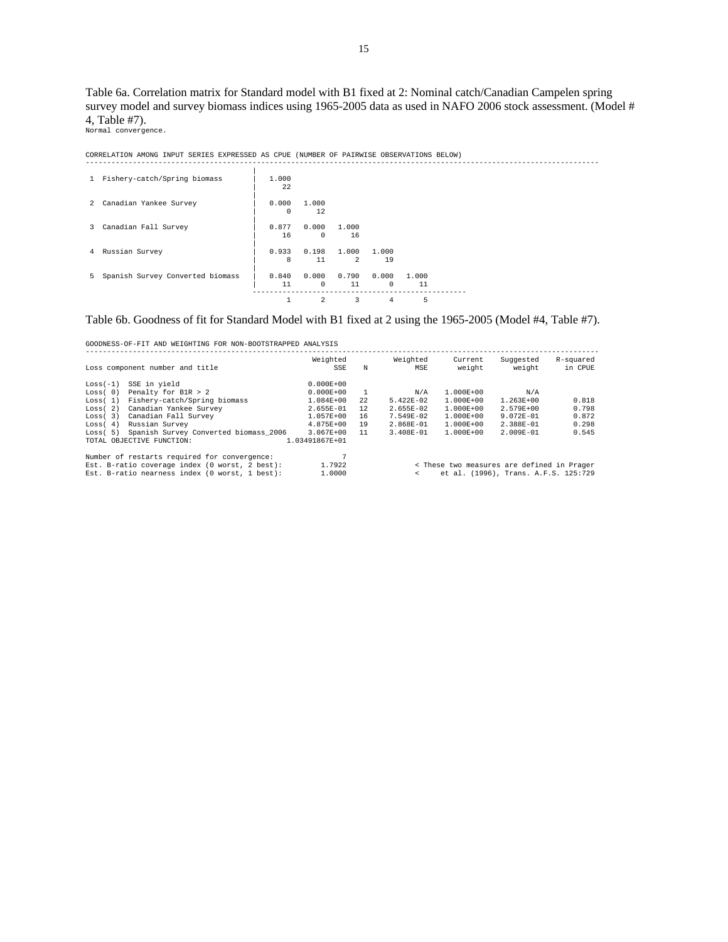Table 6a. Correlation matrix for Standard model with B1 fixed at 2: Nominal catch/Canadian Campelen spring survey model and survey biomass indices using 1965-2005 data as used in NAFO 2006 stock assessment. (Model # 4, Table #7).

------------------------------------------------------------------------------------------------------------------------

Normal convergence.

CORRELATION AMONG INPUT SERIES EXPRESSED AS CPUE (NUMBER OF PAIRWISE OBSERVATIONS BELOW)

| $\mathbf{1}$ | Fishery-catch/Spring biomass     | 1.000<br>22 |                           |                         |                   |             |  |
|--------------|----------------------------------|-------------|---------------------------|-------------------------|-------------------|-------------|--|
| 2            | Canadian Yankee Survey           | 0.000<br>0  | 1.000<br>12               |                         |                   |             |  |
| 3            | Canadian Fall Survey             | 0.877<br>16 | 0.000<br>$\Omega$         | 1.000<br>-16            |                   |             |  |
| 4            | Russian Survey                   | 0.933<br>8  | 0.198<br>11               | 1,000<br>$\mathfrak{D}$ | 1,000<br>19       |             |  |
| 5            | Spanish Survey Converted biomass | 0.840<br>11 | 0.000<br>$^{\circ}$       | 0.790<br>11             | 0.000<br>$\Omega$ | 1.000<br>11 |  |
|              |                                  |             | -------<br>$\mathfrak{D}$ | 3                       | 4                 | 5           |  |

# Table 6b. Goodness of fit for Standard Model with B1 fixed at 2 using the 1965-2005 (Model #4, Table #7).

| Loss component number and title                  | Weighted<br>SSE | N   | Weighted<br>MSE | Current<br>weight                    | Suqqested<br>weight                        | R-squared<br>in CPUE |  |  |  |  |  |
|--------------------------------------------------|-----------------|-----|-----------------|--------------------------------------|--------------------------------------------|----------------------|--|--|--|--|--|
| SSE in yield<br>$Loss(-1)$                       | $0.000E + 00$   |     |                 |                                      |                                            |                      |  |  |  |  |  |
| Penalty for B1R > 2<br>Loss(0)                   | $0.000E + 00$   |     | N/A             | $1.000E + 00$                        | N/A                                        |                      |  |  |  |  |  |
| Fishery-catch/Spring biomass<br>Loss(1)          | $1.084E + 00$   | 22  | $5.422E - 02$   | $1.000E + 00$                        | $1.263E + 00$                              | 0.818                |  |  |  |  |  |
| Canadian Yankee Survey<br>Loss(2)                | $2.655E - 01$   | 12. | $2.655E - 02$   | $1.000E + 00$                        | $2.579E + 00$                              | 0.798                |  |  |  |  |  |
| Canadian Fall Survey<br>Loss(3)                  | 1.057E+00       | 16  | 7.549E-02       | $1.000E + 00$                        | $9.072E - 01$                              | 0.872                |  |  |  |  |  |
| Russian Survey<br>Loss(4)                        | $4.875E + 00$   | 19  | $2.868E - 01$   | $1.000E + 00$                        | $2.388E - 01$                              | 0.298                |  |  |  |  |  |
| Spanish Survey Converted biomass 2006<br>Loss(5) | $3.067E + 00$   | 11  | $3.408E - 01$   | $1.000E + 00$                        | $2.009E - 01$                              | 0.545                |  |  |  |  |  |
| TOTAL OBJECTIVE FUNCTION:                        | 1.03491867E+01  |     |                 |                                      |                                            |                      |  |  |  |  |  |
| Number of restarts required for convergence:     | n               |     |                 |                                      |                                            |                      |  |  |  |  |  |
| Est. B-ratio coverage index (0 worst, 2 best):   | 1.7922          |     |                 |                                      | < These two measures are defined in Prager |                      |  |  |  |  |  |
| Est. B-ratio nearness index (0 worst, 1 best):   | 1,0000          |     | $\epsilon$      | et al. (1996), Trans. A.F.S. 125:729 |                                            |                      |  |  |  |  |  |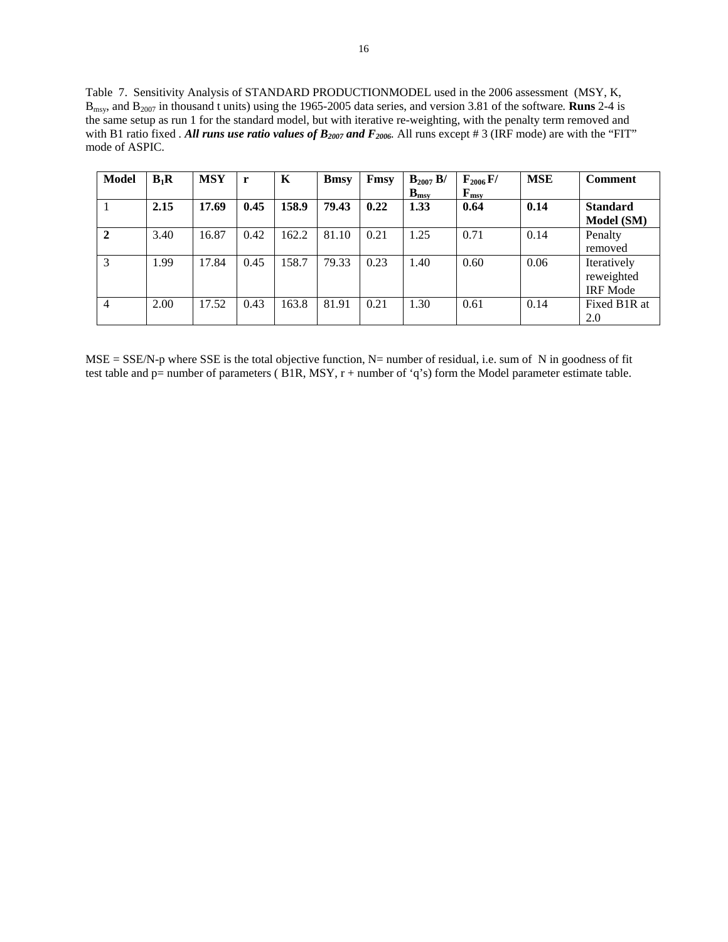Table 7. Sensitivity Analysis of STANDARD PRODUCTIONMODEL used in the 2006 assessment (MSY, K, Bmsy, and B2007 in thousand t units) using the 1965-2005 data series, and version 3.81 of the software*.* **Runs** 2-4 is the same setup as run 1 for the standard model, but with iterative re-weighting, with the penalty term removed and with B1 ratio fixed *. All runs use ratio values of B<sub>2007</sub> and F<sub>2006</sub>. All runs except # 3 (IRF mode) are with the "FIT"* mode of ASPIC.

| <b>Model</b>   | $B_1R$ | <b>MSY</b> | r    | K     | <b>B</b> msy | Fmsy | $B_{2007} B/$ | $F_{2006} F/$                                 | <b>MSE</b> | <b>Comment</b>  |
|----------------|--------|------------|------|-------|--------------|------|---------------|-----------------------------------------------|------------|-----------------|
|                |        |            |      |       |              |      | $B_{\rm msv}$ | $\mathbf{F}_{\mathbf{m}\mathbf{s}\mathbf{v}}$ |            |                 |
|                | 2.15   | 17.69      | 0.45 | 158.9 | 79.43        | 0.22 | 1.33          | 0.64                                          | 0.14       | <b>Standard</b> |
|                |        |            |      |       |              |      |               |                                               |            | Model (SM)      |
| $\mathbf{2}$   | 3.40   | 16.87      | 0.42 | 162.2 | 81.10        | 0.21 | 1.25          | 0.71                                          | 0.14       | Penalty         |
|                |        |            |      |       |              |      |               |                                               |            | removed         |
| 3              | 1.99   | 17.84      | 0.45 | 158.7 | 79.33        | 0.23 | 1.40          | 0.60                                          | 0.06       | Iteratively     |
|                |        |            |      |       |              |      |               |                                               |            | reweighted      |
|                |        |            |      |       |              |      |               |                                               |            | <b>IRF</b> Mode |
| $\overline{4}$ | 2.00   | 17.52      | 0.43 | 163.8 | 81.91        | 0.21 | 1.30          | 0.61                                          | 0.14       | Fixed B1R at    |
|                |        |            |      |       |              |      |               |                                               |            | 2.0             |

 $MSE = SSE/N-p$  where SSE is the total objective function, N= number of residual, i.e. sum of N in goodness of fit test table and p= number of parameters ( B1R, MSY, r + number of 'q's) form the Model parameter estimate table.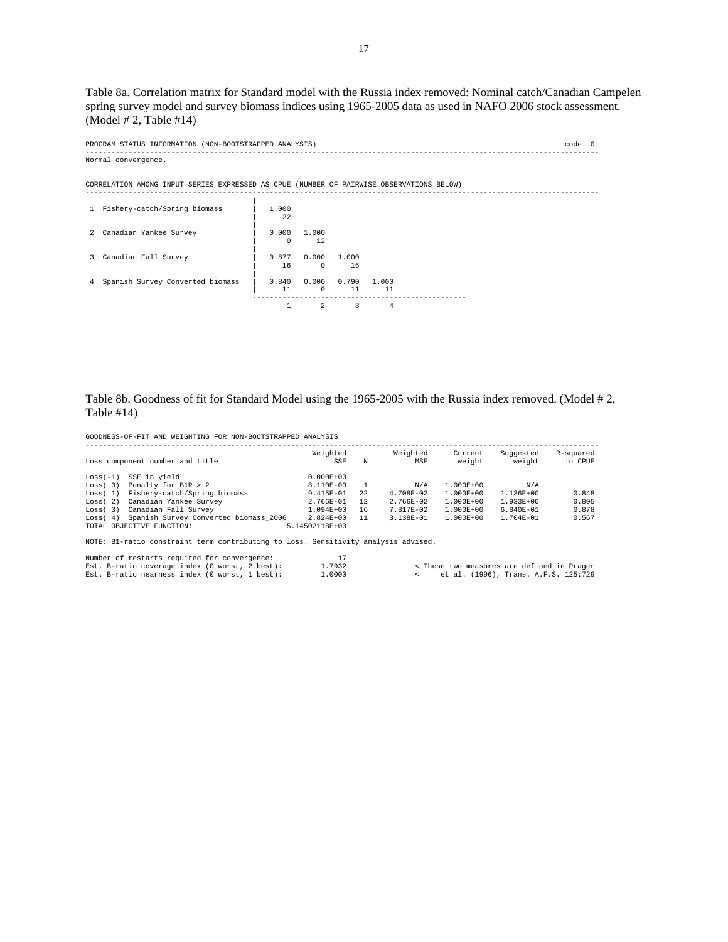Table 8a. Correlation matrix for Standard model with the Russia index removed: Nominal catch/Canadian Campelen spring survey model and survey biomass indices using 1965-2005 data as used in NAFO 2006 stock assessment. (Model # 2, Table #14)

------------------------------------------------------------------------------------------------------------------------

PROGRAM STATUS INFORMATION (NON-BOOTSTRAPPED ANALYSIS) code 0 ------------------------------------------------------------------------------------------------------------------------ Normal convergence.

CORRELATION AMONG INPUT SERIES EXPRESSED AS CPUE (NUMBER OF PAIRWISE OBSERVATIONS BELOW)

| $\mathbf{1}$ | Fishery-catch/Spring biomass     | 1,000<br>22       |                   |             |             |  |
|--------------|----------------------------------|-------------------|-------------------|-------------|-------------|--|
| 2            | Canadian Yankee Survey           | 0.000<br>$\Omega$ | 1,000<br>12       |             |             |  |
| 3            | Canadian Fall Survey             | 0.877<br>16       | 0.000<br>$\Omega$ | 1,000<br>16 |             |  |
| 4            | Spanish Survey Converted biomass | 0.840<br>11       | 0.000<br>$\Omega$ | 0.790<br>11 | 1.000<br>11 |  |
|              |                                  |                   |                   |             | 4           |  |

# Table 8b. Goodness of fit for Standard Model using the 1965-2005 with the Russia index removed. (Model # 2, Table #14)

GOODNESS-OF-FIT AND WEIGHTING FOR NON-BOOTSTRAPPED ANALYSIS

|            | Loss component number and title       | Weighted<br>SSE | N  | Weighted<br>MSE | Current<br>weight | Suggested<br>weight | R-squared<br>in CPUE |  |  |  |  |  |
|------------|---------------------------------------|-----------------|----|-----------------|-------------------|---------------------|----------------------|--|--|--|--|--|
| $Loss(-1)$ | SSE in vield                          | $0.000E + 00$   |    |                 |                   |                     |                      |  |  |  |  |  |
| Loss (0)   | Penalty for B1R > 2                   | 8.110E-03       |    | N/A             | $1.000E + 00$     | N/A                 |                      |  |  |  |  |  |
| Loss(1)    | Fishery-catch/Spring biomass          | 9.415E-01       | 22 | $4.708E - 02$   | $1.000E + 00$     | $1.136E + 00$       | 0.848                |  |  |  |  |  |
| Loss(2)    | Canadian Yankee Survey                | $2.766E - 01$   | 12 | $2.766E - 02$   | $1.000E + 00$     | $1.933E + 00$       | 0.805                |  |  |  |  |  |
| Loss(3)    | Canadian Fall Survey                  | $1.094E + 00$   | 16 | $7.817E - 02$   | $1.000E + 00$     | $6.840E - 01$       | 0.878                |  |  |  |  |  |
| Loss(4)    | Spanish Survey Converted biomass 2006 | $2.824E + 00$   | 11 | $3.138E - 01$   | $1.000E + 00$     | $1.704E - 01$       | 0.567                |  |  |  |  |  |
|            | TOTAL OBJECTIVE FUNCTION:             | 5.14502118E+00  |    |                 |                   |                     |                      |  |  |  |  |  |

NOTE: B1-ratio constraint term contributing to loss. Sensitivity analysis advised.

| Number of restarts required for convergence:   |        |  |                                            |  |
|------------------------------------------------|--------|--|--------------------------------------------|--|
| Est. B-ratio coverage index (0 worst, 2 best): | 1.7932 |  | < These two measures are defined in Prager |  |
| Est. B-ratio nearness index (0 worst, 1 best): | 1,0000 |  | et al. (1996), Trans. A.F.S. 125:729       |  |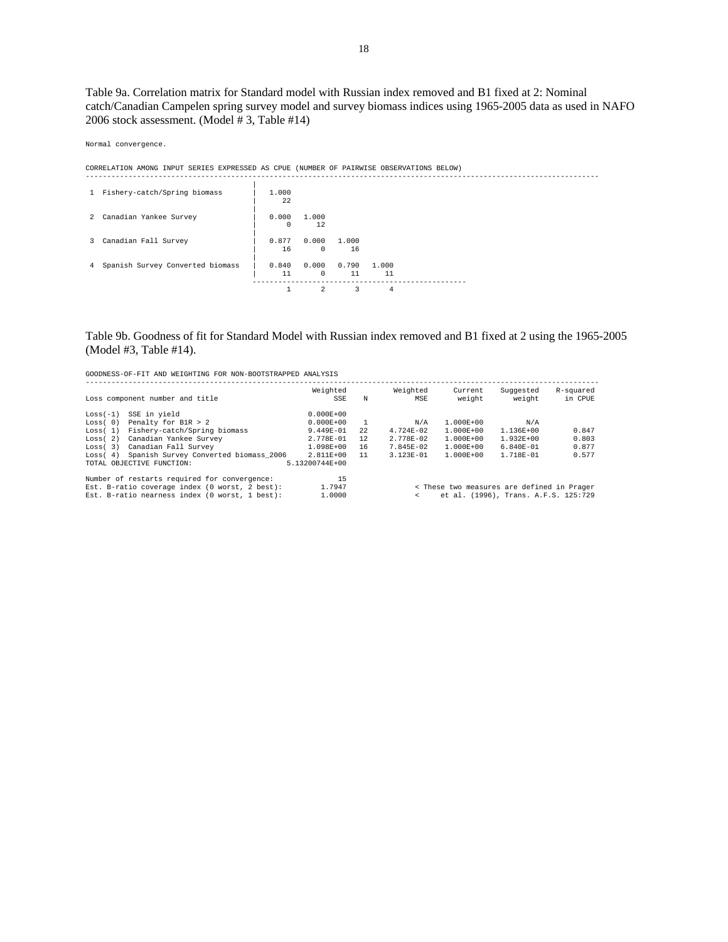Table 9a. Correlation matrix for Standard model with Russian index removed and B1 fixed at 2: Nominal catch/Canadian Campelen spring survey model and survey biomass indices using 1965-2005 data as used in NAFO 2006 stock assessment. (Model # 3, Table #14)

Normal convergence.

CORRELATION AMONG INPUT SERIES EXPRESSED AS CPUE (NUMBER OF PAIRWISE OBSERVATIONS BELOW)

|                | 1 Fishery-catch/Spring biomass   | 1,000<br>22 |                     |             |             |  |
|----------------|----------------------------------|-------------|---------------------|-------------|-------------|--|
|                | 2 Canadian Yankee Survey         | 0.000<br>0  | 1,000<br>12         |             |             |  |
|                | 3 Canadian Fall Survey           | 0.877<br>16 | 0.000<br>$^{\circ}$ | 1.000<br>16 |             |  |
| $4\phantom{0}$ | Spanish Survey Converted biomass | 0.840<br>11 | 0.000<br>$^{\circ}$ | 0.790<br>11 | 1.000<br>11 |  |
|                |                                  |             | 2                   | 3           | 4           |  |

# Table 9b. Goodness of fit for Standard Model with Russian index removed and B1 fixed at 2 using the 1965-2005 (Model #3, Table #14).

|            | Loss component number and title                                                                                                                  | Weighted<br>SSE        | N  | Weighted<br>MSE | Current<br>weight | Suggested<br>weight                                                                | R-squared<br>in CPUE |
|------------|--------------------------------------------------------------------------------------------------------------------------------------------------|------------------------|----|-----------------|-------------------|------------------------------------------------------------------------------------|----------------------|
| $Loss(-1)$ | SSE in vield                                                                                                                                     | $0.000E + 00$          |    |                 |                   |                                                                                    |                      |
| Loss(0)    | Penalty for B1R > 2                                                                                                                              | $0.000E + 00$          |    | N/A             | $1.000E + 00$     | N/A                                                                                |                      |
| Loss(1)    | Fishery-catch/Spring biomass                                                                                                                     | $9.449E - 01$          | 22 | $4.724E - 02$   | $1.000E + 00$     | $1.136E + 00$                                                                      | 0.847                |
| Loss(2)    | Canadian Yankee Survey                                                                                                                           | $2.778E - 01$          | 12 | $2.778E - 02$   | $1.000E + 00$     | $1.932E + 00$                                                                      | 0.803                |
| Loss(3)    | Canadian Fall Survey                                                                                                                             | $1.098E + 00$          | 16 | $7.845E - 02$   | $1.000E + 00$     | $6.840E - 01$                                                                      | 0.877                |
| Loss(4)    | Spanish Survey Converted biomass 2006                                                                                                            | $2.811E + 00$          | 11 | $3.123E - 01$   | $1.000E + 00$     | 1.718E-01                                                                          | 0.577                |
|            | TOTAL OBJECTIVE FUNCTION:                                                                                                                        | 5.13200744E+00         |    |                 |                   |                                                                                    |                      |
|            | Number of restarts required for convergence:<br>Est. B-ratio coverage index (0 worst, 2 best):<br>Est. B-ratio nearness index (0 worst, 1 best): | 15<br>1.7947<br>1,0000 |    | $\epsilon$      |                   | < These two measures are defined in Prager<br>et al. (1996), Trans. A.F.S. 125:729 |                      |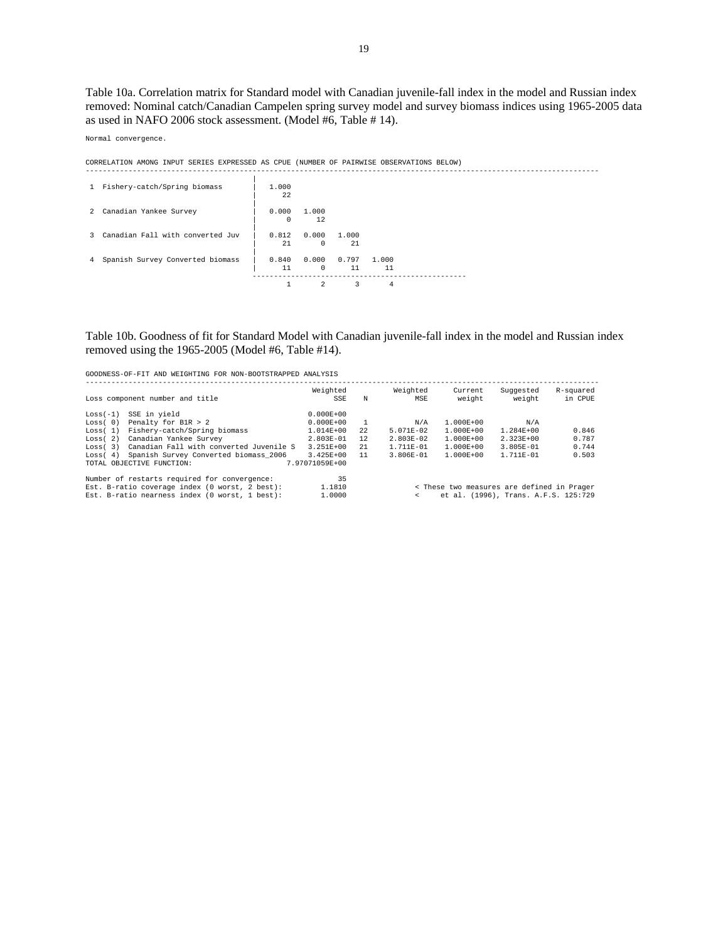Table 10a. Correlation matrix for Standard model with Canadian juvenile-fall index in the model and Russian index removed: Nominal catch/Canadian Campelen spring survey model and survey biomass indices using 1965-2005 data as used in NAFO 2006 stock assessment. (Model #6, Table # 14).

Normal convergence.

| CORRELATION AMONG INPUT SERIES EXPRESSED AS CPUE (NUMBER OF PAIRWISE OBSERVATIONS BELOW) |                   |                   |             |             |  |  |
|------------------------------------------------------------------------------------------|-------------------|-------------------|-------------|-------------|--|--|
| 1 Fishery-catch/Spring biomass                                                           | 1,000<br>2.2.     |                   |             |             |  |  |
| 2 Canadian Yankee Survey                                                                 | 0.000<br>$\Omega$ | 1,000<br>12       |             |             |  |  |
| 3 Canadian Fall with converted Juv                                                       | 0.812<br>2.1      | 0.000<br>$\Omega$ | 1.000<br>21 |             |  |  |
| 4 Spanish Survey Converted biomass                                                       | 0.840<br>11       | 0.000<br>$\Omega$ | 0.797<br>11 | 1.000<br>11 |  |  |
|                                                                                          |                   | $\mathcal{L}$     |             |             |  |  |

# Table 10b. Goodness of fit for Standard Model with Canadian juvenile-fall index in the model and Russian index removed using the 1965-2005 (Model #6, Table #14).

|            | Loss component number and title                | Weighted<br>SSE | N  | Weighted<br>MSE | Current<br>weight                          | Suggested<br>weight                  | R-squared<br>in CPUE |
|------------|------------------------------------------------|-----------------|----|-----------------|--------------------------------------------|--------------------------------------|----------------------|
| $Loss(-1)$ | SSE in vield                                   | $0.000E + 00$   |    |                 |                                            |                                      |                      |
| Loss(0)    | Penalty for B1R > 2                            | $0.000E + 00$   |    | N/A             | $1.000E + 00$                              | N/A                                  |                      |
| Loss(1)    | Fishery-catch/Spring biomass                   | $1.014E + 00$   | 22 | $5.071E - 02$   | $1.000E + 00$                              | $1.284E + 00$                        | 0.846                |
| Loss(2)    | Canadian Yankee Survey                         | $2.803E - 01$   | 12 | $2.803E - 02$   | $1.000E + 00$                              | $2.323E+00$                          | 0.787                |
| Loss(3)    | Canadian Fall with converted Juvenile S        | $3.251E + 00$   | 21 | $1.711E - 01$   | $1.000E + 00$                              | $3.805E - 01$                        | 0.744                |
| Loss(4)    | Spanish Survey Converted biomass 2006          | $3.425E + 00$   | 11 | $3.806E - 01$   | $1.000E + 00$                              | $1.711E - 01$                        | 0.503                |
|            | TOTAL OBJECTIVE FUNCTION:                      | 7.97071059E+00  |    |                 |                                            |                                      |                      |
|            | Number of restarts required for convergence:   | 35              |    |                 |                                            |                                      |                      |
|            | Est. B-ratio coverage index (0 worst, 2 best): | 1,1810          |    |                 | < These two measures are defined in Prager |                                      |                      |
|            | Est. B-ratio nearness index (0 worst, 1 best): | 1,0000          |    | $\epsilon$      |                                            | et al. (1996), Trans. A.F.S. 125:729 |                      |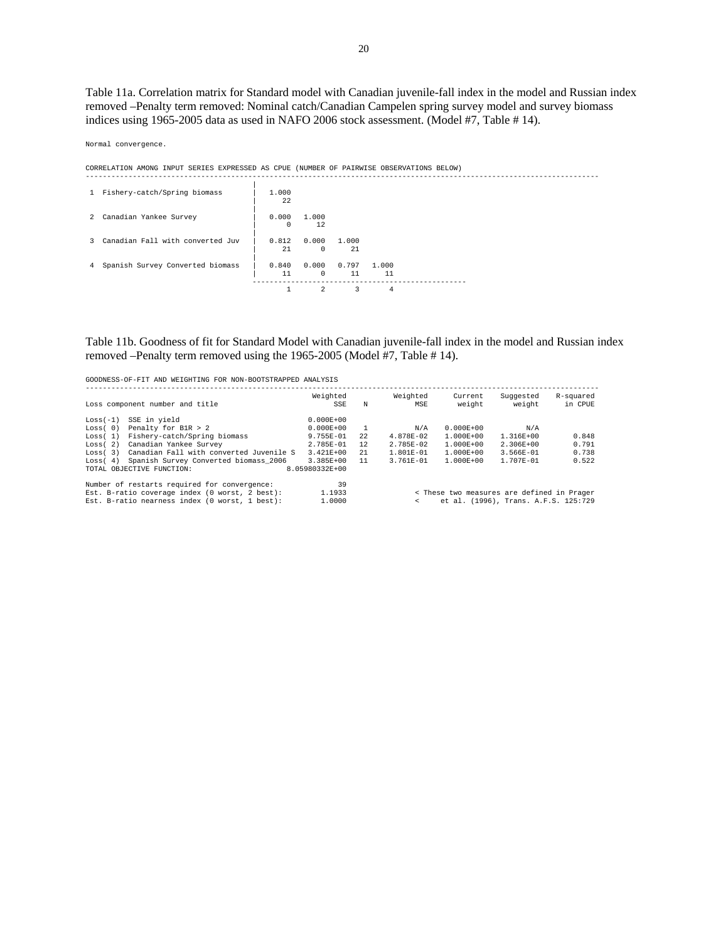Table 11a. Correlation matrix for Standard model with Canadian juvenile-fall index in the model and Russian index removed –Penalty term removed: Nominal catch/Canadian Campelen spring survey model and survey biomass indices using 1965-2005 data as used in NAFO 2006 stock assessment. (Model #7, Table # 14).

Normal convergence.

CORRELATION AMONG INPUT SERIES EXPRESSED AS CPUE (NUMBER OF PAIRWISE OBSERVATIONS BELOW)

| 1 Fishery-catch/Spring biomass     | 1,000<br>22 |                     |             |             |  |
|------------------------------------|-------------|---------------------|-------------|-------------|--|
| 2 Canadian Yankee Survey           | 0.000<br>0  | 1,000<br>12         |             |             |  |
| 3 Canadian Fall with converted Juv | 0.812<br>21 | 0.000<br>$^{\circ}$ | 1.000<br>21 |             |  |
| 4 Spanish Survey Converted biomass | 0.840<br>11 | 0.000<br>$\Omega$   | 0.797<br>11 | 1,000<br>11 |  |
|                                    |             | $\mathfrak{D}$      | 3           | 4           |  |

# Table 11b. Goodness of fit for Standard Model with Canadian juvenile-fall index in the model and Russian index removed –Penalty term removed using the 1965-2005 (Model #7, Table # 14).

| GOODNESS-OF-FIT AND WEIGHTING FOR NON-BOOTSTRAPPED ANALYSIS                                           |                                                      |    |                 |                   |                     |                      |  |  |  |  |  |
|-------------------------------------------------------------------------------------------------------|------------------------------------------------------|----|-----------------|-------------------|---------------------|----------------------|--|--|--|--|--|
| Loss component number and title                                                                       | Weighted<br>SSE                                      | N  | Weighted<br>MSE | Current<br>weight | Suggested<br>weight | R-squared<br>in CPUE |  |  |  |  |  |
| SSE in yield<br>$Loss(-1)$                                                                            | $0.000E + 00$                                        |    |                 |                   |                     |                      |  |  |  |  |  |
| Penalty for B1R > 2<br>Loss(0)                                                                        | $0.000E + 00$                                        |    | N/A             | $0.000E + 00$     | N/A                 |                      |  |  |  |  |  |
| Fishery-catch/Spring biomass<br>Loss(1)                                                               | $9.755E - 01$                                        | 22 | 4.878E-02       | $1.000E + 00$     | $1.316E + 00$       | 0.848                |  |  |  |  |  |
| Canadian Yankee Survey<br>Loss(2)                                                                     | 2.785E-01                                            | 12 | $2.785E - 02$   | $1.000E + 00$     | $2.306E + 00$       | 0.791                |  |  |  |  |  |
| Canadian Fall with converted Juvenile S<br>Loss(3)                                                    | $3.421E + 00$                                        | 21 | $1.801E - 01$   | $1.000E + 00$     | $3.566E - 01$       | 0.738                |  |  |  |  |  |
| Spanish Survey Converted biomass 2006<br>Loss(4)                                                      | 3.385E+00                                            | 11 | $3.761E - 01$   | $1.000E + 00$     | $1.707E - 01$       | 0.522                |  |  |  |  |  |
| TOTAL OBJECTIVE FUNCTION:                                                                             | 8.05980332E+00                                       |    |                 |                   |                     |                      |  |  |  |  |  |
| Number of restarts required for convergence:                                                          | 39                                                   |    |                 |                   |                     |                      |  |  |  |  |  |
| Est. B-ratio coverage index (0 worst, 2 best):                                                        | 1.1933<br>< These two measures are defined in Prager |    |                 |                   |                     |                      |  |  |  |  |  |
| Est. B-ratio nearness index (0 worst, 1 best):<br>1,0000<br>et al. (1996), Trans. A.F.S. 125:729<br>< |                                                      |    |                 |                   |                     |                      |  |  |  |  |  |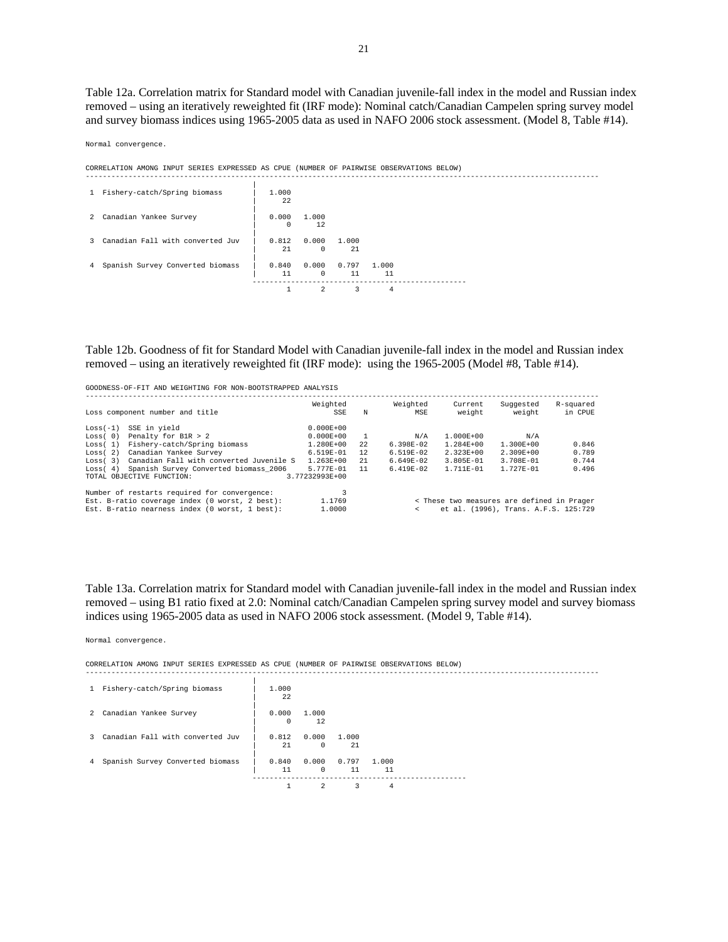Table 12a. Correlation matrix for Standard model with Canadian juvenile-fall index in the model and Russian index removed – using an iteratively reweighted fit (IRF mode): Nominal catch/Canadian Campelen spring survey model and survey biomass indices using 1965-2005 data as used in NAFO 2006 stock assessment. (Model 8, Table #14).

Normal convergence.

CORRELATION AMONG INPUT SERIES EXPRESSED AS CPUE (NUMBER OF PAIRWISE OBSERVATIONS BELOW)

| 1 Fishery-catch/Spring biomass     | 1,000<br>22 |                     |             |             |  |
|------------------------------------|-------------|---------------------|-------------|-------------|--|
| 2 Canadian Yankee Survey           | 0.000<br>0  | 1,000<br>12         |             |             |  |
| 3 Canadian Fall with converted Juv | 0.812<br>21 | 0.000<br>$^{\circ}$ | 1.000<br>21 |             |  |
| 4 Spanish Survey Converted biomass | 0.840<br>11 | 0.000<br>$\Omega$   | 0.797<br>11 | 1.000<br>11 |  |
|                                    |             | $\mathfrak{D}$      | 3           | 4           |  |

Table 12b. Goodness of fit for Standard Model with Canadian juvenile-fall index in the model and Russian index removed – using an iteratively reweighted fit (IRF mode): using the 1965-2005 (Model #8, Table #14).

| GOODNESS-OF-FIT AND WEIGHTING FOR NON-BOOTSTRAPPED ANALYSIS |                 |      |                 |                                            |                                      |                      |
|-------------------------------------------------------------|-----------------|------|-----------------|--------------------------------------------|--------------------------------------|----------------------|
| Loss component number and title                             | Weighted<br>SSE | N    | Weighted<br>MSE | Current<br>weight                          | Suggested<br>weight                  | R-squared<br>in CPUE |
| SSE in yield<br>$Loss(-1)$                                  | $0.000E + 00$   |      |                 |                                            |                                      |                      |
| Penalty for B1R > 2<br>Loss(0)                              | $0.000E + 00$   |      | N/A             | $1.000E + 00$                              | N/A                                  |                      |
| Fishery-catch/Spring biomass<br>Loss(1)                     | 1.280E+00       | 2.2. | $6.398E-02$     | $1.284E + 00$                              | 1.300E+00                            | 0.846                |
| Canadian Yankee Survey<br>Loss(2)                           | 6.519E-01       | 12   | $6.519E - 02$   | $2.323E+00$                                | $2.309E + 00$                        | 0.789                |
| Canadian Fall with converted Juvenile S<br>Loss(3)          | $1.263E + 00$   | 2.1  | $6.649E-02$     | $3.805E - 01$                              | $3.708E - 01$                        | 0.744                |
| Spanish Survey Converted biomass 2006<br>Loss(4)            | $5.777E - 01$   | 11   | $6.419E - 02$   | $1.711E - 01$                              | $1.727E - 01$                        | 0.496                |
| TOTAL OBJECTIVE FUNCTION:                                   | 3.77232993E+00  |      |                 |                                            |                                      |                      |
| Number of restarts required for convergence:                |                 |      |                 |                                            |                                      |                      |
| Est. B-ratio coverage index (0 worst, 2 best):              | 1.1769          |      |                 | < These two measures are defined in Prager |                                      |                      |
| Est. B-ratio nearness index (0 worst, 1 best):              | 1,0000          |      | $\epsilon$      |                                            | et al. (1996), Trans. A.F.S. 125:729 |                      |

Table 13a. Correlation matrix for Standard model with Canadian juvenile-fall index in the model and Russian index removed – using B1 ratio fixed at 2.0: Nominal catch/Canadian Campelen spring survey model and survey biomass indices using 1965-2005 data as used in NAFO 2006 stock assessment. (Model 9, Table #14).

Normal convergence.

CORRELATION AMONG INPUT SERIES EXPRESSED AS CPUE (NUMBER OF PAIRWISE OBSERVATIONS BELOW) ------------------------------------------------------------------------------------------------------------------------

|   | 1 Fishery-catch/Spring biomass   | 1,000<br>22 |                   |              |             |  |
|---|----------------------------------|-------------|-------------------|--------------|-------------|--|
| 2 | Canadian Yankee Survey           | 0.000<br>0  | 1.000<br>12       |              |             |  |
| 3 | Canadian Fall with converted Juv | 0.812<br>21 | 0.000<br>$\Omega$ | 1.000<br>2.1 |             |  |
| 4 | Spanish Survey Converted biomass | 0.840<br>11 | 0.000<br>$\Omega$ | 0.797<br>11  | 1.000<br>11 |  |
|   |                                  |             | 2                 | 3            | 4           |  |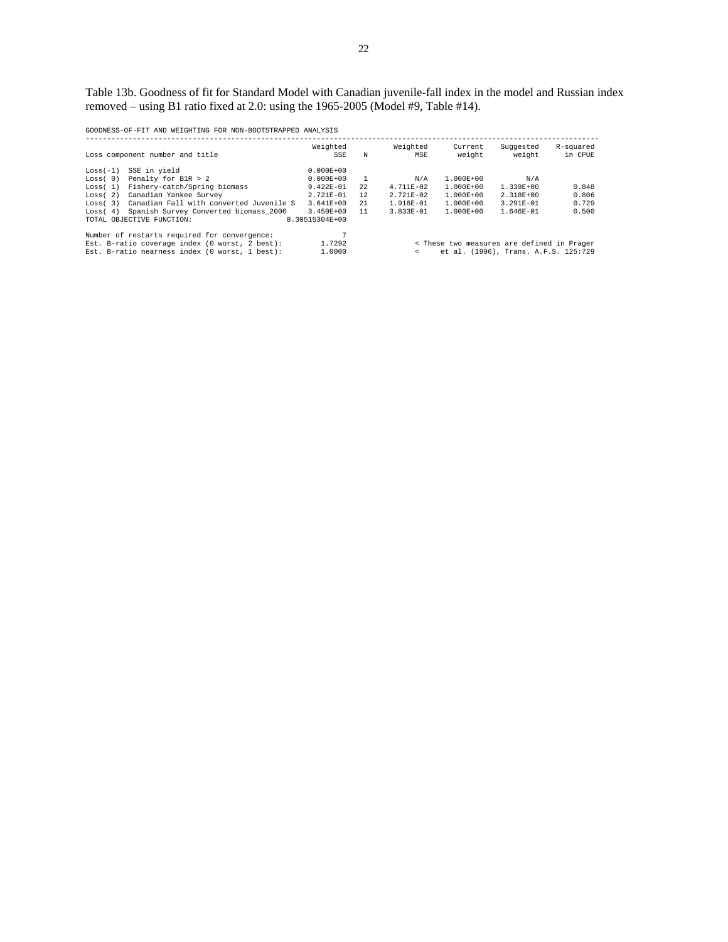Table 13b. Goodness of fit for Standard Model with Canadian juvenile-fall index in the model and Russian index removed – using B1 ratio fixed at 2.0: using the 1965-2005 (Model #9, Table #14).

|                                                                                                        | Loss component number and title                   | Weighted<br>SSE | N    | Weighted<br>MSE | Current<br>weight | Suggested<br>weight                  | R-squared<br>in CPUE |  |  |
|--------------------------------------------------------------------------------------------------------|---------------------------------------------------|-----------------|------|-----------------|-------------------|--------------------------------------|----------------------|--|--|
| $Loss(-1)$                                                                                             | SSE in yield                                      | $0.000E + 00$   |      |                 |                   |                                      |                      |  |  |
| Loss(0)                                                                                                | Penalty for B1R > 2                               | $0.000E + 00$   |      | N/A             | $1.000E + 00$     | N/A                                  |                      |  |  |
| Loss(1)                                                                                                | Fishery-catch/Spring biomass                      | $9.422E - 01$   | 2.2. | $4.711E - 02$   | $1.000E + 00$     | $1.339E + 00$                        | 0.848                |  |  |
| Loss(2)                                                                                                | Canadian Yankee Survey                            | $2.721E - 01$   | 12   | $2.721E - 02$   | $1.000E + 00$     | $2.318E + 00$                        | 0.806                |  |  |
| Loss(3)                                                                                                | Canadian Fall with converted Juvenile S           | $3.641E + 00$   | 21   | $1.916E - 01$   | $1.000E + 00$     | $3.291E - 01$                        | 0.729                |  |  |
| Loss(4)                                                                                                | Spanish Survey Converted biomass 2006             | $3.450E + 00$   | 11   | $3.833E - 01$   | $1.000E + 00$     | $1.646E - 01$                        | 0.500                |  |  |
|                                                                                                        | TOTAL OBJECTIVE FUNCTION:                         | 8.30515304E+00  |      |                 |                   |                                      |                      |  |  |
|                                                                                                        | n<br>Number of restarts required for convergence: |                 |      |                 |                   |                                      |                      |  |  |
| Est. B-ratio coverage index (0 worst, 2 best):<br>1.7292<br>< These two measures are defined in Prager |                                                   |                 |      |                 |                   |                                      |                      |  |  |
|                                                                                                        | Est. B-ratio nearness index (0 worst, 1 best):    | 1,0000          |      |                 |                   | et al. (1996), Trans. A.F.S. 125:729 |                      |  |  |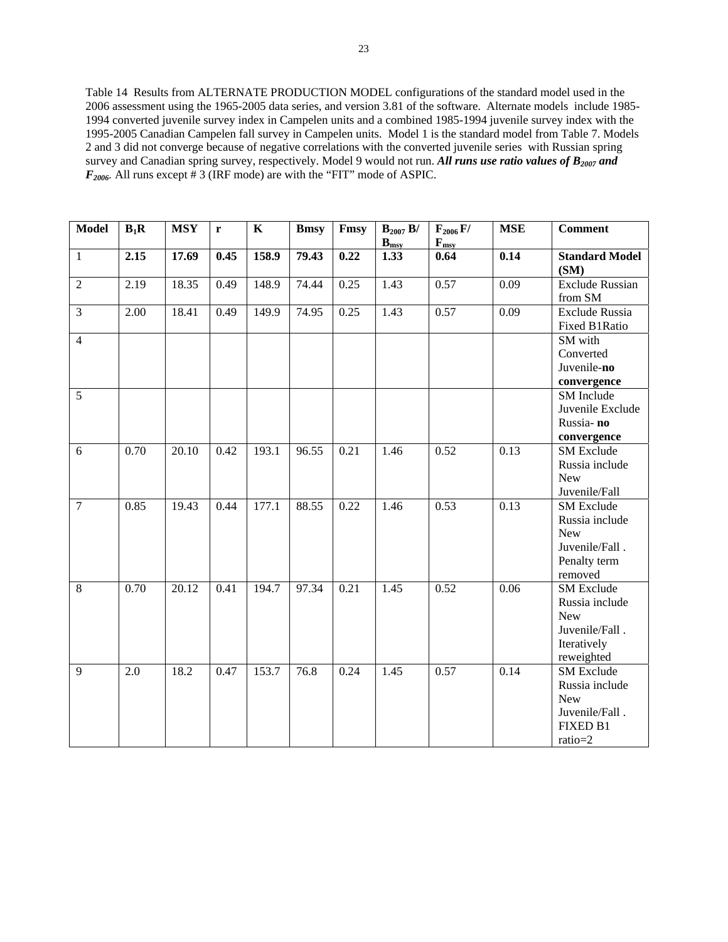Table 14 Results from ALTERNATE PRODUCTION MODEL configurations of the standard model used in the 2006 assessment using the 1965-2005 data series, and version 3.81 of the software. Alternate models include 1985- 1994 converted juvenile survey index in Campelen units and a combined 1985-1994 juvenile survey index with the 1995-2005 Canadian Campelen fall survey in Campelen units. Model 1 is the standard model from Table 7. Models 2 and 3 did not converge because of negative correlations with the converted juvenile series with Russian spring survey and Canadian spring survey, respectively. Model 9 would not run. All runs use ratio values of B<sub>2007</sub> and  $F_{2006}$ . All runs except  $\#$  3 (IRF mode) are with the "FIT" mode of ASPIC.

| <b>Model</b>   | $B_1R$ | <b>MSY</b> | r    | $\mathbf K$ | <b>Bmsy</b> | Fmsy | $B_{2007} B/$<br>$\mathbf{B}_{\text{msy}}$ | $F_{2006} F/$<br>$F_{msy}$ | <b>MSE</b> | <b>Comment</b>                                                                                   |
|----------------|--------|------------|------|-------------|-------------|------|--------------------------------------------|----------------------------|------------|--------------------------------------------------------------------------------------------------|
| $\mathbf{1}$   | 2.15   | 17.69      | 0.45 | 158.9       | 79.43       | 0.22 | 1.33                                       | 0.64                       | 0.14       | <b>Standard Model</b><br>(SM)                                                                    |
| $\overline{2}$ | 2.19   | 18.35      | 0.49 | 148.9       | 74.44       | 0.25 | 1.43                                       | 0.57                       | 0.09       | <b>Exclude Russian</b><br>from SM                                                                |
| $\mathfrak{Z}$ | 2.00   | 18.41      | 0.49 | 149.9       | 74.95       | 0.25 | 1.43                                       | 0.57                       | 0.09       | Exclude Russia<br>Fixed B1Ratio                                                                  |
| $\overline{4}$ |        |            |      |             |             |      |                                            |                            |            | SM with<br>Converted<br>Juvenile-no<br>convergence                                               |
| $\overline{5}$ |        |            |      |             |             |      |                                            |                            |            | SM Include<br>Juvenile Exclude<br>Russia-no<br>convergence                                       |
| 6              | 0.70   | 20.10      | 0.42 | 193.1       | 96.55       | 0.21 | 1.46                                       | 0.52                       | 0.13       | <b>SM</b> Exclude<br>Russia include<br><b>New</b><br>Juvenile/Fall                               |
| $\overline{7}$ | 0.85   | 19.43      | 0.44 | 177.1       | 88.55       | 0.22 | 1.46                                       | 0.53                       | 0.13       | <b>SM</b> Exclude<br>Russia include<br><b>New</b><br>Juvenile/Fall.<br>Penalty term<br>removed   |
| 8              | 0.70   | 20.12      | 0.41 | 194.7       | 97.34       | 0.21 | 1.45                                       | 0.52                       | 0.06       | <b>SM</b> Exclude<br>Russia include<br><b>New</b><br>Juvenile/Fall.<br>Iteratively<br>reweighted |
| 9              | 2.0    | 18.2       | 0.47 | 153.7       | 76.8        | 0.24 | 1.45                                       | 0.57                       | 0.14       | <b>SM</b> Exclude<br>Russia include<br><b>New</b><br>Juvenile/Fall.<br>FIXED B1<br>ratio=2       |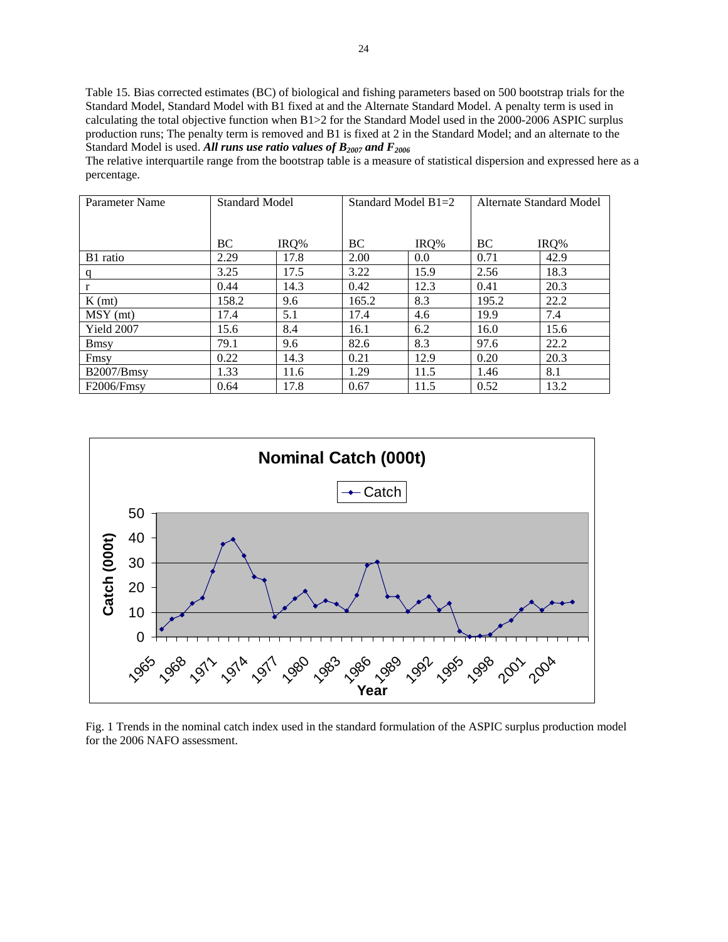Table 15. Bias corrected estimates (BC) of biological and fishing parameters based on 500 bootstrap trials for the Standard Model, Standard Model with B1 fixed at and the Alternate Standard Model. A penalty term is used in calculating the total objective function when B1>2 for the Standard Model used in the 2000-2006 ASPIC surplus production runs; The penalty term is removed and B1 is fixed at 2 in the Standard Model; and an alternate to the Standard Model is used. All runs use ratio values of  $B_{2007}$  and  $F_{2006}$ 

The relative interquartile range from the bootstrap table is a measure of statistical dispersion and expressed here as a percentage.

| Parameter Name | Standard Model |      | Standard Model $B1=2$ |      | Alternate Standard Model |      |
|----------------|----------------|------|-----------------------|------|--------------------------|------|
|                |                |      |                       |      |                          |      |
|                | BC             | IRO% | BC.                   | IRQ% | BC                       | IRQ% |
| B1 ratio       | 2.29           | 17.8 | 2.00                  | 0.0  | 0.71                     | 42.9 |
| q              | 3.25           | 17.5 | 3.22                  | 15.9 | 2.56                     | 18.3 |
| r              | 0.44           | 14.3 | 0.42                  | 12.3 | 0.41                     | 20.3 |
| $K$ (mt)       | 158.2          | 9.6  | 165.2                 | 8.3  | 195.2                    | 22.2 |
| $MSY$ (mt)     | 17.4           | 5.1  | 17.4                  | 4.6  | 19.9                     | 7.4  |
| Yield 2007     | 15.6           | 8.4  | 16.1                  | 6.2  | 16.0                     | 15.6 |
| <b>B</b> msy   | 79.1           | 9.6  | 82.6                  | 8.3  | 97.6                     | 22.2 |
| Fmsy           | 0.22           | 14.3 | 0.21                  | 12.9 | 0.20                     | 20.3 |
| B2007/Bmsy     | 1.33           | 11.6 | 1.29                  | 11.5 | 1.46                     | 8.1  |
| F2006/Fmsy     | 0.64           | 17.8 | 0.67                  | 11.5 | 0.52                     | 13.2 |



Fig. 1 Trends in the nominal catch index used in the standard formulation of the ASPIC surplus production model for the 2006 NAFO assessment.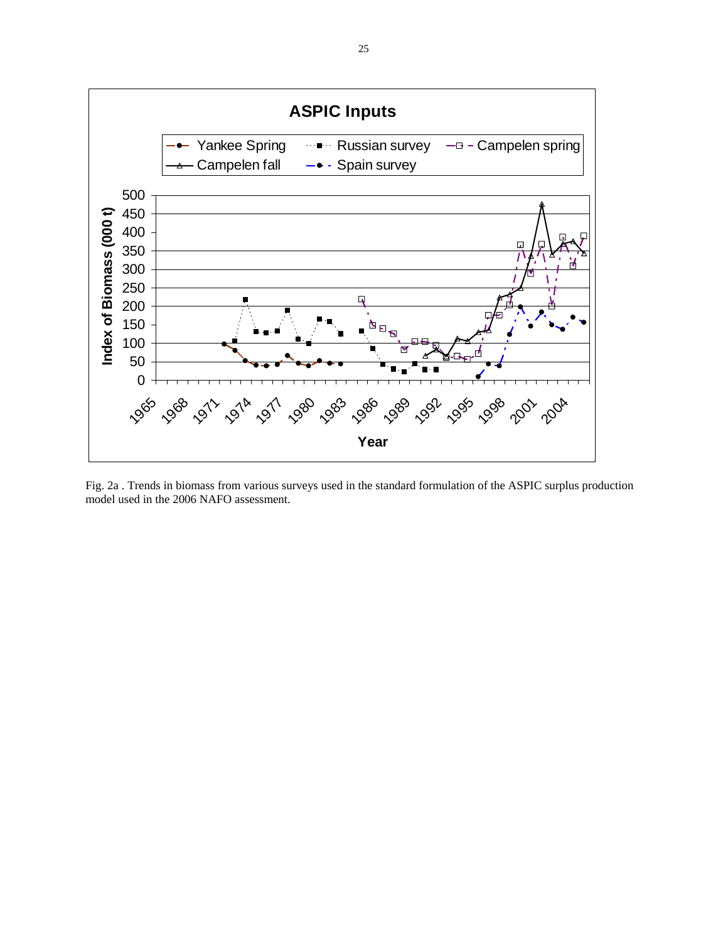

Fig. 2a . Trends in biomass from various surveys used in the standard formulation of the ASPIC surplus production model used in the 2006 NAFO assessment.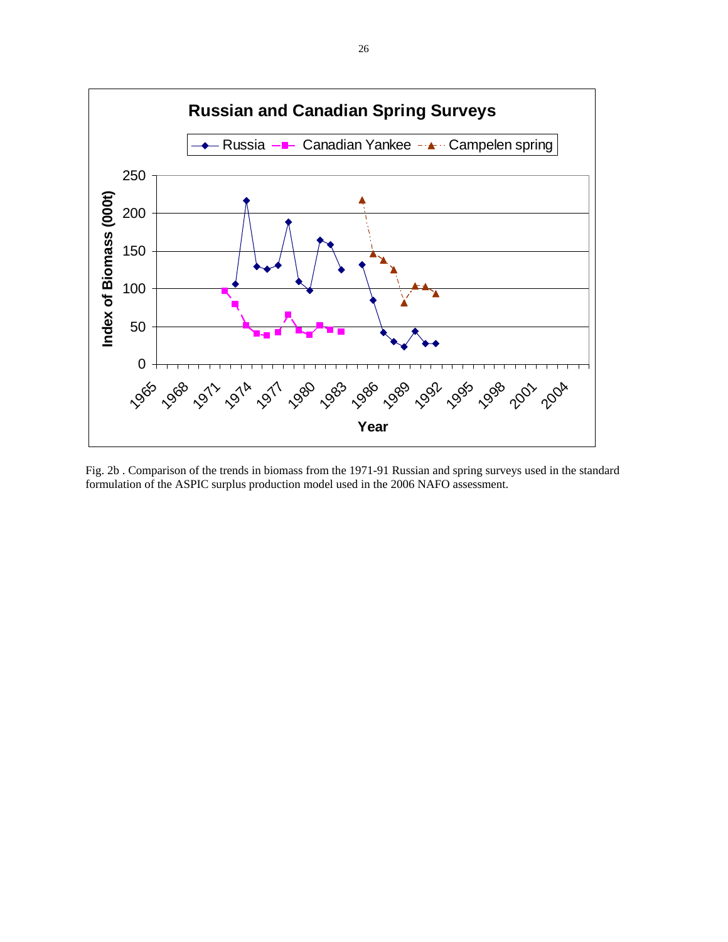

Fig. 2b . Comparison of the trends in biomass from the 1971-91 Russian and spring surveys used in the standard formulation of the ASPIC surplus production model used in the 2006 NAFO assessment.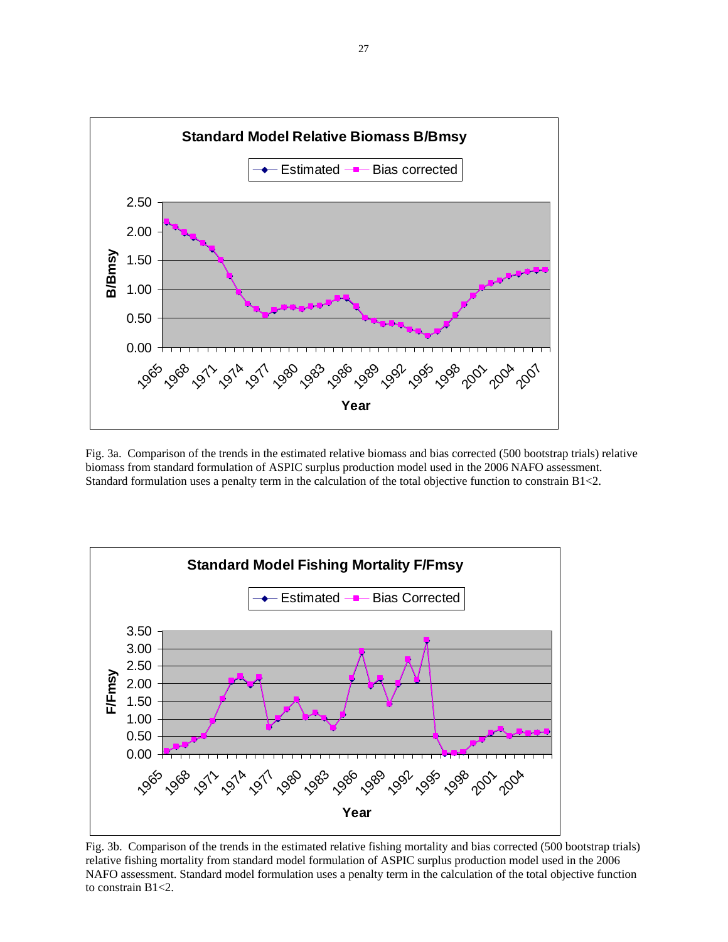

Fig. 3a. Comparison of the trends in the estimated relative biomass and bias corrected (500 bootstrap trials) relative biomass from standard formulation of ASPIC surplus production model used in the 2006 NAFO assessment. Standard formulation uses a penalty term in the calculation of the total objective function to constrain B1<2.



Fig. 3b. Comparison of the trends in the estimated relative fishing mortality and bias corrected (500 bootstrap trials) relative fishing mortality from standard model formulation of ASPIC surplus production model used in the 2006 NAFO assessment. Standard model formulation uses a penalty term in the calculation of the total objective function to constrain B1<2.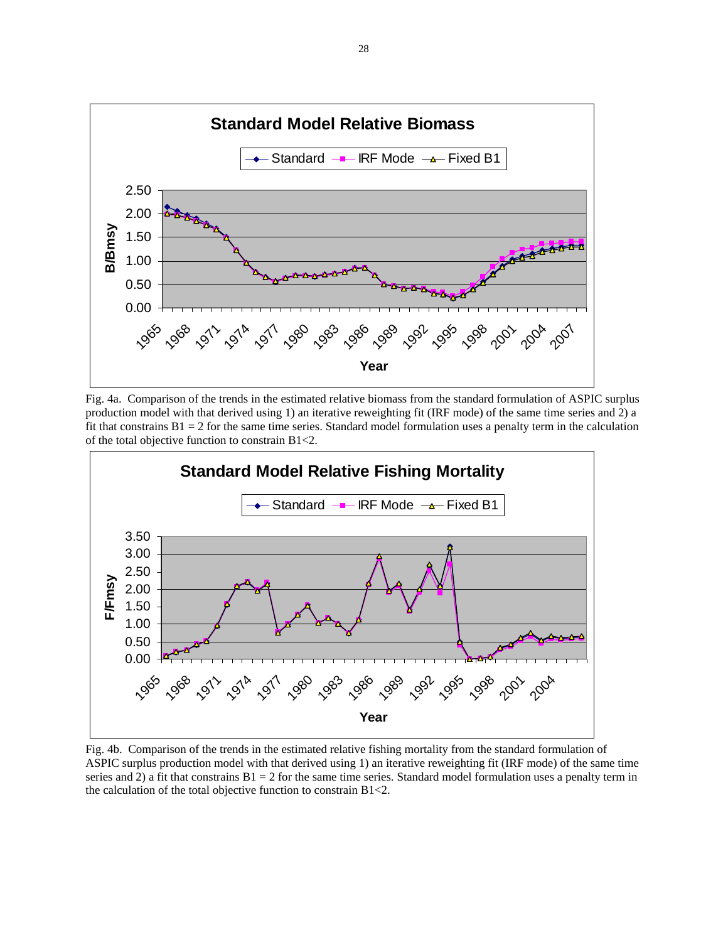

Fig. 4a. Comparison of the trends in the estimated relative biomass from the standard formulation of ASPIC surplus production model with that derived using 1) an iterative reweighting fit (IRF mode) of the same time series and 2) a fit that constrains  $B1 = 2$  for the same time series. Standard model formulation uses a penalty term in the calculation of the total objective function to constrain B1<2.



Fig. 4b. Comparison of the trends in the estimated relative fishing mortality from the standard formulation of ASPIC surplus production model with that derived using 1) an iterative reweighting fit (IRF mode) of the same time series and 2) a fit that constrains  $B1 = 2$  for the same time series. Standard model formulation uses a penalty term in the calculation of the total objective function to constrain B1<2.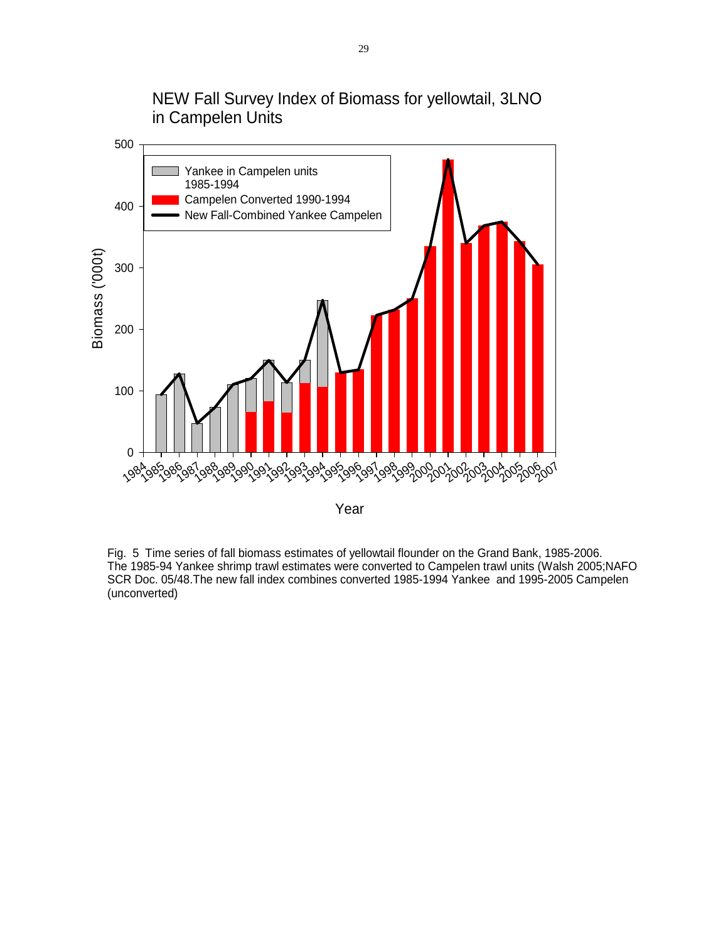NEW Fall Survey Index of Biomass for yellowtail, 3LNO in Campelen Units



Fig. 5 Time series of fall biomass estimates of yellowtail flounder on the Grand Bank, 1985-2006. The 1985-94 Yankee shrimp trawl estimates were converted to Campelen trawl units (Walsh 2005;NAFO SCR Doc. 05/48.The new fall index combines converted 1985-1994 Yankee and 1995-2005 Campelen (unconverted)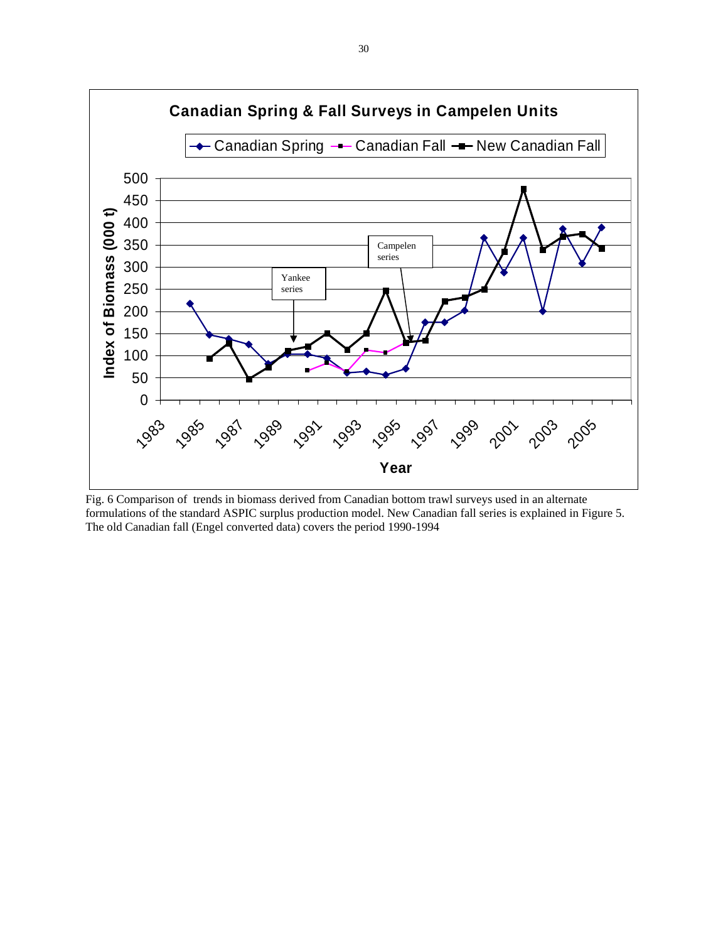

Fig. 6 Comparison of trends in biomass derived from Canadian bottom trawl surveys used in an alternate formulations of the standard ASPIC surplus production model. New Canadian fall series is explained in Figure 5. The old Canadian fall (Engel converted data) covers the period 1990-1994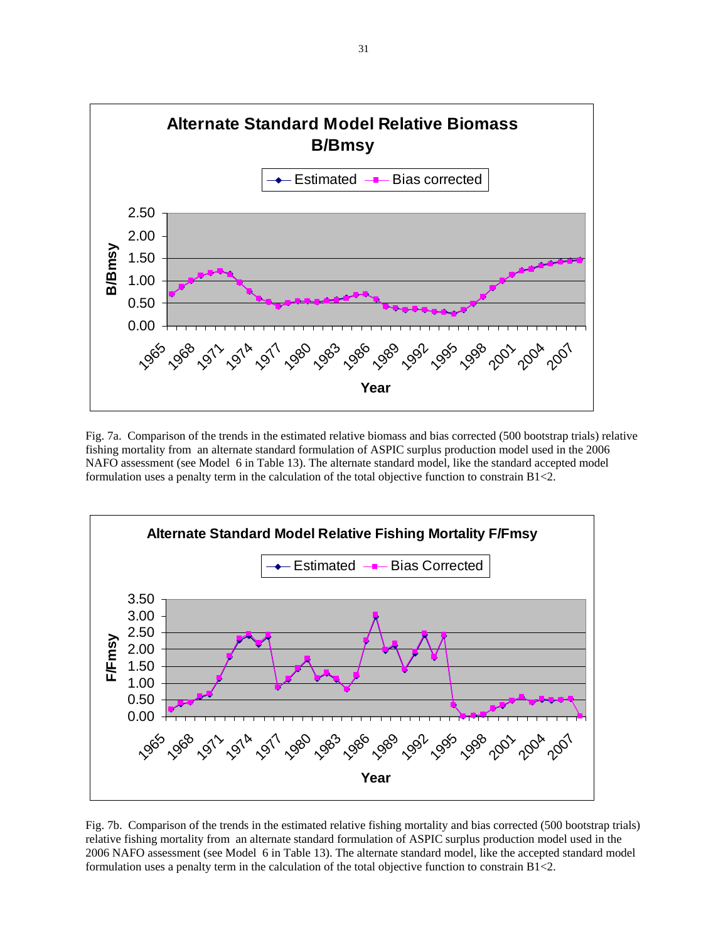

Fig. 7a. Comparison of the trends in the estimated relative biomass and bias corrected (500 bootstrap trials) relative fishing mortality from an alternate standard formulation of ASPIC surplus production model used in the 2006 NAFO assessment (see Model 6 in Table 13). The alternate standard model, like the standard accepted model formulation uses a penalty term in the calculation of the total objective function to constrain B1<2.



Fig. 7b. Comparison of the trends in the estimated relative fishing mortality and bias corrected (500 bootstrap trials) relative fishing mortality from an alternate standard formulation of ASPIC surplus production model used in the 2006 NAFO assessment (see Model 6 in Table 13). The alternate standard model, like the accepted standard model formulation uses a penalty term in the calculation of the total objective function to constrain B1<2.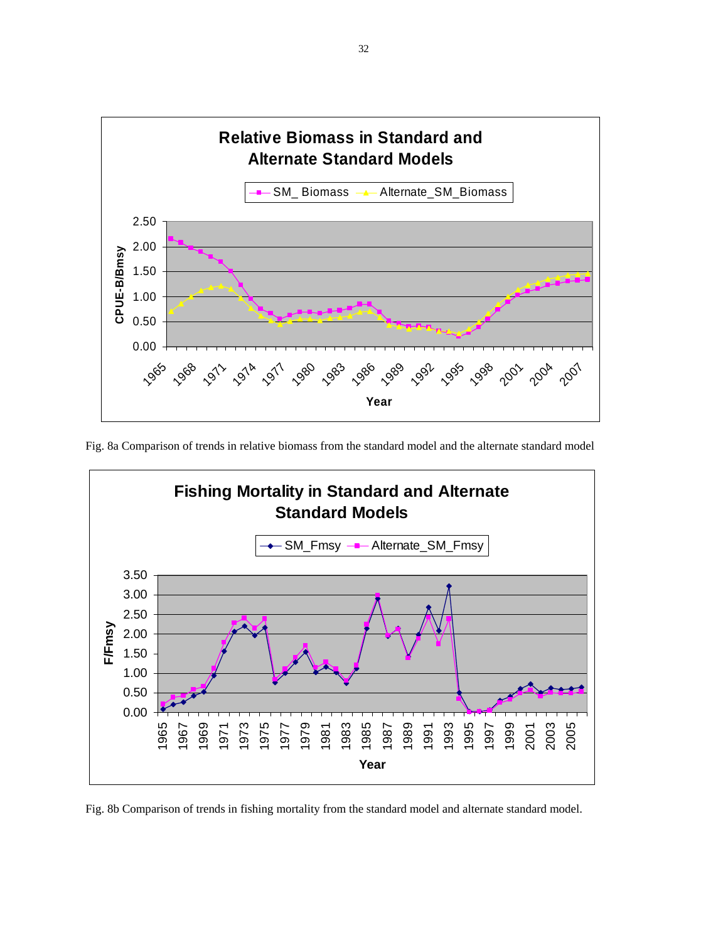

Fig. 8a Comparison of trends in relative biomass from the standard model and the alternate standard model



Fig. 8b Comparison of trends in fishing mortality from the standard model and alternate standard model.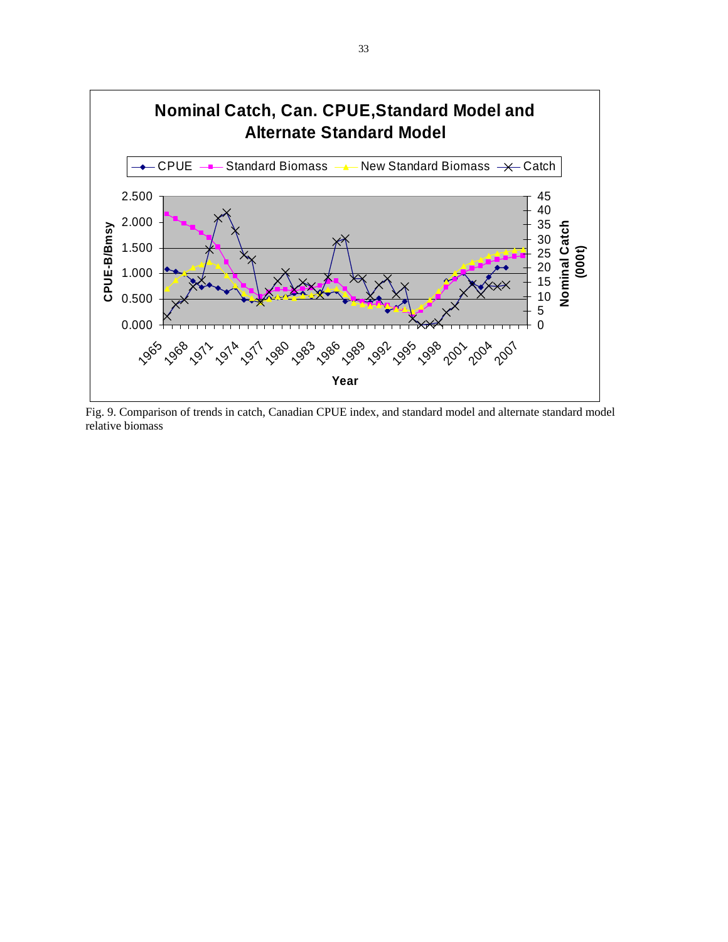

Fig. 9. Comparison of trends in catch, Canadian CPUE index, and standard model and alternate standard model relative biomass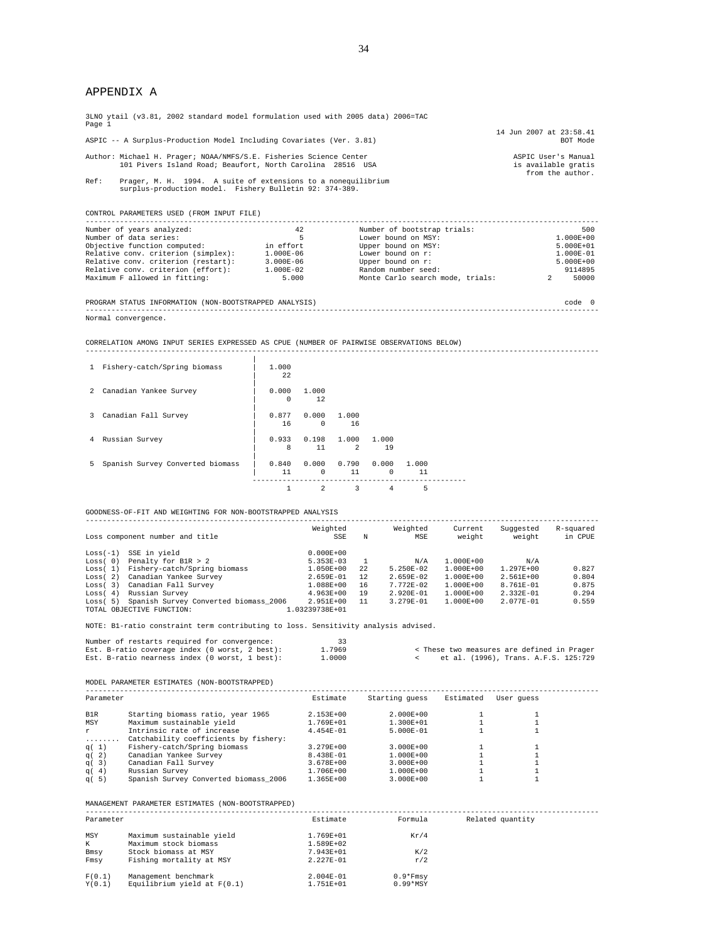# APPENDIX A

| 3LNO ytail (v3.81, 2002 standard model formulation used with 2005 data) 2006=TAC<br>Page 1                                       |                                                                                                                          |                                  |                                                                |  |  |  |  |  |  |
|----------------------------------------------------------------------------------------------------------------------------------|--------------------------------------------------------------------------------------------------------------------------|----------------------------------|----------------------------------------------------------------|--|--|--|--|--|--|
|                                                                                                                                  |                                                                                                                          |                                  | 14 Jun 2007 at 23:58.41                                        |  |  |  |  |  |  |
| ASPIC -- A Surplus-Production Model Including Covariates (Ver. 3.81)                                                             |                                                                                                                          |                                  | BOT Mode                                                       |  |  |  |  |  |  |
| Author: Michael H. Prager; NOAA/NMFS/S.E. Fisheries Science Center<br>101 Pivers Island Road; Beaufort, North Carolina 28516 USA |                                                                                                                          |                                  | ASPIC User's Manual<br>is available gratis<br>from the author. |  |  |  |  |  |  |
| Ref:                                                                                                                             | Prager, M. H. 1994. A suite of extensions to a nonequilibrium<br>surplus-production model. Fishery Bulletin 92: 374-389. |                                  |                                                                |  |  |  |  |  |  |
| CONTROL PARAMETERS USED (FROM INPUT FILE)                                                                                        |                                                                                                                          |                                  |                                                                |  |  |  |  |  |  |
| Number of years analyzed:                                                                                                        | 42                                                                                                                       | Number of bootstrap trials:      | 500                                                            |  |  |  |  |  |  |
| Number of data series:                                                                                                           | 5                                                                                                                        | Lower bound on MSY:              | $1.000E + 00$                                                  |  |  |  |  |  |  |
| Objective function computed:                                                                                                     | in effort                                                                                                                | Upper bound on MSY:              | $5.000E + 01$                                                  |  |  |  |  |  |  |
| Relative conv. criterion (simplex):<br>1.000E-01<br>1.000E-06<br>Lower bound on r:                                               |                                                                                                                          |                                  |                                                                |  |  |  |  |  |  |
| Relative conv. criterion (restart):                                                                                              | 3.000E-06                                                                                                                | Upper bound on r:                | $5.000E + 00$                                                  |  |  |  |  |  |  |
| Relative conv. criterion (effort):                                                                                               | 1.000E-02                                                                                                                | Random number seed:              | 9114895                                                        |  |  |  |  |  |  |
| Maximum F allowed in fitting:                                                                                                    | 5,000                                                                                                                    | Monte Carlo search mode, trials: | 50000                                                          |  |  |  |  |  |  |

PROGRAM STATUS INFORMATION (NON-BOOTSTRAPPED ANALYSIS) code 0 ------------------------------------------------------------------------------------------------------------------------ Normal convergence.

CORRELATION AMONG INPUT SERIES EXPRESSED AS CPUE (NUMBER OF PAIRWISE OBSERVATIONS BELOW)

| 1 Fishery-catch/Spring biomass     | 1,000<br>22       |                     |                         |                       |             |  |
|------------------------------------|-------------------|---------------------|-------------------------|-----------------------|-------------|--|
| 2 Canadian Yankee Survey           | 0.000<br>$\Omega$ | 1,000<br>12         |                         |                       |             |  |
| 3 Canadian Fall Survey             | 0.877<br>16       | 0.000<br>$^{\circ}$ | 1,000<br>16             |                       |             |  |
| 4 Russian Survey                   | 0.933<br>8        | 0.198<br>11         | 1.000<br>$\overline{2}$ | 1.000<br>19           |             |  |
| 5 Spanish Survey Converted biomass | 0.840<br>11       | 0.000<br>0          | 0.790<br>11             | 0.000<br>$\mathbf{0}$ | 1,000<br>11 |  |
|                                    |                   | 2                   | 3                       | 4                     | 5           |  |

GOODNESS-OF-FIT AND WEIGHTING FOR NON-BOOTSTRAPPED ANALYSIS

|            | Loss component number and title       | Weighted<br>SSE | N   | Weighted<br>MSE | Current<br>weight | Suggested<br>weight | R-squared<br>in CPUE |
|------------|---------------------------------------|-----------------|-----|-----------------|-------------------|---------------------|----------------------|
| $Loss(-1)$ | SSE in yield                          | $0.000E + 00$   |     |                 |                   |                     |                      |
| Loss(0)    | Penalty for B1R > 2                   | $5.353E - 03$   |     | N/A             | $1.000E + 00$     | N/A                 |                      |
| Loss(1)    | Fishery-catch/Spring biomass          | $1.050E + 00$   | 2.2 | $5.250E - 02$   | $1.000E + 00$     | $1.297E + 00$       | 0.827                |
| Loss(2)    | Canadian Yankee Survey                | $2.659E - 01$   | 12  | $2.659E - 02$   | $1.000E + 00$     | $2.561E + 00$       | 0.804                |
| Loss(3)    | Canadian Fall Survey                  | 1.088E+00       | 16  | $7.772E - 02$   | $1.000E + 00$     | $8.761E - 01$       | 0.875                |
| Loss(4)    | Russian Survey                        | $4.963E + 00$   | 19  | $2.920E - 01$   | $1.000E + 00$     | $2.332E - 01$       | 0.294                |
| Loss(5)    | Spanish Survey Converted biomass 2006 | $2.951E + 00$   | 11  | $3.279E - 01$   | $1.000E + 00$     | $2.077E - 01$       | 0.559                |
|            | TOTAL OBJECTIVE FUNCTION:             | 1.03239738E+01  |     |                 |                   |                     |                      |

NOTE: B1-ratio constraint term contributing to loss. Sensitivity analysis advised.

|  | Number of restarts required for convergence:   |  |        |  |                                            |  |  |
|--|------------------------------------------------|--|--------|--|--------------------------------------------|--|--|
|  | Est. B-ratio coverage index (0 worst, 2 best): |  | 1.7969 |  | < These two measures are defined in Prager |  |  |
|  | Est. B-ratio nearness index (0 worst, 1 best): |  | .0000  |  | et al. (1996). Trans. A.F.S. 125:729       |  |  |

MODEL PARAMETER ESTIMATES (NON-BOOTSTRAPPED)

| Parameter   |                                                    | Estimate               | Starting quess Estimated User quess |                  |
|-------------|----------------------------------------------------|------------------------|-------------------------------------|------------------|
| B1R         | Starting biomass ratio, year 1965                  | 2.153E+00              | 2.000E+00                           |                  |
| MSY         | Maximum sustainable yield                          | 1.769E+01              | $1.300E + 01$                       |                  |
| $\mathbf r$ | Intrinsic rate of increase                         | $4.454E - 01$          | 5.000E-01                           |                  |
| .           | Catchability coefficients by fishery:              |                        |                                     |                  |
| q(1)        | Fishery-catch/Spring biomass                       | 3.279E+00              | $3.000E + 00$                       |                  |
| q(2)        | Canadian Yankee Survey                             | 8.438E-01              | $1.000E + 00$                       |                  |
| q(3)        | Canadian Fall Survey                               | 3.678E+00              | $3.000E + 00$                       |                  |
| q(4)        | Russian Survey                                     | 1.706E+00              | 1.000E+00                           |                  |
| q(5)        | Spanish Survey Converted biomass 2006              | 1.365E+00              | $3.000E + 00$                       |                  |
|             | MANAGEMENT PARAMETER ESTIMATES (NON-BOOTSTRAPPED)  |                        |                                     |                  |
| Parameter   |                                                    | Estimate               | Formula                             | Related quantity |
| MSY<br>к    | Maximum sustainable yield<br>Maximum stock biomass | 1.769E+01<br>1.589E+02 | Kr/4                                |                  |
| Bmsy        | Stock biomass at MSY                               | 7.943E+01              | K/2                                 |                  |
| Fmsv        | Fishing mortality at MSY                           | 2.227E-01              | r/2                                 |                  |
| F(0,1)      | Management benchmark                               | 2.004E-01              | $0.9*Fmsy$                          |                  |
| Y(0.1)      | Equilibrium yield at $F(0.1)$                      | 1.751E+01              | $0.99*$ MSY                         |                  |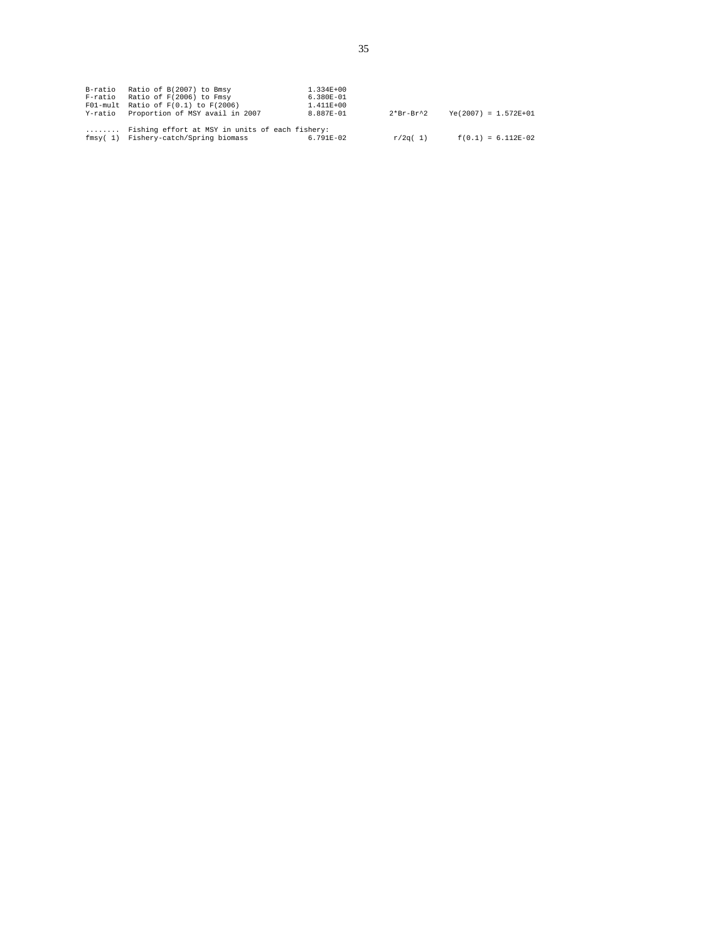| B-ratio Ratio of B(2007) to Bmsy<br>F-ratio Ratio of F(2006) to Fmsy<br>$F01$ -mult Ratio of $F(0.1)$ to $F(2006)$<br>Y-ratio Proportion of MSY avail in 2007 | 1.334E+00<br>6.380E-01<br>1.411E+00<br>8.887E-01 | 2*Br-Br^2 | $Ye(2007) = 1.572E+01$ |
|---------------------------------------------------------------------------------------------------------------------------------------------------------------|--------------------------------------------------|-----------|------------------------|
| Fishing effort at MSY in units of each fishery:<br>fmsy(1) Fishery-catch/Spring biomass                                                                       | 6.791E-02                                        | r/2q( 1)  | $f(0.1) = 6.112E-02$   |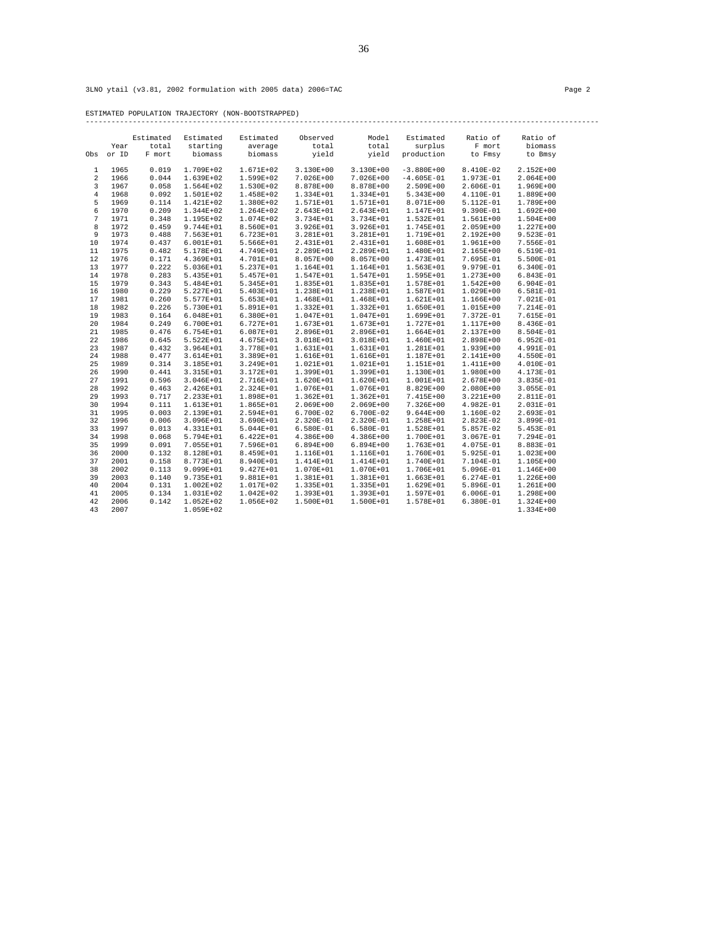ESTIMATED POPULATION TRAJECTORY (NON-BOOTSTRAPPED) ------------------------------------------------------------------------------------------------------------------------

|                | Year         | Estimated<br>total | Estimated<br>starting  | Estimated<br>average       | Observed<br>total      | Model<br>total         | Estimated<br>surplus   | Ratio of<br>F mort     | Ratio of<br>biomass    |
|----------------|--------------|--------------------|------------------------|----------------------------|------------------------|------------------------|------------------------|------------------------|------------------------|
| Obs            | or ID        | F mort             | biomass                | biomass                    | yield                  | yield                  | production             | to Fmsy                | to Bmsy                |
| 1              | 1965         | 0.019              | 1.709E+02              | 1.671E+02                  | $3.130E + 00$          | 3.130E+00              | $-3.880E+00$           | 8.410E-02              | 2.152E+00              |
| $\overline{a}$ | 1966         | 0.044              | 1.639E+02              | 1.599E+02                  | 7.026E+00              | 7.026E+00              | $-4.605E-01$           | 1.973E-01              | $2.064E + 00$          |
| 3              | 1967         | 0.058              | 1.564E+02              | $1.530E + 02$              | 8.878E+00              | 8.878E+00              | $2.509E + 00$          | 2.606E-01              | 1.969E+00              |
| $\bf 4$        | 1968         | 0.092              | 1.501E+02              | 1.458E+02                  | 1.334E+01              | 1.334E+01              | $5.343E+00$            | 4.110E-01              | 1.889E+00              |
| 5              | 1969         | 0.114              | 1.421E+02              | 1.380E+02                  | 1.571E+01              | 1.571E+01              | 8.071E+00              | 5.112E-01              | 1.789E+00              |
| 6              | 1970         | 0.209              | 1.344E+02              | $1.264E + 02$              | 2.643E+01              | 2.643E+01              | 1.147E+01              | $9.390E-01$            | $1.692E + 00$          |
| 7              | 1971         | 0.348              | 1.195E+02              | 1.074E+02                  | 3.734E+01              | 3.734E+01              | $1.532E + 01$          | 1.561E+00              | $1.504E + 00$          |
| 8              | 1972         | 0.459              | 9.744E+01              | 8.560E+01                  | 3.926E+01              | 3.926E+01              | 1.745E+01              | 2.059E+00              | 1.227E+00              |
| 9              | 1973         | 0.488              | 7.563E+01              | 6.723E+01                  | 3.281E+01              | 3.281E+01              | 1.719E+01              | 2.192E+00              | 9.523E-01              |
| 10             | 1974         | 0.437              | $6.001E + 01$          | 5.566E+01                  | 2.431E+01              | 2.431E+01              | 1.608E+01              | $1.961E+00$            | 7.556E-01              |
| 11             | 1975         | 0.482              | 5.178E+01              | 4.749E+01                  | 2.289E+01              | 2.289E+01              | 1.480E+01              | 2.165E+00              | 6.519E-01              |
| 12             | 1976<br>1977 | 0.171<br>0.222     | 4.369E+01              | 4.701E+01                  | 8.057E+00              | 8.057E+00              | 1.473E+01              | 7.695E-01              | 5.500E-01              |
| 13             |              |                    | 5.036E+01              | 5.237E+01                  | 1.164E+01              | 1.164E+01              | $1.563E + 01$          | 9.979E-01              | 6.340E-01              |
| 14             | 1978         | 0.283              | 5.435E+01              | 5.457E+01                  | 1.547E+01              | 1.547E+01              | 1.595E+01              | 1.273E+00              | 6.843E-01              |
| 15             | 1979<br>1980 | 0.343<br>0.229     | 5.484E+01              | 5.345E+01                  | 1.835E+01<br>1.238E+01 | 1.835E+01              | 1.578E+01<br>1.587E+01 | $1.542E + 00$          | 6.904E-01              |
| 16<br>17       | 1981         | 0.260              | 5.227E+01<br>5.577E+01 | $5.403E + 01$<br>5.653E+01 | 1.468E+01              | 1.238E+01<br>1.468E+01 | $1.621E + 01$          | 1.029E+00<br>1.166E+00 | 6.581E-01<br>7.021E-01 |
| 18             | 1982         | 0.226              | 5.730E+01              | 5.891E+01                  | 1.332E+01              | 1.332E+01              | 1.650E+01              | 1.015E+00              | 7.214E-01              |
| 19             | 1983         | 0.164              | $6.048E + 01$          | $6.380E + 01$              | 1.047E+01              | 1.047E+01              | 1.699E+01              | 7.372E-01              | 7.615E-01              |
| 20             | 1984         | 0.249              | 6.700E+01              | $6.727E + 01$              | 1.673E+01              | 1.673E+01              | 1.727E+01              | 1.117E+00              | 8.436E-01              |
| 21             | 1985         | 0.476              | 6.754E+01              | $6.087E + 01$              | 2.896E+01              | 2.896E+01              | 1.664E+01              | 2.137E+00              | 8.504E-01              |
| 22             | 1986         | 0.645              | 5.522E+01              | 4.675E+01                  | 3.018E+01              | 3.018E+01              | 1.460E+01              | 2.898E+00              | 6.952E-01              |
| 23             | 1987         | 0.432              | 3.964E+01              | 3.778E+01                  | 1.631E+01              | 1.631E+01              | 1.281E+01              | 1.939E+00              | 4.991E-01              |
| 24             | 1988         | 0.477              | 3.614E+01              | 3.389E+01                  | 1.616E+01              | 1.616E+01              | 1.187E+01              | 2.141E+00              | 4.550E-01              |
| 25             | 1989         | 0.314              | 3.185E+01              | 3.249E+01                  | $1.021E+01$            | 1.021E+01              | 1.151E+01              | 1.411E+00              | 4.010E-01              |
| 26             | 1990         | 0.441              | 3.315E+01              | 3.172E+01                  | 1.399E+01              | 1.399E+01              | 1.130E+01              | 1.980E+00              | 4.173E-01              |
| 27             | 1991         | 0.596              | 3.046E+01              | 2.716E+01                  | 1.620E+01              | 1.620E+01              | $1.001E + 01$          | 2.678E+00              | 3.835E-01              |
| 28             | 1992         | 0.463              | 2.426E+01              | 2.324E+01                  | 1.076E+01              | 1.076E+01              | 8.829E+00              | $2.080E + 00$          | $3.055E-01$            |
| 29             | 1993         | 0.717              | 2.233E+01              | 1.898E+01                  | $1.362E + 01$          | $1.362E + 01$          | 7.415E+00              | 3.221E+00              | 2.811E-01              |
| 30             | 1994         | 0.111              | 1.613E+01              | 1.865E+01                  | $2.069E + 00$          | 2.069E+00              | 7.326E+00              | 4.982E-01              | 2.031E-01              |
| 31             | 1995         | 0.003              | 2.139E+01              | 2.594E+01                  | 6.700E-02              | 6.700E-02              | $9.644E + 00$          | 1.160E-02              | 2.693E-01              |
| 32             | 1996         | 0.006              | 3.096E+01              | 3.690E+01                  | 2.320E-01              | 2.320E-01              | 1.258E+01              | 2.823E-02              | 3.899E-01              |
| 33             | 1997         | 0.013              | 4.331E+01              | 5.044E+01                  | 6.580E-01              | 6.580E-01              | 1.528E+01              | 5.857E-02              | 5.453E-01              |
| 34             | 1998         | 0.068              | 5.794E+01              | $6.422E + 01$              | $4.386E+00$            | 4.386E+00              | 1.700E+01              | 3.067E-01              | 7.294E-01              |
| 35             | 1999         | 0.091              | 7.055E+01              | 7.596E+01                  | $6.894E+00$            | $6.894E + 00$          | 1.763E+01              | 4.075E-01              | 8.883E-01              |
| 36             | 2000         | 0.132              | 8.128E+01              | 8.459E+01                  | 1.116E+01              | 1.116E+01              | 1.760E+01              | 5.925E-01              | 1.023E+00              |
| 37             | 2001         | 0.158              | 8.773E+01              | 8.940E+01                  | 1.414E+01              | 1.414E+01              | 1.740E+01              | 7.104E-01              | 1.105E+00              |
| 38             | 2002         | 0.113              | 9.099E+01              | 9.427E+01                  | 1.070E+01              | 1.070E+01              | 1.706E+01              | 5.096E-01              | 1.146E+00              |
| 39             | 2003         | 0.140              | 9.735E+01              | 9.881E+01                  | 1.381E+01              | 1.381E+01              | $1.663E + 01$          | $6.274E-01$            | 1.226E+00              |
| 40             | 2004         | 0.131              | $1.002E + 02$          | 1.017E+02                  | 1.335E+01              | 1.335E+01              | 1.629E+01              | 5.896E-01              | $1.261E+00$            |
| 41             | 2005         | 0.134              | 1.031E+02              | $1.042E + 02$              | 1.393E+01              | 1.393E+01              | 1.597E+01              | $6.006E - 01$          | 1.298E+00              |
| 42             | 2006         | 0.142              | $1.052E+02$            | 1.056E+02                  | 1.500E+01              | 1.500E+01              | 1.578E+01              | 6.380E-01              | 1.324E+00              |
| 43             | 2007         |                    | 1.059E+02              |                            |                        |                        |                        |                        | 1.334E+00              |
|                |              |                    |                        |                            |                        |                        |                        |                        |                        |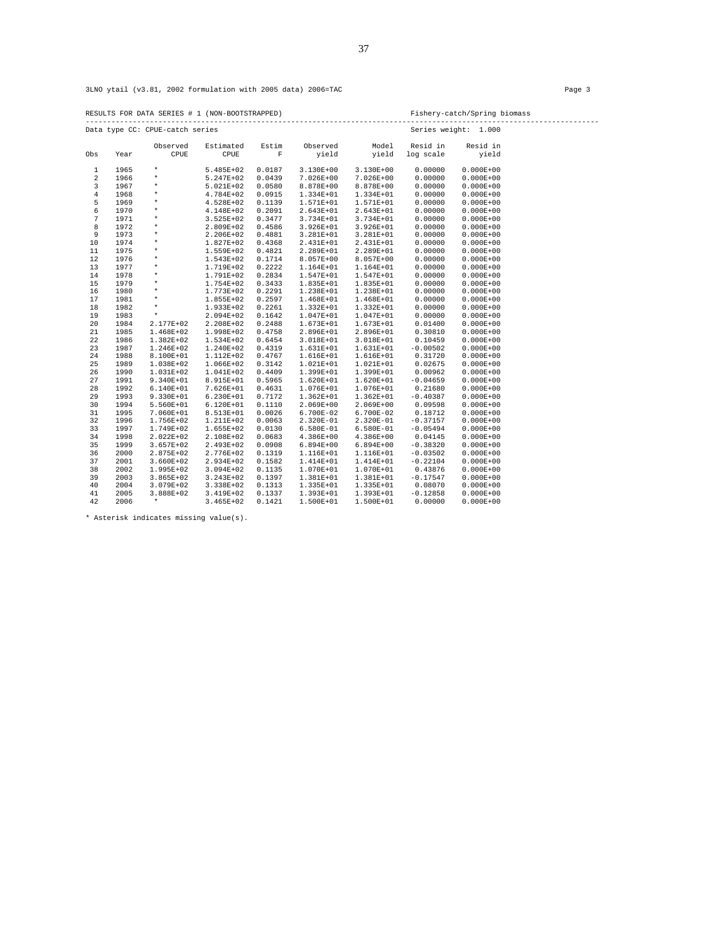|         |      |                                 | RESULTS FOR DATA SERIES # 1 (NON-BOOTSTRAPPED) |             |               |             |                      | Fishery-catch/Spring biomass<br>---------------------- |  |  |  |
|---------|------|---------------------------------|------------------------------------------------|-------------|---------------|-------------|----------------------|--------------------------------------------------------|--|--|--|
|         |      | Data type CC: CPUE-catch series |                                                |             |               |             | Series weight: 1.000 |                                                        |  |  |  |
|         |      | Observed                        | Estimated                                      | Estim       | Observed      | Model       | Resid in             | Resid in                                               |  |  |  |
| Obs     | Year | CPUE                            | CPUE                                           | $\mathbf F$ | yield         | yield       | log scale            | yield                                                  |  |  |  |
| 1       | 1965 | $\star$                         | 5.485E+02                                      | 0.0187      | 3.130E+00     | 3.130E+00   | 0.00000              | $0.000E + 00$                                          |  |  |  |
| 2       | 1966 | $\star$                         | 5.247E+02                                      | 0.0439      | 7.026E+00     | 7.026E+00   | 0.00000              | $0.000E + 00$                                          |  |  |  |
| 3       | 1967 | $\star$                         | 5.021E+02                                      | 0.0580      | 8.878E+00     | 8.878E+00   | 0.00000              | $0.000E + 00$                                          |  |  |  |
| $\bf 4$ | 1968 | $\star$                         | 4.784E+02                                      | 0.0915      | 1.334E+01     | 1.334E+01   | 0.00000              | $0.000E + 00$                                          |  |  |  |
| 5       | 1969 | $\star$                         | 4.528E+02                                      | 0.1139      | 1.571E+01     | 1.571E+01   | 0.00000              | $0.000E + 00$                                          |  |  |  |
| 6       | 1970 | $\star$                         | 4.148E+02                                      | 0.2091      | 2.643E+01     | 2.643E+01   | 0.00000              | $0.000E + 00$                                          |  |  |  |
| 7       | 1971 | $\star$                         | 3.525E+02                                      | 0.3477      | 3.734E+01     | 3.734E+01   | 0.00000              | $0.000E + 00$                                          |  |  |  |
| 8       | 1972 | $\star$                         | 2.809E+02                                      | 0.4586      | 3.926E+01     | 3.926E+01   | 0.00000              | $0.000E + 00$                                          |  |  |  |
| 9       | 1973 | $\star$                         | 2.206E+02                                      | 0.4881      | 3.281E+01     | 3.281E+01   | 0.00000              | $0.000E + 00$                                          |  |  |  |
| 10      | 1974 | $\star$                         | 1.827E+02                                      | 0.4368      | 2.431E+01     | 2.431E+01   | 0.00000              | $0.000E + 00$                                          |  |  |  |
| 11      | 1975 | $\star$                         | 1.559E+02                                      | 0.4821      | 2.289E+01     | 2.289E+01   | 0.00000              | $0.000E + 00$                                          |  |  |  |
| 12      | 1976 | $\star$                         | 1.543E+02                                      | 0.1714      | 8.057E+00     | 8.057E+00   | 0.00000              | $0.000E + 00$                                          |  |  |  |
| 13      | 1977 | $\star$                         | 1.719E+02                                      | 0.2222      | 1.164E+01     | 1.164E+01   | 0.00000              | $0.000E + 00$                                          |  |  |  |
| 14      | 1978 | $\star$                         | 1.791E+02                                      | 0.2834      | 1.547E+01     | 1.547E+01   | 0.00000              | $0.000E + 00$                                          |  |  |  |
| 15      | 1979 | $\star$                         | 1.754E+02                                      | 0.3433      | 1.835E+01     | 1.835E+01   | 0.00000              | $0.000E + 00$                                          |  |  |  |
| 16      | 1980 | $\star$                         | 1.773E+02                                      | 0.2291      | 1.238E+01     | 1.238E+01   | 0.00000              | $0.000E + 00$                                          |  |  |  |
| 17      | 1981 | $\star$                         | 1.855E+02                                      | 0.2597      | 1.468E+01     | 1.468E+01   | 0.00000              | $0.000E + 00$                                          |  |  |  |
| 18      | 1982 | $\star$                         | 1.933E+02                                      | 0.2261      | 1.332E+01     | 1.332E+01   | 0.00000              | $0.000E + 00$                                          |  |  |  |
| 19      | 1983 | $\star$                         | 2.094E+02                                      | 0.1642      | 1.047E+01     | 1.047E+01   | 0.00000              | $0.000E + 00$                                          |  |  |  |
| 20      | 1984 | 2.177E+02                       | 2.208E+02                                      | 0.2488      | 1.673E+01     | 1.673E+01   | 0.01400              | $0.000E + 00$                                          |  |  |  |
| 21      | 1985 | 1.468E+02                       | 1.998E+02                                      | 0.4758      | 2.896E+01     | 2.896E+01   | 0.30810              | $0.000E + 00$                                          |  |  |  |
| 22      | 1986 | 1.382E+02                       | 1.534E+02                                      | 0.6454      | 3.018E+01     | 3.018E+01   | 0.10459              | $0.000E + 00$                                          |  |  |  |
| 23      | 1987 | 1.246E+02                       | 1.240E+02                                      | 0.4319      | 1.631E+01     | 1.631E+01   | $-0.00502$           | $0.000E + 00$                                          |  |  |  |
| 24      | 1988 | 8.100E+01                       | 1.112E+02                                      | 0.4767      | 1.616E+01     | 1.616E+01   | 0.31720              | $0.000E + 00$                                          |  |  |  |
| 25      | 1989 | 1.038E+02                       | 1.066E+02                                      | 0.3142      | 1.021E+01     | 1.021E+01   | 0.02675              | $0.000E + 00$                                          |  |  |  |
| 26      | 1990 | 1.031E+02                       | 1.041E+02                                      | 0.4409      | 1.399E+01     | 1.399E+01   | 0.00962              | $0.000E + 00$                                          |  |  |  |
| 27      | 1991 | 9.340E+01                       | 8.915E+01                                      | 0.5965      | 1.620E+01     | 1.620E+01   | $-0.04659$           | $0.000E + 00$                                          |  |  |  |
| 28      | 1992 | 6.140E+01                       | 7.626E+01                                      | 0.4631      | 1.076E+01     | 1.076E+01   | 0.21680              | $0.000E + 00$                                          |  |  |  |
| 29      | 1993 | 9.330E+01                       | 6.230E+01                                      | 0.7172      | $1.362E + 01$ | 1.362E+01   | $-0.40387$           | $0.000E + 00$                                          |  |  |  |
| 30      | 1994 | 5.560E+01                       | 6.120E+01                                      | 0.1110      | 2.069E+00     | 2.069E+00   | 0.09598              | $0.000E + 00$                                          |  |  |  |
| 31      | 1995 | 7.060E+01                       | 8.513E+01                                      | 0.0026      | 6.700E-02     | 6.700E-02   | 0.18712              | $0.000E + 00$                                          |  |  |  |
| 32      | 1996 | 1.756E+02                       | 1.211E+02                                      | 0.0063      | 2.320E-01     | 2.320E-01   | $-0.37157$           | $0.000E + 00$                                          |  |  |  |
| 33      | 1997 | 1.749E+02                       | 1.655E+02                                      | 0.0130      | 6.580E-01     | 6.580E-01   | $-0.05494$           | $0.000E + 00$                                          |  |  |  |
| 34      | 1998 | 2.022E+02                       | 2.108E+02                                      | 0.0683      | $4.386E+00$   | 4.386E+00   | 0.04145              | $0.000E + 00$                                          |  |  |  |
| 35      | 1999 | $3.657E+02$                     | 2.493E+02                                      | 0.0908      | $6.894E + 00$ | $6.894E+00$ | $-0.38320$           | $0.000E + 00$                                          |  |  |  |
| 36      | 2000 | 2.875E+02                       | 2.776E+02                                      | 0.1319      | 1.116E+01     | 1.116E+01   | $-0.03502$           | $0.000E + 00$                                          |  |  |  |
| 37      | 2001 | 3.660E+02                       | 2.934E+02                                      | 0.1582      | 1.414E+01     | 1.414E+01   | $-0.22104$           | $0.000E + 00$                                          |  |  |  |
| 38      | 2002 | 1.995E+02                       | 3.094E+02                                      | 0.1135      | 1.070E+01     | 1.070E+01   | 0.43876              | $0.000E + 00$                                          |  |  |  |
| 39      | 2003 | $3.865E + 02$                   | 3.243E+02                                      | 0.1397      | 1.381E+01     | 1.381E+01   | $-0.17547$           | $0.000E + 00$                                          |  |  |  |
| 40      | 2004 | 3.079E+02                       | 3.338E+02                                      | 0.1313      | 1.335E+01     | 1.335E+01   | 0.08070              | $0.000E + 00$                                          |  |  |  |
| 41      | 2005 | 3.888E+02                       | 3.419E+02                                      | 0.1337      | 1.393E+01     | 1.393E+01   | $-0.12858$           | $0.000E + 00$                                          |  |  |  |
| 42      | 2006 | $\star$                         | $3.465E+02$                                    | 0.1421      | 1.500E+01     | 1.500E+01   | 0.00000              | $0.000E + 00$                                          |  |  |  |

\* Asterisk indicates missing value(s).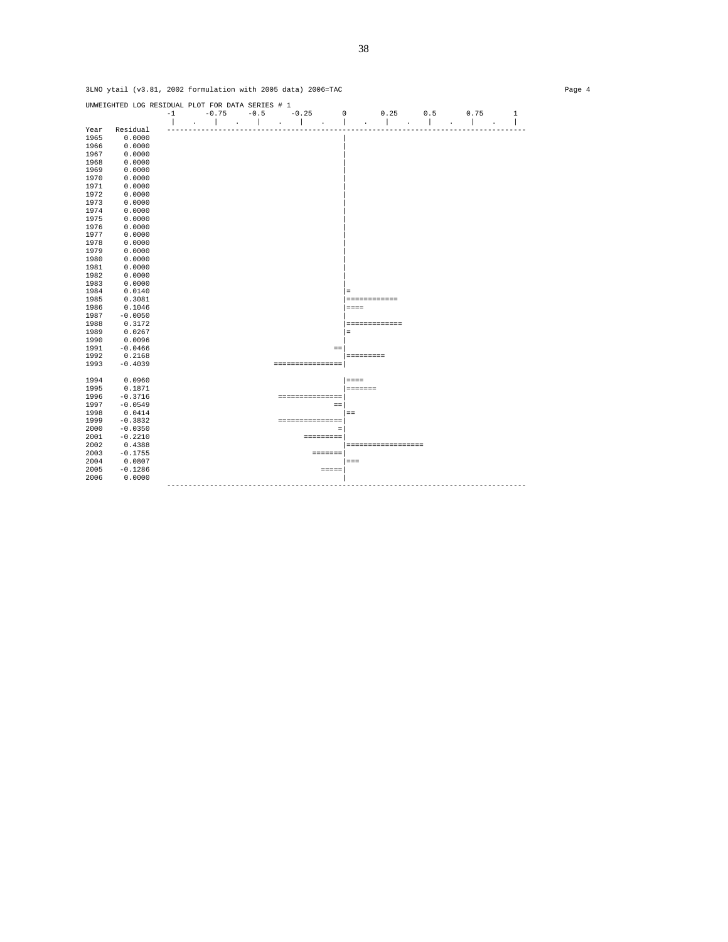|           | $-1$                                                                                                                                                                                                                                                                                                                | $-0.75$ |                             | $-0.5$ |                 | $-0.25$    |                | $\mathbf 0$ | 0.25                                                                                                                                                                       | 0.5                                                          | 0.75                                 | $\mathbf{1}$ |
|-----------|---------------------------------------------------------------------------------------------------------------------------------------------------------------------------------------------------------------------------------------------------------------------------------------------------------------------|---------|-----------------------------|--------|-----------------|------------|----------------|-------------|----------------------------------------------------------------------------------------------------------------------------------------------------------------------------|--------------------------------------------------------------|--------------------------------------|--------------|
| Residual  |                                                                                                                                                                                                                                                                                                                     | $\sim$  | $\sim$ $\sim$ $\sim$ $\sim$ |        | <b>Contract</b> | $\sim 100$ | $\blacksquare$ | $\Delta$    | $\sim$ 1<br>$\cdot$                                                                                                                                                        | a ka                                                         | $\mathbf{I}$<br>$\ddot{\phantom{a}}$ |              |
|           |                                                                                                                                                                                                                                                                                                                     |         |                             |        |                 |            |                |             |                                                                                                                                                                            |                                                              |                                      |              |
|           |                                                                                                                                                                                                                                                                                                                     |         |                             |        |                 |            |                |             |                                                                                                                                                                            |                                                              |                                      |              |
|           |                                                                                                                                                                                                                                                                                                                     |         |                             |        |                 |            |                |             |                                                                                                                                                                            |                                                              |                                      |              |
|           |                                                                                                                                                                                                                                                                                                                     |         |                             |        |                 |            |                |             |                                                                                                                                                                            |                                                              |                                      |              |
|           |                                                                                                                                                                                                                                                                                                                     |         |                             |        |                 |            |                |             |                                                                                                                                                                            |                                                              |                                      |              |
|           |                                                                                                                                                                                                                                                                                                                     |         |                             |        |                 |            |                |             |                                                                                                                                                                            |                                                              |                                      |              |
|           |                                                                                                                                                                                                                                                                                                                     |         |                             |        |                 |            |                |             |                                                                                                                                                                            |                                                              |                                      |              |
|           |                                                                                                                                                                                                                                                                                                                     |         |                             |        |                 |            |                |             |                                                                                                                                                                            |                                                              |                                      |              |
|           |                                                                                                                                                                                                                                                                                                                     |         |                             |        |                 |            |                |             |                                                                                                                                                                            |                                                              |                                      |              |
|           |                                                                                                                                                                                                                                                                                                                     |         |                             |        |                 |            |                |             |                                                                                                                                                                            |                                                              |                                      |              |
|           |                                                                                                                                                                                                                                                                                                                     |         |                             |        |                 |            |                |             |                                                                                                                                                                            |                                                              |                                      |              |
|           |                                                                                                                                                                                                                                                                                                                     |         |                             |        |                 |            |                |             |                                                                                                                                                                            |                                                              |                                      |              |
|           |                                                                                                                                                                                                                                                                                                                     |         |                             |        |                 |            |                |             |                                                                                                                                                                            |                                                              |                                      |              |
|           |                                                                                                                                                                                                                                                                                                                     |         |                             |        |                 |            |                |             |                                                                                                                                                                            |                                                              |                                      |              |
|           |                                                                                                                                                                                                                                                                                                                     |         |                             |        |                 |            |                |             |                                                                                                                                                                            |                                                              |                                      |              |
|           |                                                                                                                                                                                                                                                                                                                     |         |                             |        |                 |            |                |             |                                                                                                                                                                            |                                                              |                                      |              |
|           |                                                                                                                                                                                                                                                                                                                     |         |                             |        |                 |            |                |             |                                                                                                                                                                            |                                                              |                                      |              |
|           |                                                                                                                                                                                                                                                                                                                     |         |                             |        |                 |            |                |             |                                                                                                                                                                            |                                                              |                                      |              |
|           |                                                                                                                                                                                                                                                                                                                     |         |                             |        |                 |            |                |             |                                                                                                                                                                            |                                                              |                                      |              |
|           |                                                                                                                                                                                                                                                                                                                     |         |                             |        |                 |            |                |             |                                                                                                                                                                            |                                                              |                                      |              |
| 0.0140    |                                                                                                                                                                                                                                                                                                                     |         |                             |        |                 |            |                | $=$         |                                                                                                                                                                            |                                                              |                                      |              |
| 0.3081    |                                                                                                                                                                                                                                                                                                                     |         |                             |        |                 |            |                |             |                                                                                                                                                                            |                                                              |                                      |              |
| 0.1046    |                                                                                                                                                                                                                                                                                                                     |         |                             |        |                 |            |                | $= = = =$   |                                                                                                                                                                            |                                                              |                                      |              |
| $-0.0050$ |                                                                                                                                                                                                                                                                                                                     |         |                             |        |                 |            |                |             |                                                                                                                                                                            |                                                              |                                      |              |
| 0.3172    |                                                                                                                                                                                                                                                                                                                     |         |                             |        |                 |            |                |             |                                                                                                                                                                            |                                                              |                                      |              |
| 0.0267    |                                                                                                                                                                                                                                                                                                                     |         |                             |        |                 |            |                | $\equiv$    |                                                                                                                                                                            |                                                              |                                      |              |
| 0.0096    |                                                                                                                                                                                                                                                                                                                     |         |                             |        |                 |            |                |             |                                                                                                                                                                            |                                                              |                                      |              |
| $-0.0466$ |                                                                                                                                                                                                                                                                                                                     |         |                             |        |                 |            | $=$            |             |                                                                                                                                                                            |                                                              |                                      |              |
| 0.2168    |                                                                                                                                                                                                                                                                                                                     |         |                             |        |                 |            |                |             |                                                                                                                                                                            |                                                              |                                      |              |
| $-0.4039$ |                                                                                                                                                                                                                                                                                                                     |         |                             |        |                 |            |                |             |                                                                                                                                                                            |                                                              |                                      |              |
|           |                                                                                                                                                                                                                                                                                                                     |         |                             |        |                 |            |                |             |                                                                                                                                                                            |                                                              |                                      |              |
| 0.0960    |                                                                                                                                                                                                                                                                                                                     |         |                             |        |                 |            |                | $=$ = = =   |                                                                                                                                                                            |                                                              |                                      |              |
| 0.1871    |                                                                                                                                                                                                                                                                                                                     |         |                             |        |                 |            |                |             |                                                                                                                                                                            |                                                              |                                      |              |
|           |                                                                                                                                                                                                                                                                                                                     |         |                             |        |                 |            |                |             |                                                                                                                                                                            |                                                              |                                      |              |
|           |                                                                                                                                                                                                                                                                                                                     |         |                             |        |                 |            |                |             |                                                                                                                                                                            |                                                              |                                      |              |
|           |                                                                                                                                                                                                                                                                                                                     |         |                             |        |                 |            |                |             |                                                                                                                                                                            |                                                              |                                      |              |
|           |                                                                                                                                                                                                                                                                                                                     |         |                             |        |                 |            |                |             |                                                                                                                                                                            |                                                              |                                      |              |
|           |                                                                                                                                                                                                                                                                                                                     |         |                             |        |                 |            |                |             |                                                                                                                                                                            |                                                              |                                      |              |
|           |                                                                                                                                                                                                                                                                                                                     |         |                             |        |                 |            |                |             |                                                                                                                                                                            |                                                              |                                      |              |
|           |                                                                                                                                                                                                                                                                                                                     |         |                             |        |                 |            |                |             |                                                                                                                                                                            |                                                              |                                      |              |
|           |                                                                                                                                                                                                                                                                                                                     |         |                             |        |                 |            |                |             |                                                                                                                                                                            |                                                              |                                      |              |
|           |                                                                                                                                                                                                                                                                                                                     |         |                             |        |                 |            |                |             |                                                                                                                                                                            |                                                              |                                      |              |
|           |                                                                                                                                                                                                                                                                                                                     |         |                             |        |                 |            |                |             |                                                                                                                                                                            |                                                              |                                      |              |
| 0.0000    |                                                                                                                                                                                                                                                                                                                     |         |                             |        |                 |            |                |             |                                                                                                                                                                            |                                                              |                                      |              |
|           |                                                                                                                                                                                                                                                                                                                     |         |                             |        |                 |            |                |             |                                                                                                                                                                            |                                                              |                                      |              |
|           | 0.0000<br>0.0000<br>0.0000<br>0.0000<br>0.0000<br>0.0000<br>0.0000<br>0.0000<br>0.0000<br>0.0000<br>0.0000<br>0.0000<br>0.0000<br>0.0000<br>0.0000<br>0.0000<br>0.0000<br>0.0000<br>0.0000<br>$-0.3716$<br>$-0.0549$<br>0.0414<br>$-0.3832$<br>$-0.0350$<br>$-0.2210$<br>0.4388<br>$-0.1755$<br>0.0807<br>$-0.1286$ |         |                             |        |                 |            |                |             | ================<br>===============<br>$\equiv$ $\equiv$<br>$=$ $=$<br>===============<br>$\equiv$<br><b>SEESSEESS</b><br><b>EDEDEDE</b><br>$=$ $=$ $=$<br>$=$ $=$ $=$ $=$ | ============<br>=============<br>=========<br><b>EEEEEEE</b> | ==================                   |              |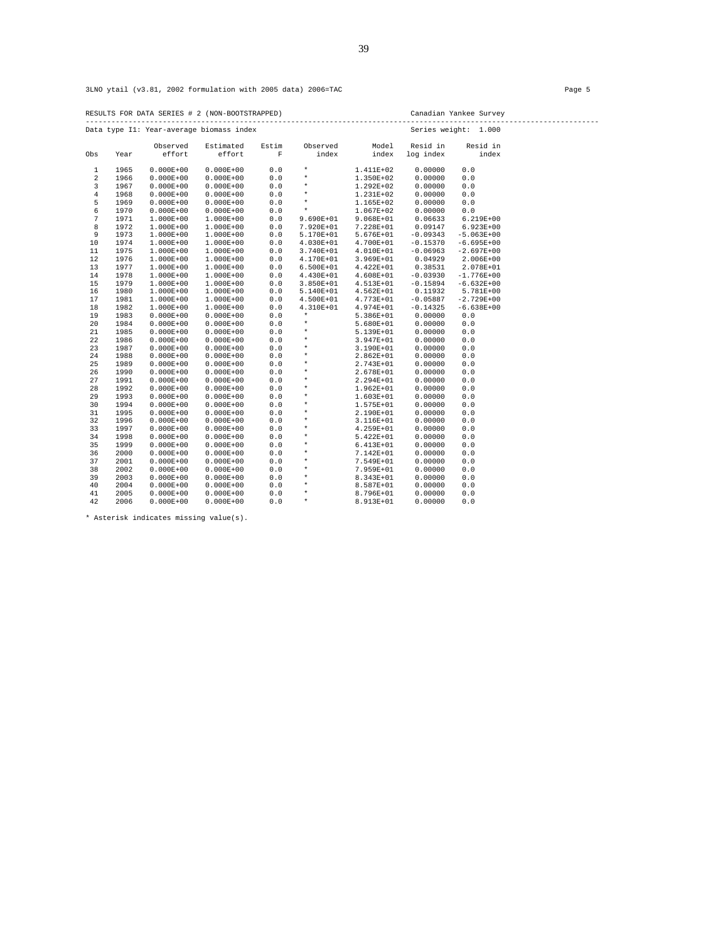RESULTS FOR DATA SERIES # 2 (NON-BOOTSTRAPPED) Canadian Yankee Survey ------------------------------------------------------------------------------------------------------------------------

|                |      |                    | Data type Il: Year-average biomass index |            |                   |                | Series weight:        | 1.000             |
|----------------|------|--------------------|------------------------------------------|------------|-------------------|----------------|-----------------------|-------------------|
| Obs            | Year | Observed<br>effort | Estimated<br>effort                      | Estim<br>F | Observed<br>index | Model<br>index | Resid in<br>log index | Resid in<br>index |
|                |      |                    |                                          |            |                   |                |                       |                   |
| $\mathbf{1}$   | 1965 | $0.000E + 00$      | $0.000E + 00$                            | $0.0$      | $\star$           | 1.411E+02      | 0.00000               | 0.0               |
| $\overline{a}$ | 1966 | $0.000E + 00$      | $0.000E + 00$                            | 0.0        | $\star$           | 1.350E+02      | 0.00000               | 0.0               |
| $\overline{3}$ | 1967 | $0.000E + 00$      | $0.000E + 00$                            | $0.0$      | $\star$           | 1.292E+02      | 0.00000               | 0.0               |
| $\overline{4}$ | 1968 | $0.000E + 00$      | $0.000E + 00$                            | 0.0        | $\star$           | 1.231E+02      | 0.00000               | 0.0               |
| 5              | 1969 | $0.000E + 00$      | $0.000E + 00$                            | $0.0$      | $\star$           | 1.165E+02      | 0.00000               | 0.0               |
| 6              | 1970 | $0.000E + 00$      | $0.000E + 00$                            | 0.0        | $\star$           | 1.067E+02      | 0.00000               | 0.0               |
| 7              | 1971 | 1.000E+00          | 1.000E+00                                | $0.0$      | 9.690E+01         | 9.068E+01      | 0.06633               | $6.219E+00$       |
| 8              | 1972 | $1.000E + 00$      | 1.000E+00                                | $0.0$      | 7.920E+01         | 7.228E+01      | 0.09147               | $6.923E+00$       |
| 9              | 1973 | 1.000E+00          | 1.000E+00                                | $0.0$      | 5.170E+01         | 5.676E+01      | $-0.09343$            | $-5.063E+00$      |
| 10             | 1974 | 1.000E+00          | 1.000E+00                                | 0.0        | $4.030E + 01$     | 4.700E+01      | $-0.15370$            | $-6.695E+00$      |
| 11             | 1975 | 1.000E+00          | 1.000E+00                                | $0.0$      | 3.740E+01         | 4.010E+01      | $-0.06963$            | $-2.697E+00$      |
| 12             | 1976 | 1.000E+00          | 1.000E+00                                | 0.0        | 4.170E+01         | 3.969E+01      | 0.04929               | $2.006E + 00$     |
| 13             | 1977 | 1.000E+00          | 1.000E+00                                | $0.0$      | $6.500E + 01$     | 4.422E+01      | 0.38531               | 2.078E+01         |
| 14             | 1978 | 1.000E+00          | $1.000E + 00$                            | 0.0        | 4.430E+01         | 4.608E+01      | $-0.03930$            | $-1.776E + 00$    |
| 15             | 1979 | 1.000E+00          | 1.000E+00                                | $0.0$      | 3.850E+01         | 4.513E+01      | $-0.15894$            | $-6.632E+00$      |
| 16             | 1980 | 1.000E+00          | $1.000E + 00$                            | 0.0        | 5.140E+01         | 4.562E+01      | 0.11932               | 5.781E+00         |
| 17             | 1981 | 1.000E+00          | 1.000E+00                                | $0.0$      | 4.500E+01         | 4.773E+01      | $-0.05887$            | $-2.729E + 00$    |
| 18             | 1982 | 1.000E+00          | $1.000E + 00$                            | $0.0$      | 4.310E+01         | $4.974E + 01$  | $-0.14325$            | $-6.638E+00$      |
| 19             | 1983 | $0.000E + 00$      | $0.000E + 00$                            | 0.0        | $\star$           | 5.386E+01      | 0.00000               | 0.0               |
| 20             | 1984 | $0.000E + 00$      | $0.000E + 00$                            | 0.0        | $\star$           | $5.680E+01$    | 0.00000               | $0.0$             |
| 21             | 1985 | $0.000E + 00$      | $0.000E + 00$                            | 0.0        | $\star$           | 5.139E+01      | 0.00000               | 0.0               |
| 22             | 1986 | $0.000E + 00$      | $0.000E + 00$                            | 0.0        | $\star$           | 3.947E+01      | 0.00000               | 0.0               |
| 23             | 1987 | $0.000E + 00$      | $0.000E + 00$                            | $0.0$      | $^\star$          | 3.190E+01      | 0.00000               | 0.0               |
| 24             | 1988 | $0.000E + 00$      | $0.000E + 00$                            | 0.0        | $\star$           | 2.862E+01      | 0.00000               | 0.0               |
| 25             | 1989 | $0.000E + 00$      | $0.000E + 00$                            | $0.0$      | $^\star$          | 2.743E+01      | 0.00000               | 0.0               |
| 26             | 1990 | $0.000E + 00$      | $0.000E + 00$                            | $0.0$      | $\star$           | 2.678E+01      | 0.00000               | 0.0               |
| 27             | 1991 | $0.000E + 00$      | $0.000E + 00$                            | 0.0        | $\star$           | 2.294E+01      | 0.00000               | 0.0               |
| 28             | 1992 | $0.000E + 00$      | $0.000E + 00$                            | $0.0$      | $\star$           | 1.962E+01      | 0.00000               | 0.0               |
| 29             | 1993 | $0.000E + 00$      | $0.000E + 00$                            | $0.0$      | $\star$           | 1.603E+01      | 0.00000               | 0.0               |
| 30             | 1994 | $0.000E + 00$      | $0.000E + 00$                            | 0.0        | $\star$           | 1.575E+01      | 0.00000               | 0.0               |
| 31             | 1995 | $0.000E + 00$      | $0.000E + 00$                            | $0.0$      | $\star$           | 2.190E+01      | 0.00000               | $0.0$             |
| 32             | 1996 | $0.000E + 00$      | $0.000E + 00$                            | 0.0        | $\star$           | 3.116E+01      | 0.00000               | 0.0               |
| 33             | 1997 | $0.000E + 00$      | $0.000E + 00$                            | 0.0        | $\star$           | 4.259E+01      | 0.00000               | 0.0               |
| 34             | 1998 | $0.000E + 00$      | $0.000E + 00$                            | 0.0        | $\star$           | 5.422E+01      | 0.00000               | 0.0               |
| 35             | 1999 | $0.000E + 00$      | $0.000E + 00$                            | 0.0        | $\star$           | $6.413E+01$    | 0.00000               | 0.0               |
| 36             | 2000 | $0.000E + 00$      | $0.000E + 00$                            | $0.0$      | $\star$           | 7.142E+01      | 0.00000               | 0.0               |
| 37             | 2001 | $0.000E + 00$      | $0.000E + 00$                            | $0.0$      | $\star$           | 7.549E+01      | 0.00000               | 0.0               |
| 38             | 2002 | $0.000E + 00$      | $0.000E + 00$                            | 0.0        | $\star$           | 7.959E+01      | 0.00000               | 0.0               |
| 39             | 2003 | $0.000E + 00$      | $0.000E + 00$                            | $0.0$      | $\star$           | 8.343E+01      | 0.00000               | 0.0               |
| 40             | 2004 | $0.000E + 00$      | $0.000E + 00$                            | 0.0        | $\star$           | 8.587E+01      | 0.00000               | 0.0               |
| 41             | 2005 | $0.000E + 00$      | $0.000E + 00$                            | 0.0        | $\star$           | 8.796E+01      | 0.00000               | 0.0               |
| 42             | 2006 | $0.000E + 00$      | $0.000E + 00$                            | 0.0        | $^\star$          | 8.913E+01      | 0.00000               | 0.0               |

\* Asterisk indicates missing value(s).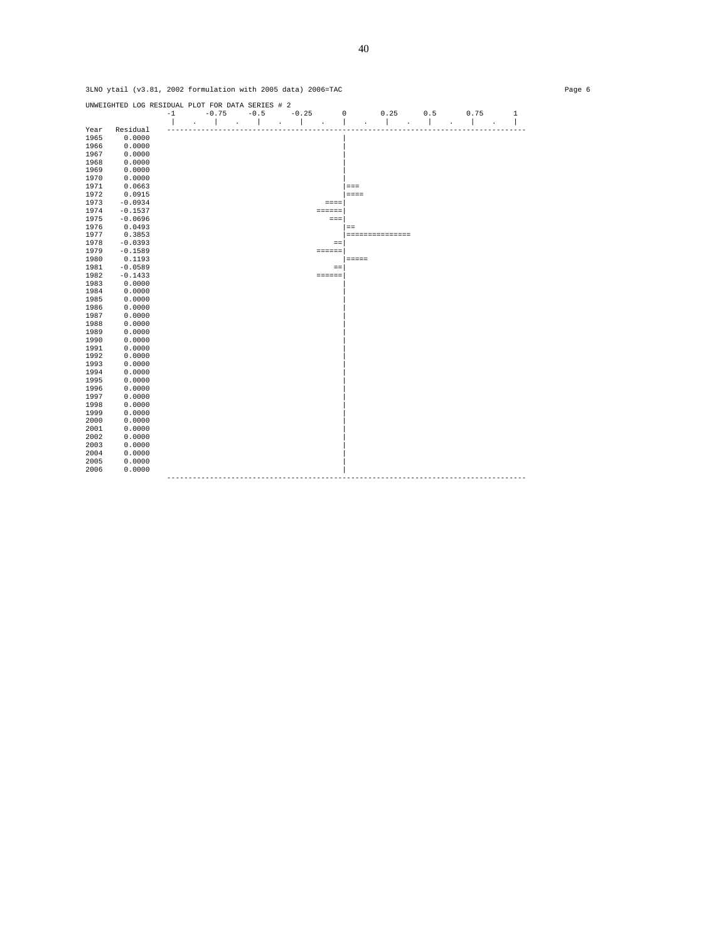|      | UNWEIGHTED LOG RESIDUAL PLOT FOR DATA SERIES # 2 |      |         |        |         |                 |               |                 |     |      |              |
|------|--------------------------------------------------|------|---------|--------|---------|-----------------|---------------|-----------------|-----|------|--------------|
|      |                                                  | $-1$ | $-0.75$ | $-0.5$ | $-0.25$ |                 | 0             | 0.25            | 0.5 | 0.75 | $\mathbf{1}$ |
|      |                                                  |      |         |        |         |                 |               |                 |     |      |              |
| Year | Residual                                         |      |         |        |         |                 |               |                 |     |      |              |
| 1965 | 0.0000                                           |      |         |        |         |                 |               |                 |     |      |              |
| 1966 | 0.0000                                           |      |         |        |         |                 |               |                 |     |      |              |
| 1967 | 0.0000                                           |      |         |        |         |                 |               |                 |     |      |              |
| 1968 | 0.0000                                           |      |         |        |         |                 |               |                 |     |      |              |
| 1969 | 0.0000                                           |      |         |        |         |                 |               |                 |     |      |              |
| 1970 | 0.0000                                           |      |         |        |         |                 |               |                 |     |      |              |
| 1971 | 0.0663                                           |      |         |        |         |                 | $=$ $=$ $=$   |                 |     |      |              |
| 1972 | 0.0915                                           |      |         |        |         |                 | $=$ = $=$ $=$ |                 |     |      |              |
| 1973 | $-0.0934$                                        |      |         |        |         | $=$ $=$ $=$ $=$ |               |                 |     |      |              |
| 1974 | $-0.1537$                                        |      |         |        |         | $=$ = = = = =   |               |                 |     |      |              |
| 1975 | $-0.0696$                                        |      |         |        |         | $=$ $=$ $=$     |               |                 |     |      |              |
| 1976 | 0.0493                                           |      |         |        |         |                 | $=$           |                 |     |      |              |
| 1977 | 0.3853                                           |      |         |        |         |                 |               | =============== |     |      |              |
| 1978 | $-0.0393$                                        |      |         |        |         | $=$ $=$         |               |                 |     |      |              |
| 1979 | $-0.1589$                                        |      |         |        |         | $=$ = = = = =   |               |                 |     |      |              |
| 1980 | 0.1193                                           |      |         |        |         |                 | $= = = = = =$ |                 |     |      |              |
| 1981 | $-0.0589$                                        |      |         |        |         | $=$             |               |                 |     |      |              |
| 1982 | $-0.1433$                                        |      |         |        |         | $= 12222222$    |               |                 |     |      |              |
| 1983 | 0.0000                                           |      |         |        |         |                 |               |                 |     |      |              |
| 1984 | 0.0000                                           |      |         |        |         |                 |               |                 |     |      |              |
| 1985 | 0.0000                                           |      |         |        |         |                 |               |                 |     |      |              |
| 1986 | 0.0000                                           |      |         |        |         |                 |               |                 |     |      |              |
| 1987 | 0.0000                                           |      |         |        |         |                 |               |                 |     |      |              |
| 1988 | 0.0000                                           |      |         |        |         |                 |               |                 |     |      |              |
| 1989 | 0.0000                                           |      |         |        |         |                 |               |                 |     |      |              |
| 1990 | 0.0000                                           |      |         |        |         |                 |               |                 |     |      |              |
| 1991 | 0.0000                                           |      |         |        |         |                 |               |                 |     |      |              |
| 1992 | 0.0000                                           |      |         |        |         |                 |               |                 |     |      |              |
| 1993 | 0.0000                                           |      |         |        |         |                 |               |                 |     |      |              |
| 1994 | 0.0000                                           |      |         |        |         |                 |               |                 |     |      |              |
| 1995 | 0.0000                                           |      |         |        |         |                 |               |                 |     |      |              |
| 1996 | 0.0000                                           |      |         |        |         |                 |               |                 |     |      |              |
| 1997 | 0.0000                                           |      |         |        |         |                 |               |                 |     |      |              |
| 1998 | 0.0000                                           |      |         |        |         |                 |               |                 |     |      |              |
| 1999 | 0.0000                                           |      |         |        |         |                 |               |                 |     |      |              |
| 2000 | 0.0000                                           |      |         |        |         |                 |               |                 |     |      |              |
| 2001 | 0.0000                                           |      |         |        |         |                 |               |                 |     |      |              |
| 2002 | 0.0000                                           |      |         |        |         |                 |               |                 |     |      |              |
| 2003 | 0.0000                                           |      |         |        |         |                 |               |                 |     |      |              |
| 2004 | 0.0000                                           |      |         |        |         |                 |               |                 |     |      |              |
| 2005 | 0.0000                                           |      |         |        |         |                 |               |                 |     |      |              |
| 2006 | 0.0000                                           |      |         |        |         |                 |               |                 |     |      |              |
|      |                                                  |      |         |        |         |                 |               |                 |     |      |              |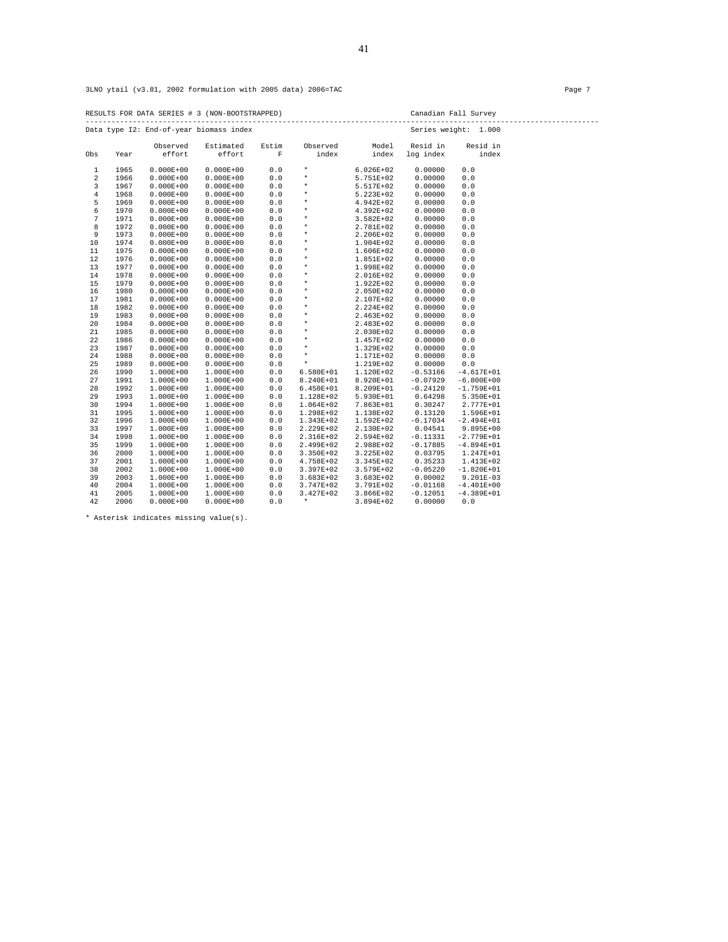RESULTS FOR DATA SERIES # 3 (NON-BOOTSTRAPPED) Canadian Fall Survey ------------------------------------------------------------------------------------------------------------------------

|                |      |               | Data type I2: End-of-year biomass index |             |               |               |            | Series weight: 1.000 |
|----------------|------|---------------|-----------------------------------------|-------------|---------------|---------------|------------|----------------------|
|                |      | Observed      | Estimated                               | Estim       | Observed      | Model         | Resid in   | Resid in             |
| Obs            | Year | effort        | effort                                  | $\mathbf F$ | index         | index         | log index  | index                |
| $1\,$          | 1965 | $0.000E + 00$ | $0.000E + 00$                           | 0.0         | $\star$       | $6.026E + 02$ | 0.00000    | 0.0                  |
| $\overline{2}$ | 1966 | $0.000E + 00$ | $0.000E + 00$                           | $0.0$       | $\star$       | 5.751E+02     | 0.00000    | 0.0                  |
| 3              | 1967 | $0.000E + 00$ | $0.000E + 00$                           | $0.0$       | $\star$       | 5.517E+02     | 0.00000    | 0.0                  |
| $\overline{4}$ | 1968 | $0.000E + 00$ | $0.000E + 00$                           | 0.0         | $\star$       | 5.223E+02     | 0.00000    | 0.0                  |
| 5              | 1969 | $0.000E + 00$ | $0.000E + 00$                           | 0.0         | $\star$       | 4.942E+02     | 0.00000    | 0.0                  |
| 6              | 1970 | $0.000E + 00$ | $0.000E + 00$                           | 0.0         | $\star$       | 4.392E+02     | 0.00000    | 0.0                  |
| 7              | 1971 | $0.000E + 00$ | $0.000E + 00$                           | 0.0         | $\star$       | 3.582E+02     | 0.00000    | 0.0                  |
| 8              | 1972 | $0.000E + 00$ | $0.000E + 00$                           | 0.0         | $\star$       | 2.781E+02     | 0.00000    | 0.0                  |
| 9              | 1973 | $0.000E + 00$ | $0.000E + 00$                           | 0.0         | $\star$       | 2.206E+02     | 0.00000    | 0.0                  |
| 10             | 1974 | $0.000E + 00$ | $0.000E + 00$                           | $0.0$       | $\star$       | 1.904E+02     | 0.00000    | 0.0                  |
| $1\,1$         | 1975 | $0.000E + 00$ | $0.000E + 00$                           | $0.0$       | $\star$       | 1.606E+02     | 0.00000    | 0.0                  |
| 12             | 1976 | $0.000E + 00$ | $0.000E + 00$                           | 0.0         | $^\star$      | 1.851E+02     | 0.00000    | 0.0                  |
| 13             | 1977 | $0.000E + 00$ | $0.000E + 00$                           | $0.0$       | $\star$       | 1.998E+02     | 0.00000    | 0.0                  |
| 14             | 1978 | $0.000E + 00$ | $0.000E + 00$                           | 0.0         | $\star$       | 2.016E+02     | 0.00000    | 0.0                  |
| 15             | 1979 | $0.000E + 00$ | $0.000E + 00$                           | $0.0$       | $^{\star}$    | 1.922E+02     | 0.00000    | 0.0                  |
| 16             | 1980 | $0.000E + 00$ | $0.000E + 00$                           | 0.0         | $^\star$      | 2.050E+02     | 0.00000    | 0.0                  |
| 17             | 1981 | $0.000E + 00$ | $0.000E + 00$                           | 0.0         | $^{\star}$    | 2.107E+02     | 0.00000    | 0.0                  |
| 18             | 1982 | $0.000E + 00$ | $0.000E + 00$                           | 0.0         | $\star$       | 2.224E+02     | 0.00000    | 0.0                  |
| 19             | 1983 | $0.000E + 00$ | $0.000E + 00$                           | $0.0$       | $\star$       | 2.463E+02     | 0.00000    | 0.0                  |
| 20             | 1984 | $0.000E + 00$ | $0.000E + 00$                           | $0.0$       | $\star$       | 2.483E+02     | 0.00000    | 0.0                  |
| 21             | 1985 | $0.000E + 00$ | $0.000E + 00$                           | $0.0$       | $\star$       | 2.030E+02     | 0.00000    | 0.0                  |
| 22             | 1986 | $0.000E + 00$ | $0.000E + 00$                           | 0.0         | $\star$       | 1.457E+02     | 0.00000    | 0.0                  |
| 23             | 1987 | $0.000E + 00$ | $0.000E + 00$                           | $0.0$       | $\star$       | 1.329E+02     | 0.00000    | 0.0                  |
| 24             | 1988 | $0.000E + 00$ | $0.000E + 00$                           | $0.0$       | $\star$       | 1.171E+02     | 0.00000    | 0.0                  |
| 25             | 1989 | $0.000E + 00$ | $0.000E + 00$                           | 0.0         | $\star$       | 1.219E+02     | 0.00000    | 0.0                  |
| 26             | 1990 | 1.000E+00     | 1.000E+00                               | 0.0         | $6.580E+01$   | 1.120E+02     | $-0.53166$ | $-4.617E+01$         |
| 27             | 1991 | 1.000E+00     | 1.000E+00                               | $0.0$       | 8.240E+01     | 8.920E+01     | $-0.07929$ | $-6.800E+00$         |
| 28             | 1992 | 1.000E+00     | 1.000E+00                               | $0.0$       | $6.450E+01$   | 8.209E+01     | $-0.24120$ | $-1.759E+01$         |
| 29             | 1993 | 1.000E+00     | 1.000E+00                               | $0.0$       | 1.128E+02     | 5.930E+01     | 0.64298    | 5.350E+01            |
| 30             | 1994 | 1.000E+00     | 1.000E+00                               | 0.0         | $1.064E + 02$ | 7.863E+01     | 0.30247    | 2.777E+01            |
| 31             | 1995 | 1.000E+00     | 1.000E+00                               | 0.0         | 1.298E+02     | 1.138E+02     | 0.13120    | 1.596E+01            |
| 32             | 1996 | 1.000E+00     | 1.000E+00                               | 0.0         | 1.343E+02     | 1.592E+02     | $-0.17034$ | $-2.494E+01$         |
| 33             | 1997 | 1.000E+00     | 1.000E+00                               | $0.0$       | 2.229E+02     | 2.130E+02     | 0.04541    | 9.895E+00            |
| 34             | 1998 | 1.000E+00     | 1.000E+00                               | 0.0         | 2.316E+02     | 2.594E+02     | $-0.11331$ | $-2.779E + 01$       |
| 35             | 1999 | 1.000E+00     | 1.000E+00                               | $0.0$       | 2.499E+02     | 2.988E+02     | $-0.17885$ | $-4.894E+01$         |
| 36             | 2000 | 1.000E+00     | 1.000E+00                               | $0.0$       | 3.350E+02     | 3.225E+02     | 0.03795    | 1.247E+01            |
| 37             | 2001 | 1.000E+00     | 1.000E+00                               | $0.0$       | 4.758E+02     | 3.345E+02     | 0.35233    | 1.413E+02            |
| 38             | 2002 | 1.000E+00     | 1.000E+00                               | $0.0$       | 3.397E+02     | 3.579E+02     | $-0.05220$ | $-1.820E+01$         |
| 39             | 2003 | 1.000E+00     | 1.000E+00                               | 0.0         | $3.683E+02$   | 3.683E+02     | 0.00002    | $9.201E-03$          |
| 40             | 2004 | 1.000E+00     | 1.000E+00                               | $0.0$       | 3.747E+02     | 3.791E+02     | $-0.01168$ | $-4.401E+00$         |
| 41             | 2005 | 1.000E+00     | $1.000E + 00$                           | 0.0         | 3.427E+02     | 3.866E+02     | $-0.12051$ | $-4.389E+01$         |
| 42             | 2006 | $0.000E + 00$ | $0.000E + 00$                           | 0.0         | $\star$       | 3.894E+02     | 0.00000    | 0.0                  |

\* Asterisk indicates missing value(s).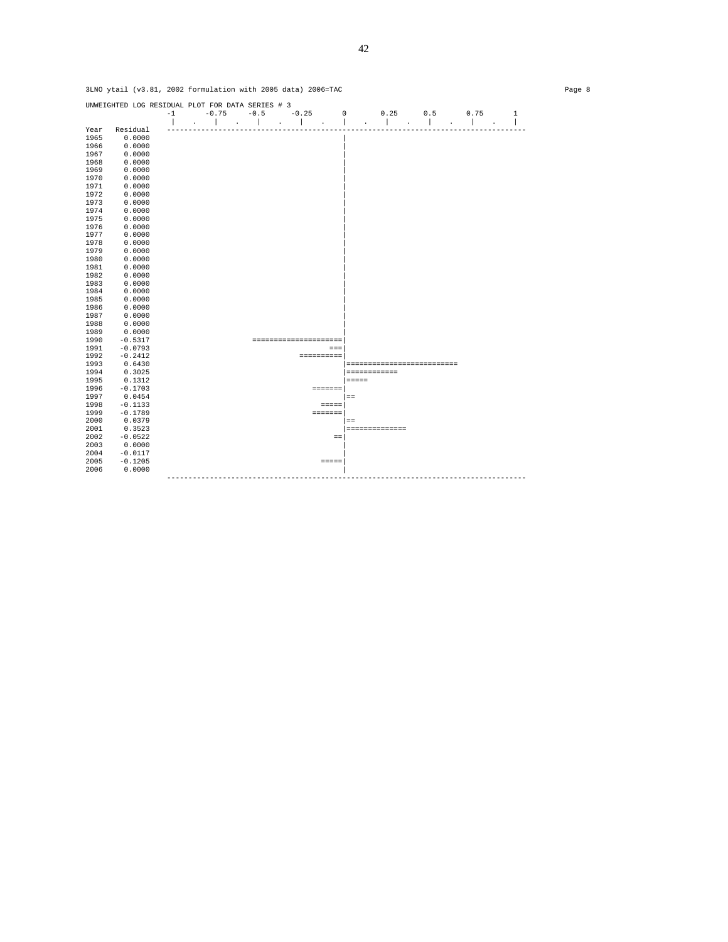|              | UNWEIGHTED LOG RESIDUAL PLOT FOR DATA SERIES # 3 | $-1$ | $-0.75$ | $-0.5$ | $-0.25$<br>$\mathbf{I}$<br>$\ddot{\phantom{a}}$ | 0              | 0.25                       | 0.5 | 0.75 | $\mathbf{1}$ |
|--------------|--------------------------------------------------|------|---------|--------|-------------------------------------------------|----------------|----------------------------|-----|------|--------------|
| Year         | Residual                                         |      |         |        |                                                 |                |                            |     |      |              |
| 1965         | 0.0000                                           |      |         |        |                                                 |                |                            |     |      |              |
| 1966         | 0.0000                                           |      |         |        |                                                 |                |                            |     |      |              |
| 1967         | 0.0000                                           |      |         |        |                                                 |                |                            |     |      |              |
| 1968         | 0.0000                                           |      |         |        |                                                 |                |                            |     |      |              |
| 1969         | 0.0000                                           |      |         |        |                                                 |                |                            |     |      |              |
| 1970         | 0.0000                                           |      |         |        |                                                 |                |                            |     |      |              |
| 1971         | 0.0000                                           |      |         |        |                                                 |                |                            |     |      |              |
| 1972         | 0.0000                                           |      |         |        |                                                 |                |                            |     |      |              |
| 1973         | 0.0000                                           |      |         |        |                                                 |                |                            |     |      |              |
| 1974         | 0.0000                                           |      |         |        |                                                 |                |                            |     |      |              |
| 1975         | 0.0000                                           |      |         |        |                                                 |                |                            |     |      |              |
| 1976         | 0.0000                                           |      |         |        |                                                 |                |                            |     |      |              |
| 1977         | 0.0000                                           |      |         |        |                                                 |                |                            |     |      |              |
| 1978<br>1979 | 0.0000<br>0.0000                                 |      |         |        |                                                 |                |                            |     |      |              |
| 1980         | 0.0000                                           |      |         |        |                                                 |                |                            |     |      |              |
| 1981         | 0.0000                                           |      |         |        |                                                 |                |                            |     |      |              |
| 1982         | 0.0000                                           |      |         |        |                                                 |                |                            |     |      |              |
| 1983         | 0.0000                                           |      |         |        |                                                 |                |                            |     |      |              |
| 1984         | 0.0000                                           |      |         |        |                                                 |                |                            |     |      |              |
| 1985         | 0.0000                                           |      |         |        |                                                 |                |                            |     |      |              |
| 1986         | 0.0000                                           |      |         |        |                                                 |                |                            |     |      |              |
| 1987         | 0.0000                                           |      |         |        |                                                 |                |                            |     |      |              |
| 1988         | 0.0000                                           |      |         |        |                                                 |                |                            |     |      |              |
| 1989         | 0.0000                                           |      |         |        |                                                 |                |                            |     |      |              |
| 1990         | $-0.5317$                                        |      |         |        | ---------------------                           |                |                            |     |      |              |
| 1991         | $-0.0793$                                        |      |         |        |                                                 | $=$ $=$ $=$    |                            |     |      |              |
| 1992         | $-0.2412$                                        |      |         |        | <b>SEESSEESS</b>                                |                |                            |     |      |              |
| 1993         | 0.6430                                           |      |         |        |                                                 |                | ========================== |     |      |              |
| 1994         | 0.3025                                           |      |         |        |                                                 |                | ============               |     |      |              |
| 1995<br>1996 | 0.1312<br>$-0.1703$                              |      |         |        |                                                 |                | $=$ $=$ $=$ $=$            |     |      |              |
| 1997         | 0.0454                                           |      |         |        |                                                 | <b>EDDEDED</b> |                            |     |      |              |
| 1998         | $-0.1133$                                        |      |         |        |                                                 |                | $=$                        |     |      |              |
| 1999         | $-0.1789$                                        |      |         |        | <b>EDESSED</b>                                  | $=$            |                            |     |      |              |
| 2000         | 0.0379                                           |      |         |        |                                                 |                | $=$                        |     |      |              |
| 2001         | 0.3523                                           |      |         |        |                                                 |                | ==============             |     |      |              |
| 2002         | $-0.0522$                                        |      |         |        |                                                 | $=$            |                            |     |      |              |
| 2003         | 0.0000                                           |      |         |        |                                                 |                |                            |     |      |              |
| 2004         | $-0.0117$                                        |      |         |        |                                                 |                |                            |     |      |              |
| 2005         | $-0.1205$                                        |      |         |        |                                                 | $= = = = =$    |                            |     |      |              |
| 2006         | 0.0000                                           |      |         |        |                                                 |                |                            |     |      |              |
|              |                                                  |      |         |        |                                                 |                |                            |     |      |              |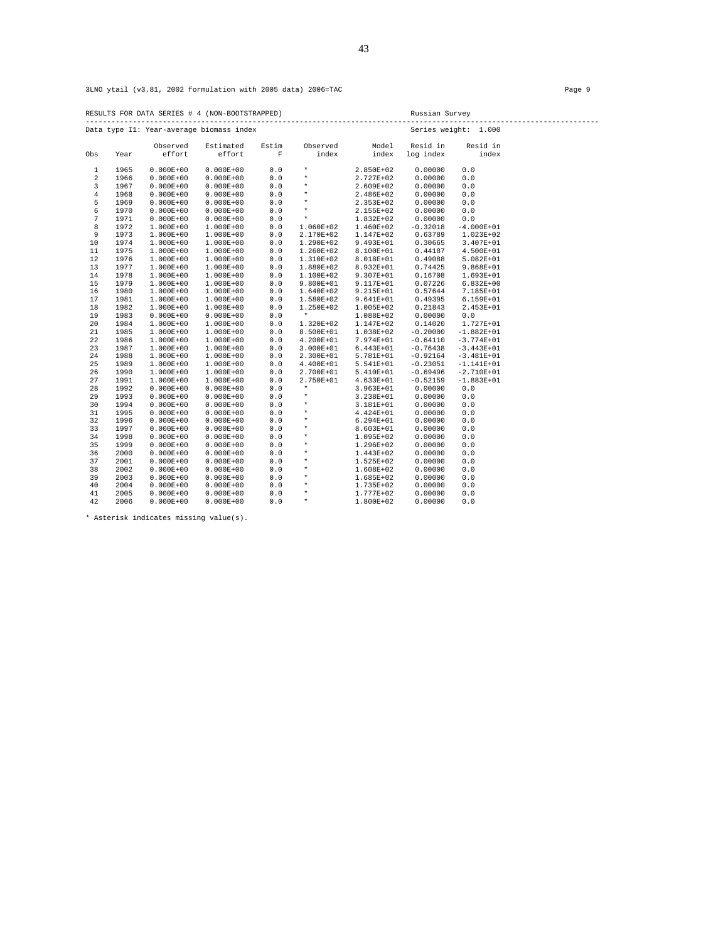RESULTS FOR DATA SERIES # 4 (NON-BOOTSTRAPPED) Russian Survey ------------------------------------------------------------------------------------------------------------------------ Data type I1: Year-average biomass index Series weight: 1.000

|              |      | Observed      | Estimated     | Estim | Observed      | Model       | Resid in   | Resid in       |  |
|--------------|------|---------------|---------------|-------|---------------|-------------|------------|----------------|--|
| Obs          | Year | effort        | effort        | F     | index         | index       | log index  | index          |  |
| $\mathbf{1}$ | 1965 | $0.000E + 00$ | $0.000E + 00$ | 0.0   | $\star$       | 2.850E+02   | 0.00000    | 0.0            |  |
| 2            | 1966 | $0.000E + 00$ | $0.000E + 00$ | $0.0$ | $\star$       | 2.727E+02   | 0.00000    | $0.0$          |  |
| 3            | 1967 | $0.000E + 00$ | $0.000E + 00$ | 0.0   | $\star$       | 2.609E+02   | 0.00000    | 0.0            |  |
| 4            | 1968 | $0.000E + 00$ | $0.000E + 00$ | 0.0   | $\star$       | 2.486E+02   | 0.00000    | 0.0            |  |
| 5            | 1969 | $0.000E + 00$ | $0.000E + 00$ | 0.0   | $\star$       | 2.353E+02   | 0.00000    | 0.0            |  |
| 6            | 1970 | $0.000E + 00$ | $0.000E + 00$ | $0.0$ | $\star$       | 2.155E+02   | 0.00000    | 0.0            |  |
| 7            | 1971 | $0.000E + 00$ | $0.000E + 00$ | 0.0   | $^\star$      | 1.832E+02   | 0.00000    | 0.0            |  |
| 8            | 1972 | $1.000E + 00$ | $1.000E + 00$ | 0.0   | 1.060E+02     | 1.460E+02   | $-0.32018$ | $-4.000E+01$   |  |
| 9            | 1973 | 1.000E+00     | 1.000E+00     | 0.0   | 2.170E+02     | 1.147E+02   | 0.63789    | $1.023E+02$    |  |
| 10           | 1974 | 1.000E+00     | 1.000E+00     | 0.0   | $1.290E + 02$ | 9.493E+01   | 0.30665    | 3.407E+01      |  |
| 11           | 1975 | 1.000E+00     | 1.000E+00     | 0.0   | 1.260E+02     | 8.100E+01   | 0.44187    | 4.500E+01      |  |
| 12           | 1976 | 1.000E+00     | 1.000E+00     | 0.0   | 1.310E+02     | 8.018E+01   | 0.49088    | 5.082E+01      |  |
| 13           | 1977 | 1.000E+00     | $1.000E + 00$ | 0.0   | 1.880E+02     | 8.932E+01   | 0.74425    | $9.868E + 01$  |  |
| $14$         | 1978 | 1.000E+00     | 1.000E+00     | $0.0$ | 1.100E+02     | 9.307E+01   | 0.16708    | 1.693E+01      |  |
| 15           | 1979 | 1.000E+00     | 1.000E+00     | 0.0   | 9.800E+01     | 9.117E+01   | 0.07226    | $6.832E+00$    |  |
| 16           | 1980 | $1.000E + 00$ | 1.000E+00     | 0.0   | 1.640E+02     | 9.215E+01   | 0.57644    | 7.185E+01      |  |
| 17           | 1981 | 1.000E+00     | 1.000E+00     | 0.0   | 1.580E+02     | 9.641E+01   | 0.49395    | 6.159E+01      |  |
| 18           | 1982 | 1.000E+00     | 1.000E+00     | 0.0   | 1.250E+02     | 1.005E+02   | 0.21843    | 2.453E+01      |  |
| 19           | 1983 | $0.000E + 00$ | $0.000E + 00$ | 0.0   | $\star$       | 1.088E+02   | 0.00000    | 0.0            |  |
| 20           | 1984 | 1.000E+00     | 1.000E+00     | 0.0   | 1.320E+02     | 1.147E+02   | 0.14020    | 1.727E+01      |  |
| 21           | 1985 | $1.000E + 00$ | 1.000E+00     | 0.0   | 8.500E+01     | 1.038E+02   | $-0.20000$ | $-1.882E + 01$ |  |
| 22           | 1986 | 1.000E+00     | 1.000E+00     | 0.0   | 4.200E+01     | 7.974E+01   | $-0.64110$ | $-3.774E + 01$ |  |
| 23           | 1987 | 1.000E+00     | 1.000E+00     | 0.0   | 3.000E+01     | $6.443E+01$ | $-0.76438$ | $-3.443E+01$   |  |
| 24           | 1988 | 1.000E+00     | 1.000E+00     | 0.0   | 2.300E+01     | 5.781E+01   | $-0.92164$ | $-3.481E+01$   |  |
| 25           | 1989 | $1.000E + 00$ | 1.000E+00     | 0.0   | 4.400E+01     | 5.541E+01   | $-0.23051$ | $-1.141E+01$   |  |
| 26           | 1990 | $1.000E + 00$ | $1.000E + 00$ | 0.0   | 2.700E+01     | 5.410E+01   | $-0.69496$ | $-2.710E+01$   |  |
| 27           | 1991 | $1.000E + 00$ | 1.000E+00     | 0.0   | 2.750E+01     | 4.633E+01   | $-0.52159$ | $-1.883E+01$   |  |
| 28           | 1992 | $0.000E + 00$ | $0.000E + 00$ | 0.0   | $\star$       | 3.963E+01   | 0.00000    | 0.0            |  |
| 29           | 1993 | $0.000E + 00$ | $0.000E + 00$ | 0.0   | $\star$       | 3.238E+01   | 0.00000    | 0.0            |  |
| 30           | 1994 | $0.000E + 00$ | $0.000E + 00$ | 0.0   | $\star$       | 3.181E+01   | 0.00000    | 0.0            |  |
| 31           | 1995 | $0.000E + 00$ | $0.000E + 00$ | 0.0   | $\star$       | 4.424E+01   | 0.00000    | 0.0            |  |
| 32           | 1996 | $0.000E + 00$ | $0.000E + 00$ | 0.0   | $\star$       | $6.294E+01$ | 0.00000    | 0.0            |  |
| 33           | 1997 | $0.000E + 00$ | $0.000E + 00$ | 0.0   | $\star$       | 8.603E+01   | 0.00000    | 0.0            |  |
| 34           | 1998 | $0.000E + 00$ | $0.000E + 00$ | 0.0   | $\star$       | 1.095E+02   | 0.00000    | 0.0            |  |
| 35           | 1999 | $0.000E + 00$ | $0.000E + 00$ | 0.0   | $\star$       | 1.296E+02   | 0.00000    | 0.0            |  |
| 36           | 2000 | $0.000E + 00$ | $0.000E + 00$ | 0.0   | $\star$       | 1.443E+02   | 0.00000    | 0.0            |  |
| 37           | 2001 | $0.000E + 00$ | $0.000E + 00$ | 0.0   | $\star$       | 1.525E+02   | 0.00000    | 0.0            |  |
| 38           | 2002 | $0.000E + 00$ | $0.000E + 00$ | 0.0   | $\star$       | 1.608E+02   | 0.00000    | 0.0            |  |
| 39           | 2003 | $0.000E + 00$ | $0.000E + 00$ | 0.0   | $\star$       | 1.685E+02   | 0.00000    | 0.0            |  |
| 40           | 2004 | $0.000E + 00$ | $0.000E + 00$ | 0.0   | $\star$       | 1.735E+02   | 0.00000    | 0.0            |  |
| 41           | 2005 | $0.000E + 00$ | $0.000E + 00$ | 0.0   | $\star$       | 1.777E+02   | 0.00000    | $0.0$          |  |
| 42           | 2006 | $0.000E + 00$ | $0.000E + 00$ | 0.0   | $\star$       | 1.800E+02   | 0.00000    | 0.0            |  |

\* Asterisk indicates missing value(s).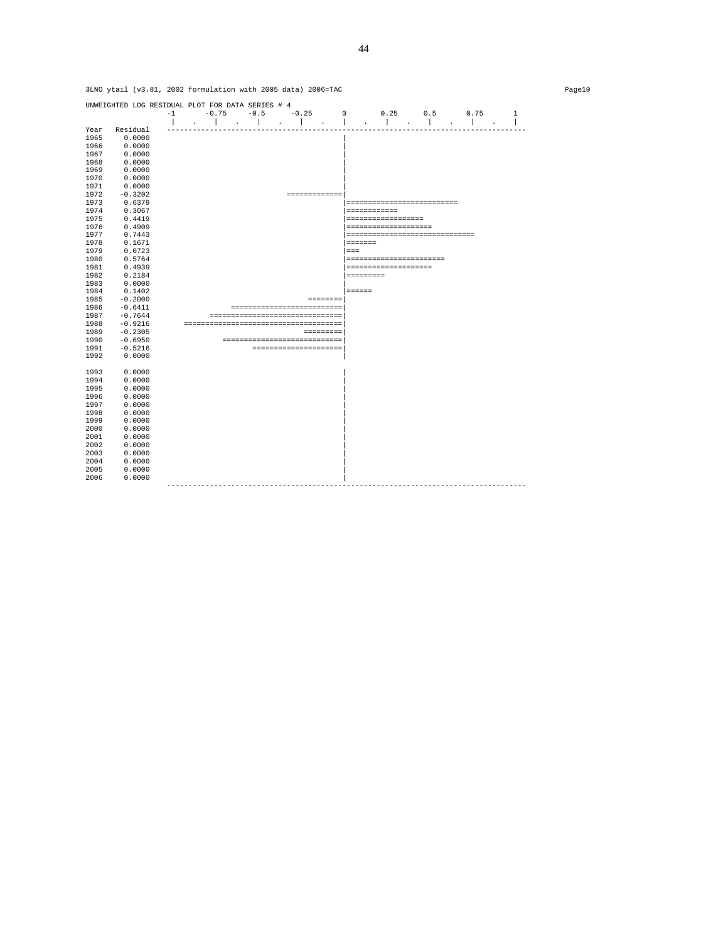|      | OMMO Aratt (AD.of'                               |      |                                   |        | 2002 LOIMULACION WICH 2003 GALA) 2000-IAC |                |                                |     |                                     |              |
|------|--------------------------------------------------|------|-----------------------------------|--------|-------------------------------------------|----------------|--------------------------------|-----|-------------------------------------|--------------|
|      | UNWEIGHTED LOG RESIDUAL PLOT FOR DATA SERIES # 4 |      |                                   |        |                                           |                |                                |     |                                     |              |
|      |                                                  | $-1$ | $-0.75$                           | $-0.5$ | $-0.25$                                   | $\Omega$       | 0.25                           | 0.5 | 0.75                                | $\mathbf{1}$ |
|      | Residual                                         |      |                                   |        |                                           |                |                                |     |                                     |              |
| Year |                                                  |      |                                   |        |                                           |                |                                |     |                                     |              |
| 1965 | 0.0000                                           |      |                                   |        |                                           |                |                                |     |                                     |              |
| 1966 | 0.0000                                           |      |                                   |        |                                           |                |                                |     |                                     |              |
| 1967 | 0.0000                                           |      |                                   |        |                                           |                |                                |     |                                     |              |
| 1968 | 0.0000                                           |      |                                   |        |                                           |                |                                |     |                                     |              |
| 1969 | 0.0000                                           |      |                                   |        |                                           |                |                                |     |                                     |              |
| 1970 | 0.0000                                           |      |                                   |        |                                           |                |                                |     |                                     |              |
| 1971 | 0.0000                                           |      |                                   |        |                                           |                |                                |     |                                     |              |
| 1972 | $-0.3202$                                        |      |                                   |        | =============                             |                |                                |     |                                     |              |
| 1973 | 0.6379                                           |      |                                   |        |                                           |                | --------------------------     |     |                                     |              |
| 1974 | 0.3067                                           |      |                                   |        |                                           |                | ============                   |     |                                     |              |
| 1975 | 0.4419                                           |      |                                   |        |                                           |                | ==================             |     |                                     |              |
| 1976 | 0.4909                                           |      |                                   |        |                                           |                | --------------------           |     |                                     |              |
| 1977 | 0.7443                                           |      |                                   |        |                                           |                | ------------------------------ |     |                                     |              |
| 1978 | 0.1671                                           |      |                                   |        |                                           | <b>ESSESSE</b> |                                |     |                                     |              |
| 1979 | 0.0723                                           |      |                                   |        |                                           | $= = =$        |                                |     |                                     |              |
| 1980 | 0.5764                                           |      |                                   |        |                                           |                | ----------------------         |     |                                     |              |
| 1981 | 0.4939                                           |      |                                   |        |                                           |                | --------------------           |     |                                     |              |
| 1982 | 0.2184                                           |      |                                   |        |                                           |                | <b>SEESSEESS</b>               |     |                                     |              |
| 1983 | 0.0000                                           |      |                                   |        |                                           |                |                                |     |                                     |              |
| 1984 | 0.1402                                           |      |                                   |        |                                           | <b>EEEEEE</b>  |                                |     |                                     |              |
| 1985 | $-0.2000$                                        |      |                                   |        |                                           | ========       |                                |     |                                     |              |
| 1986 | $-0.6411$                                        |      |                                   |        | ==========================                |                |                                |     |                                     |              |
| 1987 | $-0.7644$                                        |      |                                   |        | ================================          |                |                                |     |                                     |              |
| 1988 | $-0.9216$                                        |      |                                   |        |                                           |                |                                |     |                                     |              |
| 1989 | $-0.2305$                                        |      |                                   |        | <b>EEEEEEEE</b>                           |                |                                |     |                                     |              |
| 1990 | $-0.6950$                                        |      |                                   |        | ----------------------------              |                |                                |     |                                     |              |
| 1991 | $-0.5216$                                        |      |                                   |        | ---------------------                     |                |                                |     |                                     |              |
| 1992 | 0.0000                                           |      |                                   |        |                                           |                |                                |     |                                     |              |
|      |                                                  |      |                                   |        |                                           |                |                                |     |                                     |              |
| 1993 | 0.0000                                           |      |                                   |        |                                           |                |                                |     |                                     |              |
| 1994 | 0.0000                                           |      |                                   |        |                                           |                |                                |     |                                     |              |
| 1995 | 0.0000                                           |      |                                   |        |                                           |                |                                |     |                                     |              |
|      |                                                  |      |                                   |        |                                           |                |                                |     |                                     |              |
| 1996 | 0.0000                                           |      |                                   |        |                                           |                |                                |     |                                     |              |
| 1997 | 0.0000                                           |      |                                   |        |                                           |                |                                |     |                                     |              |
| 1998 | 0.0000                                           |      |                                   |        |                                           |                |                                |     |                                     |              |
| 1999 | 0.0000                                           |      |                                   |        |                                           |                |                                |     |                                     |              |
| 2000 | 0.0000                                           |      |                                   |        |                                           |                |                                |     |                                     |              |
| 2001 | 0.0000                                           |      |                                   |        |                                           |                |                                |     |                                     |              |
| 2002 | 0.0000                                           |      |                                   |        |                                           |                |                                |     |                                     |              |
| 2003 | 0.0000                                           |      |                                   |        |                                           |                |                                |     |                                     |              |
| 2004 | 0.0000                                           |      |                                   |        |                                           |                |                                |     |                                     |              |
| 2005 | 0.0000                                           |      |                                   |        |                                           |                |                                |     |                                     |              |
| 2006 | 0.0000                                           |      |                                   |        |                                           |                |                                |     |                                     |              |
|      |                                                  |      | --------------------------------- |        |                                           |                |                                |     | ----------------------------------- |              |
|      |                                                  |      |                                   |        |                                           |                |                                |     |                                     |              |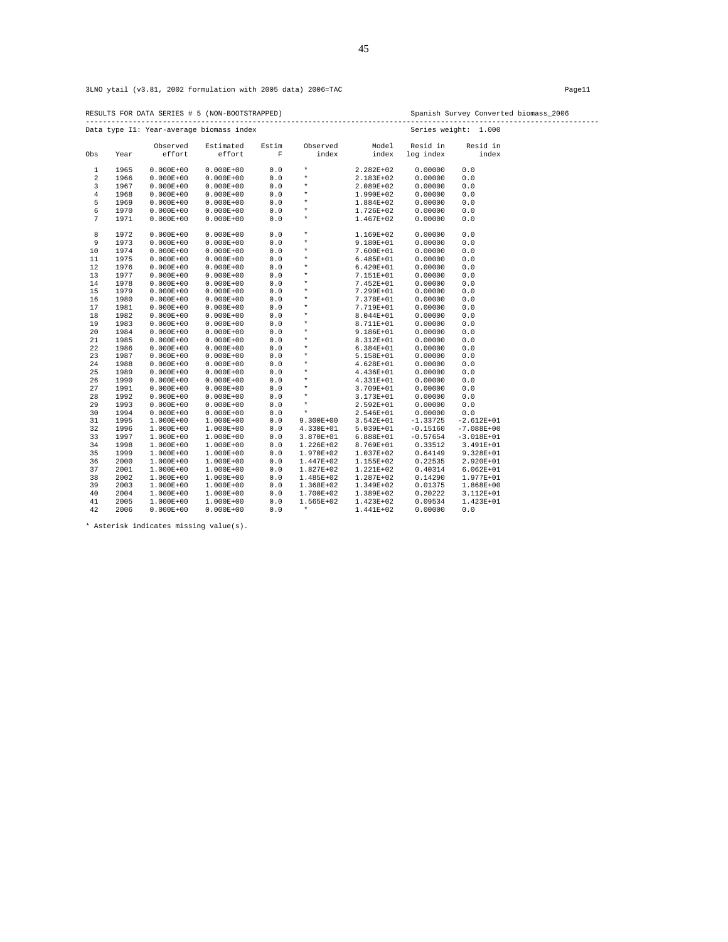RESULTS FOR DATA SERIES # 5 (NON-BOOTSTRAPPED) Spanish Survey Converted biomass\_2006 ------------------------------------------------------------------------------------------------------------------------

|                |      |               | Data type I1: Year-average biomass index |             |               |               | Series weight: | 1.000          |
|----------------|------|---------------|------------------------------------------|-------------|---------------|---------------|----------------|----------------|
|                |      | Observed      | Estimated                                | Estim       | Observed      | Model         | Resid in       | Resid in       |
| Obs            | Year | effort        | effort                                   | $\mathbf F$ | index         | index         | log index      | index          |
| $\mathbf{1}$   | 1965 | $0.000E + 00$ | $0.000E + 00$                            | 0.0         | $\star$       | 2.282E+02     | 0.00000        | 0.0            |
| 2              | 1966 | $0.000E + 00$ | $0.000E + 00$                            | 0.0         | $\star$       | 2.183E+02     | 0.00000        | $0.0$          |
| 3              | 1967 | $0.000E + 00$ | $0.000E + 00$                            | 0.0         | $\star$       | 2.089E+02     | 0.00000        | $0.0$          |
| $\overline{4}$ | 1968 | $0.000E + 00$ | $0.000E + 00$                            | 0.0         | $\star$       | 1.990E+02     | 0.00000        | $0.0$          |
| 5              | 1969 | $0.000E + 00$ | $0.000E + 00$                            | 0.0         | $\star$       | 1.884E+02     | 0.00000        | $0.0$          |
| 6              | 1970 | $0.000E + 00$ | $0.000E + 00$                            | 0.0         | $\star$       | 1.726E+02     | 0.00000        | $0.0$          |
| 7              | 1971 | $0.000E + 00$ | $0.000E + 00$                            | $0.0$       | $^\star$      | 1.467E+02     | 0.00000        | $0.0$          |
| 8              | 1972 | $0.000E + 00$ | $0.000E + 00$                            | 0.0         | $\star$       | 1.169E+02     | 0.00000        | 0.0            |
| 9              | 1973 | $0.000E + 00$ | $0.000E + 00$                            | 0.0         | $\star$       | 9.180E+01     | 0.00000        | $0.0$          |
| 10             | 1974 | $0.000E + 00$ | $0.000E + 00$                            | 0.0         | $\star$       | 7.600E+01     | 0.00000        | $0.0$          |
| 11             | 1975 | $0.000E + 00$ | $0.000E + 00$                            | 0.0         | $\star$       | $6.485E+01$   | 0.00000        | $0.0$          |
| 12             | 1976 | $0.000E + 00$ | $0.000E + 00$                            | 0.0         | $\star$       | $6.420E+01$   | 0.00000        | $0.0$          |
| 13             | 1977 | $0.000E + 00$ | $0.000E + 00$                            | $0.0$       | $^\star$      | 7.151E+01     | 0.00000        | $0.0$          |
| 14             | 1978 | $0.000E + 00$ | $0.000E + 00$                            | 0.0         | $\star$       | 7.452E+01     | 0.00000        | $0.0$          |
| 15             | 1979 | $0.000E + 00$ | $0.000E + 00$                            | 0.0         | $\star$       | 7.299E+01     | 0.00000        | $0.0$          |
| 16             | 1980 | $0.000E + 00$ | $0.000E + 00$                            | 0.0         | $\star$       | 7.378E+01     | 0.00000        | $0.0$          |
| 17             | 1981 | $0.000E + 00$ | $0.000E + 00$                            | $0.0$       | $\star$       | 7.719E+01     | 0.00000        | $0.0$          |
| $1\,8$         | 1982 | $0.000E + 00$ | $0.000E + 00$                            | 0.0         | $^\star$      | 8.044E+01     | 0.00000        | $0.0$          |
| 19             | 1983 | $0.000E + 00$ | $0.000E + 00$                            | 0.0         | $\star$       | 8.711E+01     | 0.00000        | $0.0$          |
| 20             | 1984 | $0.000E + 00$ | $0.000E + 00$                            | 0.0         | $\star$       | 9.186E+01     | 0.00000        | 0.0            |
| 21             | 1985 | $0.000E + 00$ | $0.000E + 00$                            | 0.0         | $\star$       | 8.312E+01     | 0.00000        | $0.0$          |
| 22             | 1986 | $0.000E + 00$ | $0.000E + 00$                            | 0.0         | $^\star$      | $6.384E+01$   | 0.00000        | $0.0$          |
| 23             | 1987 | $0.000E + 00$ | $0.000E + 00$                            | 0.0         | $\star$       | 5.158E+01     | 0.00000        | 0.0            |
| 24             | 1988 | $0.000E + 00$ | $0.000E + 00$                            | 0.0         | $\star$       | 4.628E+01     | 0.00000        | $0.0$          |
| 25             | 1989 | $0.000E + 00$ | $0.000E + 00$                            | $0.0$       | $^\star$      | 4.436E+01     | 0.00000        | $0.0$          |
| 26             | 1990 | $0.000E + 00$ | $0.000E + 00$                            | $0.0$       | $^\star$      | 4.331E+01     | 0.00000        | $0.0$          |
| 27             | 1991 | $0.000E + 00$ | $0.000E + 00$                            | 0.0         | $^\star$      | 3.709E+01     | 0.00000        | $0.0$          |
| 28             | 1992 | $0.000E + 00$ | $0.000E + 00$                            | 0.0         | $\star$       | 3.173E+01     | 0.00000        | $0.0$          |
| 29             | 1993 | $0.000E + 00$ | $0.000E + 00$                            | 0.0         | $\star$       | 2.592E+01     | 0.00000        | $0.0$          |
| 30             | 1994 | $0.000E + 00$ | $0.000E + 00$                            | 0.0         | $\star$       | 2.546E+01     | 0.00000        | 0.0            |
| 31             | 1995 | 1.000E+00     | 1.000E+00                                | 0.0         | $9.300E + 00$ | $3.542E + 01$ | $-1.33725$     | $-2.612E+01$   |
| 32             | 1996 | $1.000E + 00$ | 1.000E+00                                | 0.0         | 4.330E+01     | $5.039E + 01$ | $-0.15160$     | $-7.088E + 00$ |
| 33             | 1997 | $1.000E + 00$ | 1.000E+00                                | 0.0         | $3.870E + 01$ | $6.888E+01$   | $-0.57654$     | $-3.018E+01$   |
| 34             | 1998 | $1.000E + 00$ | $1.000E + 00$                            | 0.0         | 1.226E+02     | 8.769E+01     | 0.33512        | 3.491E+01      |
| 35             | 1999 | 1.000E+00     | 1.000E+00                                | 0.0         | 1.970E+02     | 1.037E+02     | 0.64149        | 9.328E+01      |
| 36             | 2000 | 1.000E+00     | $1.000E + 00$                            | 0.0         | 1.447E+02     | 1.155E+02     | 0.22535        | 2.920E+01      |
| 37             | 2001 | 1.000E+00     | $1.000E + 00$                            | 0.0         | 1.827E+02     | 1.221E+02     | 0.40314        | $6.062E + 01$  |
| 38             | 2002 | 1.000E+00     | 1.000E+00                                | 0.0         | 1.485E+02     | 1.287E+02     | 0.14290        | 1.977E+01      |
| 39             | 2003 | 1.000E+00     | 1.000E+00                                | 0.0         | 1.368E+02     | 1.349E+02     | 0.01375        | 1.868E+00      |
| 40             | 2004 | 1.000E+00     | 1.000E+00                                | 0.0         | 1.700E+02     | 1.389E+02     | 0.20222        | 3.112E+01      |
| 41             | 2005 | 1.000E+00     | 1.000E+00                                | 0.0         | 1.565E+02     | 1.423E+02     | 0.09534        | 1.423E+01      |
| 42             | 2006 | $0.000E + 00$ | $0.000E + 00$                            | 0.0         | $\star$       | 1.441E+02     | 0.00000        | 0.0            |

\* Asterisk indicates missing value(s).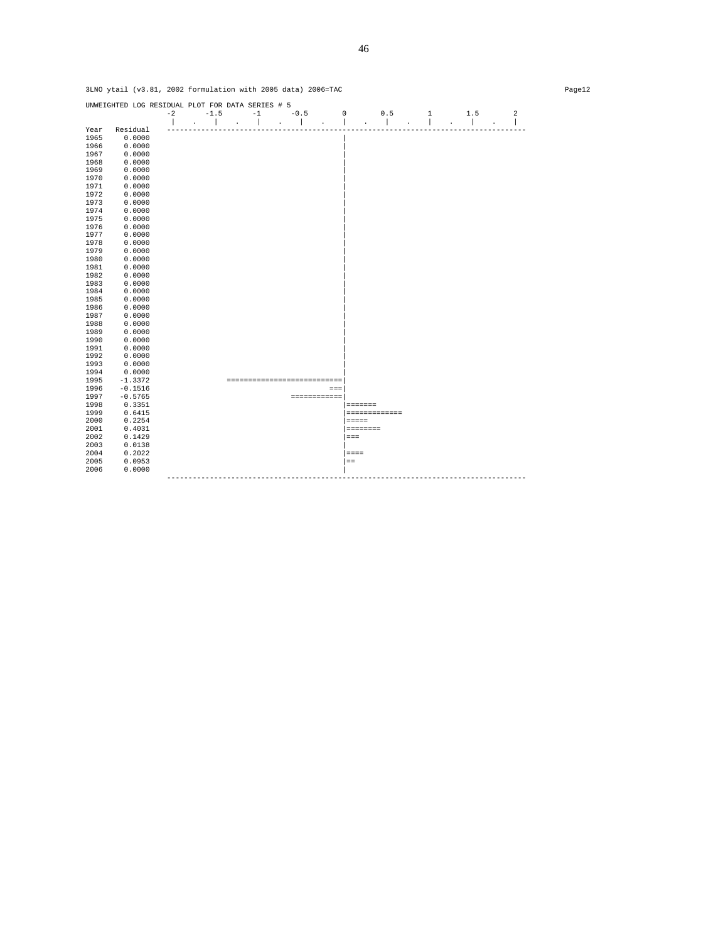|              | UNWEIGHTED LOG RESIDUAL PLOT FOR DATA SERIES # 5 | $-2$ | $-1.5$ | $-1$                       |        |              |                |               |   |     | $\overline{\mathbf{c}}$ |
|--------------|--------------------------------------------------|------|--------|----------------------------|--------|--------------|----------------|---------------|---|-----|-------------------------|
|              |                                                  |      |        |                            | $-0.5$ |              | 0              | 0.5           | 1 | 1.5 |                         |
| Year         | Residual                                         |      |        |                            |        |              |                |               |   |     |                         |
| 1965         | 0.0000                                           |      |        |                            |        |              |                |               |   |     |                         |
| 1966         | 0.0000                                           |      |        |                            |        |              |                |               |   |     |                         |
| 1967         | 0.0000                                           |      |        |                            |        |              |                |               |   |     |                         |
| 1968         | 0.0000                                           |      |        |                            |        |              |                |               |   |     |                         |
| 1969         | 0.0000                                           |      |        |                            |        |              |                |               |   |     |                         |
| 1970         | 0.0000                                           |      |        |                            |        |              |                |               |   |     |                         |
| 1971         | 0.0000                                           |      |        |                            |        |              |                |               |   |     |                         |
| 1972         | 0.0000                                           |      |        |                            |        |              |                |               |   |     |                         |
|              |                                                  |      |        |                            |        |              |                |               |   |     |                         |
| 1973<br>1974 | 0.0000                                           |      |        |                            |        |              |                |               |   |     |                         |
|              | 0.0000                                           |      |        |                            |        |              |                |               |   |     |                         |
| 1975         | 0.0000                                           |      |        |                            |        |              |                |               |   |     |                         |
| 1976         | 0.0000                                           |      |        |                            |        |              |                |               |   |     |                         |
| 1977         | 0.0000                                           |      |        |                            |        |              |                |               |   |     |                         |
| 1978         | 0.0000                                           |      |        |                            |        |              |                |               |   |     |                         |
| 1979         | 0.0000                                           |      |        |                            |        |              |                |               |   |     |                         |
| 1980         | 0.0000                                           |      |        |                            |        |              |                |               |   |     |                         |
| 1981         | 0.0000                                           |      |        |                            |        |              |                |               |   |     |                         |
| 1982         | 0.0000                                           |      |        |                            |        |              |                |               |   |     |                         |
| 1983         | 0.0000                                           |      |        |                            |        |              |                |               |   |     |                         |
| 1984         | 0.0000                                           |      |        |                            |        |              |                |               |   |     |                         |
| 1985         | 0.0000                                           |      |        |                            |        |              |                |               |   |     |                         |
| 1986         | 0.0000                                           |      |        |                            |        |              |                |               |   |     |                         |
| 1987         | 0.0000                                           |      |        |                            |        |              |                |               |   |     |                         |
| 1988         | 0.0000                                           |      |        |                            |        |              |                |               |   |     |                         |
| 1989         | 0.0000                                           |      |        |                            |        |              |                |               |   |     |                         |
| 1990         | 0.0000                                           |      |        |                            |        |              |                |               |   |     |                         |
| 1991         | 0.0000                                           |      |        |                            |        |              |                |               |   |     |                         |
| 1992         | 0.0000                                           |      |        |                            |        |              |                |               |   |     |                         |
| 1993         | 0.0000                                           |      |        |                            |        |              |                |               |   |     |                         |
| 1994         | 0.0000                                           |      |        |                            |        |              |                |               |   |     |                         |
| 1995         | $-1.3372$                                        |      |        | -------------------------- |        |              |                |               |   |     |                         |
| 1996         | $-0.1516$                                        |      |        |                            |        | $=$ $=$ $=$  |                |               |   |     |                         |
| 1997         | $-0.5765$                                        |      |        |                            |        | ============ |                |               |   |     |                         |
| 1998         | 0.3351                                           |      |        |                            |        |              | <b>EDDEDED</b> |               |   |     |                         |
| 1999         | 0.6415                                           |      |        |                            |        |              |                | ============= |   |     |                         |
| 2000         | 0.2254                                           |      |        |                            |        |              | $= = = = = =$  |               |   |     |                         |
| 2001         | 0.4031                                           |      |        |                            |        |              |                |               |   |     |                         |
| 2002         | 0.1429                                           |      |        |                            |        |              | $=$ $=$ $=$    |               |   |     |                         |
| 2003         | 0.0138                                           |      |        |                            |        |              |                |               |   |     |                         |
| 2004         | 0.2022                                           |      |        |                            |        |              | $= = = =$      |               |   |     |                         |
| 2005         | 0.0953                                           |      |        |                            |        |              | $=$ $=$        |               |   |     |                         |
| 2006         | 0.0000                                           |      |        |                            |        |              |                |               |   |     |                         |
|              |                                                  |      |        |                            |        |              |                |               |   |     |                         |